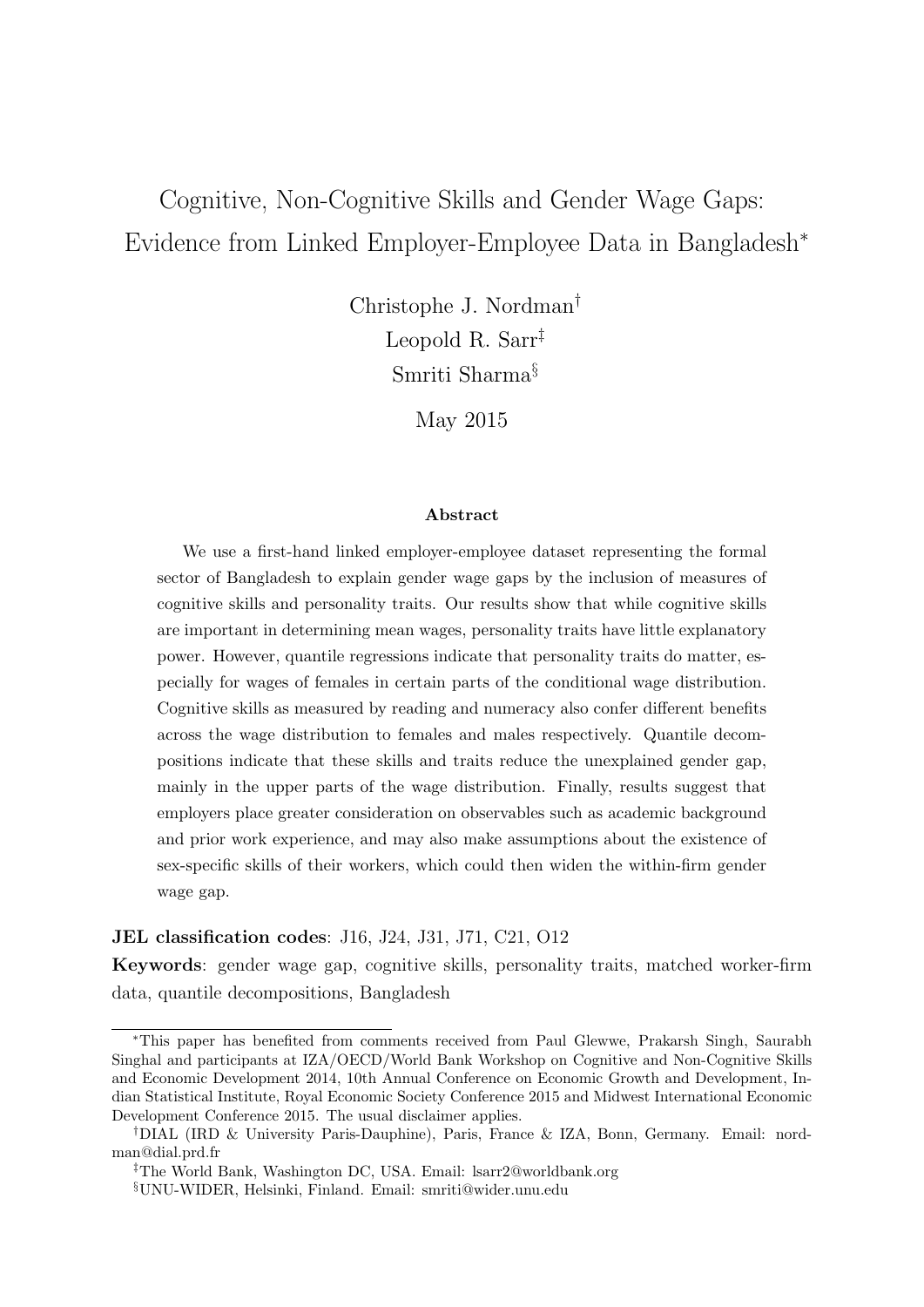# Cognitive, Non-Cognitive Skills and Gender Wage Gaps: Evidence from Linked Employer-Employee Data in Bangladesh<sup>∗</sup>

Christophe J. Nordman† Leopold R. Sarr‡ Smriti Sharma§

May 2015

#### Abstract

We use a first-hand linked employer-employee dataset representing the formal sector of Bangladesh to explain gender wage gaps by the inclusion of measures of cognitive skills and personality traits. Our results show that while cognitive skills are important in determining mean wages, personality traits have little explanatory power. However, quantile regressions indicate that personality traits do matter, especially for wages of females in certain parts of the conditional wage distribution. Cognitive skills as measured by reading and numeracy also confer different benefits across the wage distribution to females and males respectively. Quantile decompositions indicate that these skills and traits reduce the unexplained gender gap, mainly in the upper parts of the wage distribution. Finally, results suggest that employers place greater consideration on observables such as academic background and prior work experience, and may also make assumptions about the existence of sex-specific skills of their workers, which could then widen the within-firm gender wage gap.

#### JEL classification codes: J16, J24, J31, J71, C21, O12

Keywords: gender wage gap, cognitive skills, personality traits, matched worker-firm data, quantile decompositions, Bangladesh

<sup>∗</sup>This paper has benefited from comments received from Paul Glewwe, Prakarsh Singh, Saurabh Singhal and participants at IZA/OECD/World Bank Workshop on Cognitive and Non-Cognitive Skills and Economic Development 2014, 10th Annual Conference on Economic Growth and Development, Indian Statistical Institute, Royal Economic Society Conference 2015 and Midwest International Economic Development Conference 2015. The usual disclaimer applies.

<sup>†</sup>DIAL (IRD & University Paris-Dauphine), Paris, France & IZA, Bonn, Germany. Email: nordman@dial.prd.fr

<sup>‡</sup>The World Bank, Washington DC, USA. Email: lsarr2@worldbank.org

<sup>§</sup>UNU-WIDER, Helsinki, Finland. Email: smriti@wider.unu.edu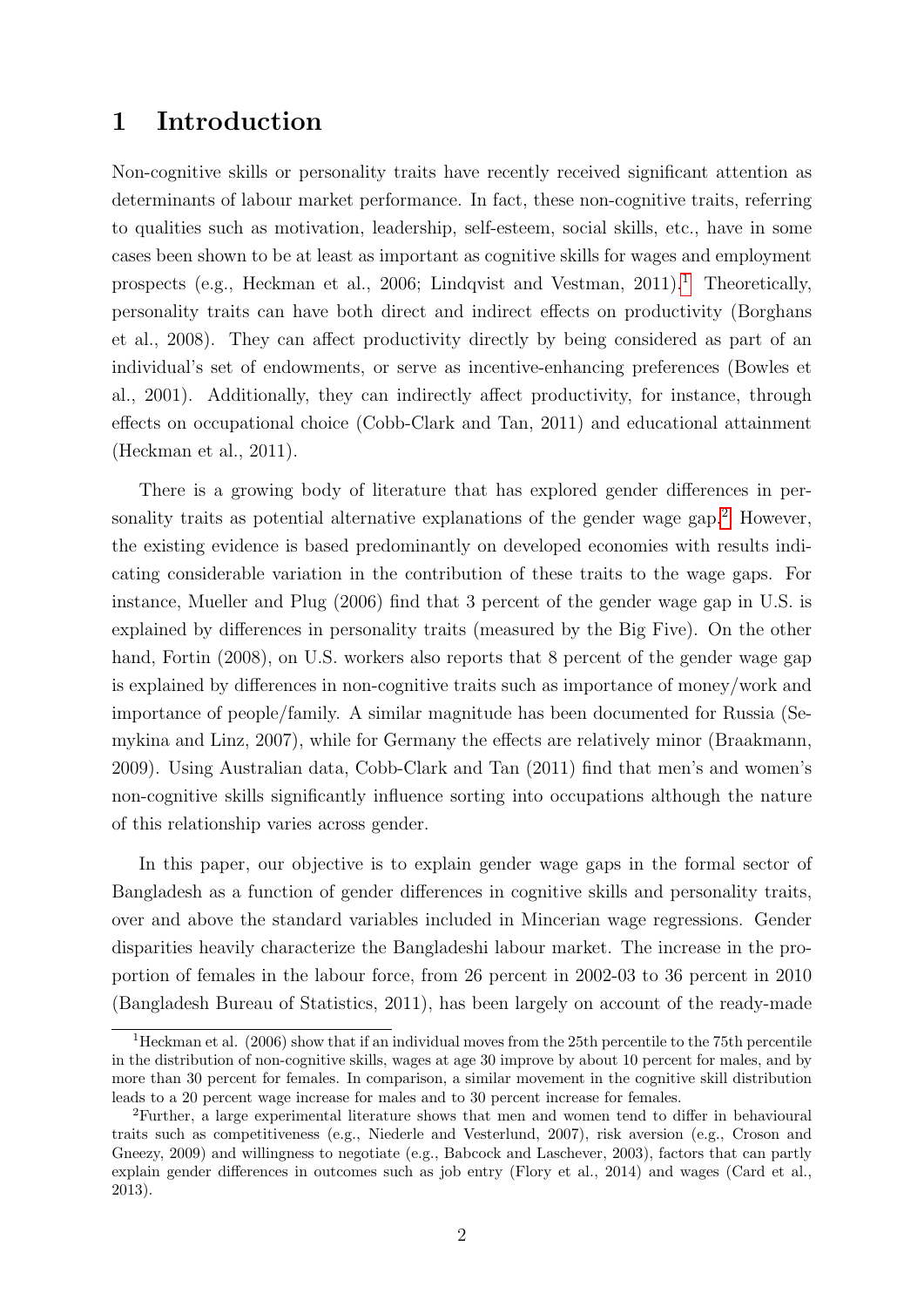### 1 Introduction

Non-cognitive skills or personality traits have recently received significant attention as determinants of labour market performance. In fact, these non-cognitive traits, referring to qualities such as motivation, leadership, self-esteem, social skills, etc., have in some cases been shown to be at least as important as cognitive skills for wages and employment prospects (e.g., Heckman et al., 2006; Lindqvist and Vestman,  $2011$  $2011$  $2011$ ).<sup>1</sup> Theoretically, personality traits can have both direct and indirect effects on productivity (Borghans et al., 2008). They can affect productivity directly by being considered as part of an individual's set of endowments, or serve as incentive-enhancing preferences (Bowles et al., 2001). Additionally, they can indirectly affect productivity, for instance, through effects on occupational choice (Cobb-Clark and Tan, 2011) and educational attainment (Heckman et al., 2011).

There is a growing body of literature that has explored gender differences in per-sonality traits as potential alternative explanations of the gender wage gap.<sup>[2](#page-1-1)</sup> However, the existing evidence is based predominantly on developed economies with results indicating considerable variation in the contribution of these traits to the wage gaps. For instance, Mueller and Plug (2006) find that 3 percent of the gender wage gap in U.S. is explained by differences in personality traits (measured by the Big Five). On the other hand, Fortin (2008), on U.S. workers also reports that 8 percent of the gender wage gap is explained by differences in non-cognitive traits such as importance of money/work and importance of people/family. A similar magnitude has been documented for Russia (Semykina and Linz, 2007), while for Germany the effects are relatively minor (Braakmann, 2009). Using Australian data, Cobb-Clark and Tan (2011) find that men's and women's non-cognitive skills significantly influence sorting into occupations although the nature of this relationship varies across gender.

In this paper, our objective is to explain gender wage gaps in the formal sector of Bangladesh as a function of gender differences in cognitive skills and personality traits, over and above the standard variables included in Mincerian wage regressions. Gender disparities heavily characterize the Bangladeshi labour market. The increase in the proportion of females in the labour force, from 26 percent in 2002-03 to 36 percent in 2010 (Bangladesh Bureau of Statistics, 2011), has been largely on account of the ready-made

<span id="page-1-0"></span><sup>&</sup>lt;sup>1</sup>Heckman et al. (2006) show that if an individual moves from the 25th percentile to the 75th percentile in the distribution of non-cognitive skills, wages at age 30 improve by about 10 percent for males, and by more than 30 percent for females. In comparison, a similar movement in the cognitive skill distribution leads to a 20 percent wage increase for males and to 30 percent increase for females.

<span id="page-1-1"></span><sup>2</sup>Further, a large experimental literature shows that men and women tend to differ in behavioural traits such as competitiveness (e.g., Niederle and Vesterlund, 2007), risk aversion (e.g., Croson and Gneezy, 2009) and willingness to negotiate (e.g., Babcock and Laschever, 2003), factors that can partly explain gender differences in outcomes such as job entry (Flory et al., 2014) and wages (Card et al., 2013).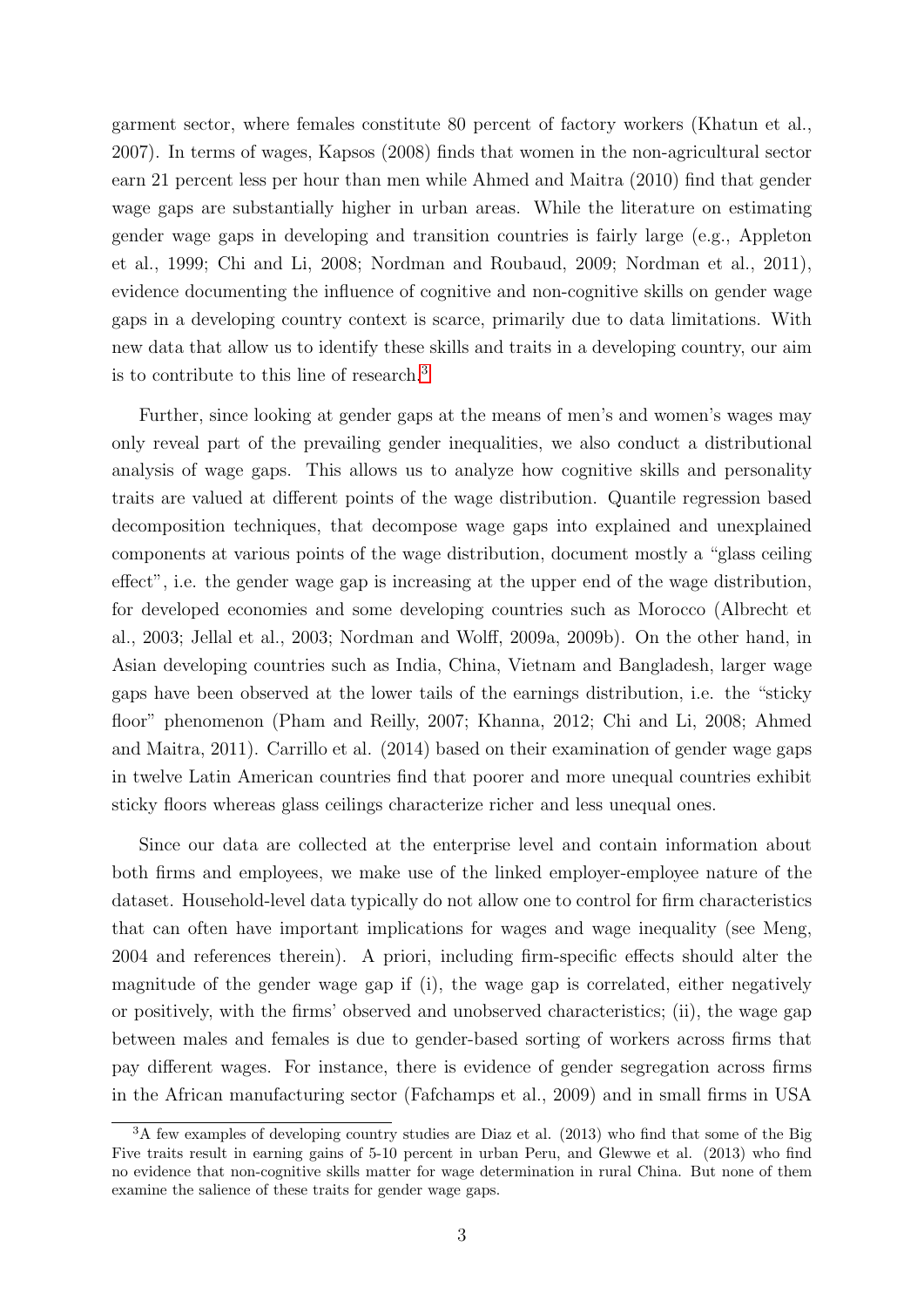garment sector, where females constitute 80 percent of factory workers (Khatun et al., 2007). In terms of wages, Kapsos (2008) finds that women in the non-agricultural sector earn 21 percent less per hour than men while Ahmed and Maitra (2010) find that gender wage gaps are substantially higher in urban areas. While the literature on estimating gender wage gaps in developing and transition countries is fairly large (e.g., Appleton et al., 1999; Chi and Li, 2008; Nordman and Roubaud, 2009; Nordman et al., 2011), evidence documenting the influence of cognitive and non-cognitive skills on gender wage gaps in a developing country context is scarce, primarily due to data limitations. With new data that allow us to identify these skills and traits in a developing country, our aim is to contribute to this line of research.[3](#page-2-0)

Further, since looking at gender gaps at the means of men's and women's wages may only reveal part of the prevailing gender inequalities, we also conduct a distributional analysis of wage gaps. This allows us to analyze how cognitive skills and personality traits are valued at different points of the wage distribution. Quantile regression based decomposition techniques, that decompose wage gaps into explained and unexplained components at various points of the wage distribution, document mostly a "glass ceiling effect", i.e. the gender wage gap is increasing at the upper end of the wage distribution, for developed economies and some developing countries such as Morocco (Albrecht et al., 2003; Jellal et al., 2003; Nordman and Wolff, 2009a, 2009b). On the other hand, in Asian developing countries such as India, China, Vietnam and Bangladesh, larger wage gaps have been observed at the lower tails of the earnings distribution, i.e. the "sticky floor" phenomenon (Pham and Reilly, 2007; Khanna, 2012; Chi and Li, 2008; Ahmed and Maitra, 2011). Carrillo et al. (2014) based on their examination of gender wage gaps in twelve Latin American countries find that poorer and more unequal countries exhibit sticky floors whereas glass ceilings characterize richer and less unequal ones.

Since our data are collected at the enterprise level and contain information about both firms and employees, we make use of the linked employer-employee nature of the dataset. Household-level data typically do not allow one to control for firm characteristics that can often have important implications for wages and wage inequality (see Meng, 2004 and references therein). A priori, including firm-specific effects should alter the magnitude of the gender wage gap if (i), the wage gap is correlated, either negatively or positively, with the firms' observed and unobserved characteristics; (ii), the wage gap between males and females is due to gender-based sorting of workers across firms that pay different wages. For instance, there is evidence of gender segregation across firms in the African manufacturing sector (Fafchamps et al., 2009) and in small firms in USA

<span id="page-2-0"></span><sup>&</sup>lt;sup>3</sup>A few examples of developing country studies are Diaz et al. (2013) who find that some of the Big Five traits result in earning gains of 5-10 percent in urban Peru, and Glewwe et al. (2013) who find no evidence that non-cognitive skills matter for wage determination in rural China. But none of them examine the salience of these traits for gender wage gaps.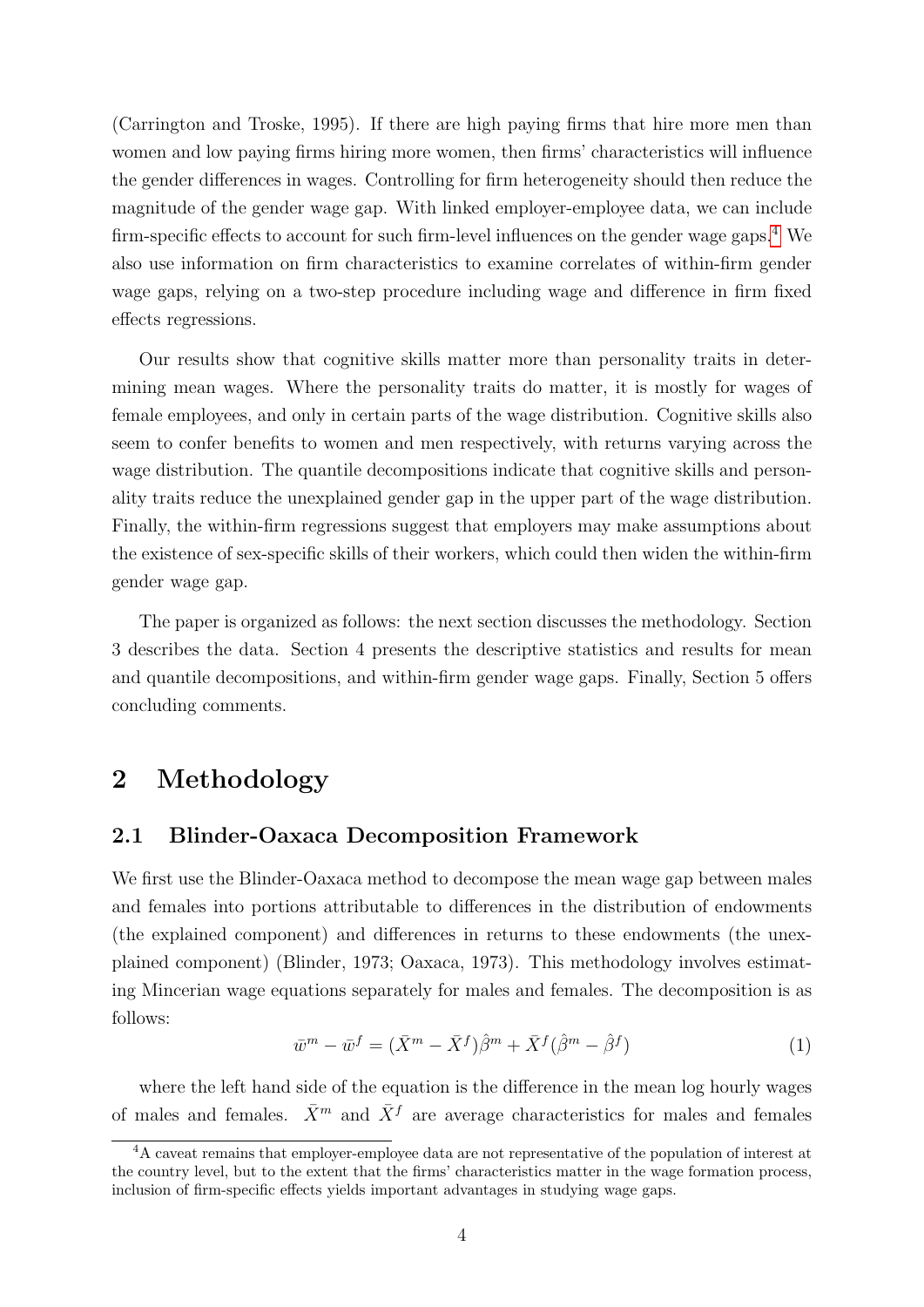(Carrington and Troske, 1995). If there are high paying firms that hire more men than women and low paying firms hiring more women, then firms' characteristics will influence the gender differences in wages. Controlling for firm heterogeneity should then reduce the magnitude of the gender wage gap. With linked employer-employee data, we can include firm-specific effects to account for such firm-level influences on the gender wage gaps.[4](#page-3-0) We also use information on firm characteristics to examine correlates of within-firm gender wage gaps, relying on a two-step procedure including wage and difference in firm fixed effects regressions.

Our results show that cognitive skills matter more than personality traits in determining mean wages. Where the personality traits do matter, it is mostly for wages of female employees, and only in certain parts of the wage distribution. Cognitive skills also seem to confer benefits to women and men respectively, with returns varying across the wage distribution. The quantile decompositions indicate that cognitive skills and personality traits reduce the unexplained gender gap in the upper part of the wage distribution. Finally, the within-firm regressions suggest that employers may make assumptions about the existence of sex-specific skills of their workers, which could then widen the within-firm gender wage gap.

The paper is organized as follows: the next section discusses the methodology. Section 3 describes the data. Section 4 presents the descriptive statistics and results for mean and quantile decompositions, and within-firm gender wage gaps. Finally, Section 5 offers concluding comments.

### 2 Methodology

#### 2.1 Blinder-Oaxaca Decomposition Framework

We first use the Blinder-Oaxaca method to decompose the mean wage gap between males and females into portions attributable to differences in the distribution of endowments (the explained component) and differences in returns to these endowments (the unexplained component) (Blinder, 1973; Oaxaca, 1973). This methodology involves estimating Mincerian wage equations separately for males and females. The decomposition is as follows:

$$
\bar{w}^m - \bar{w}^f = (\bar{X}^m - \bar{X}^f)\hat{\beta}^m + \bar{X}^f(\hat{\beta}^m - \hat{\beta}^f) \tag{1}
$$

where the left hand side of the equation is the difference in the mean log hourly wages of males and females.  $\bar{X}^m$  and  $\bar{X}^f$  are average characteristics for males and females

<span id="page-3-0"></span><sup>&</sup>lt;sup>4</sup>A caveat remains that employer-employee data are not representative of the population of interest at the country level, but to the extent that the firms' characteristics matter in the wage formation process, inclusion of firm-specific effects yields important advantages in studying wage gaps.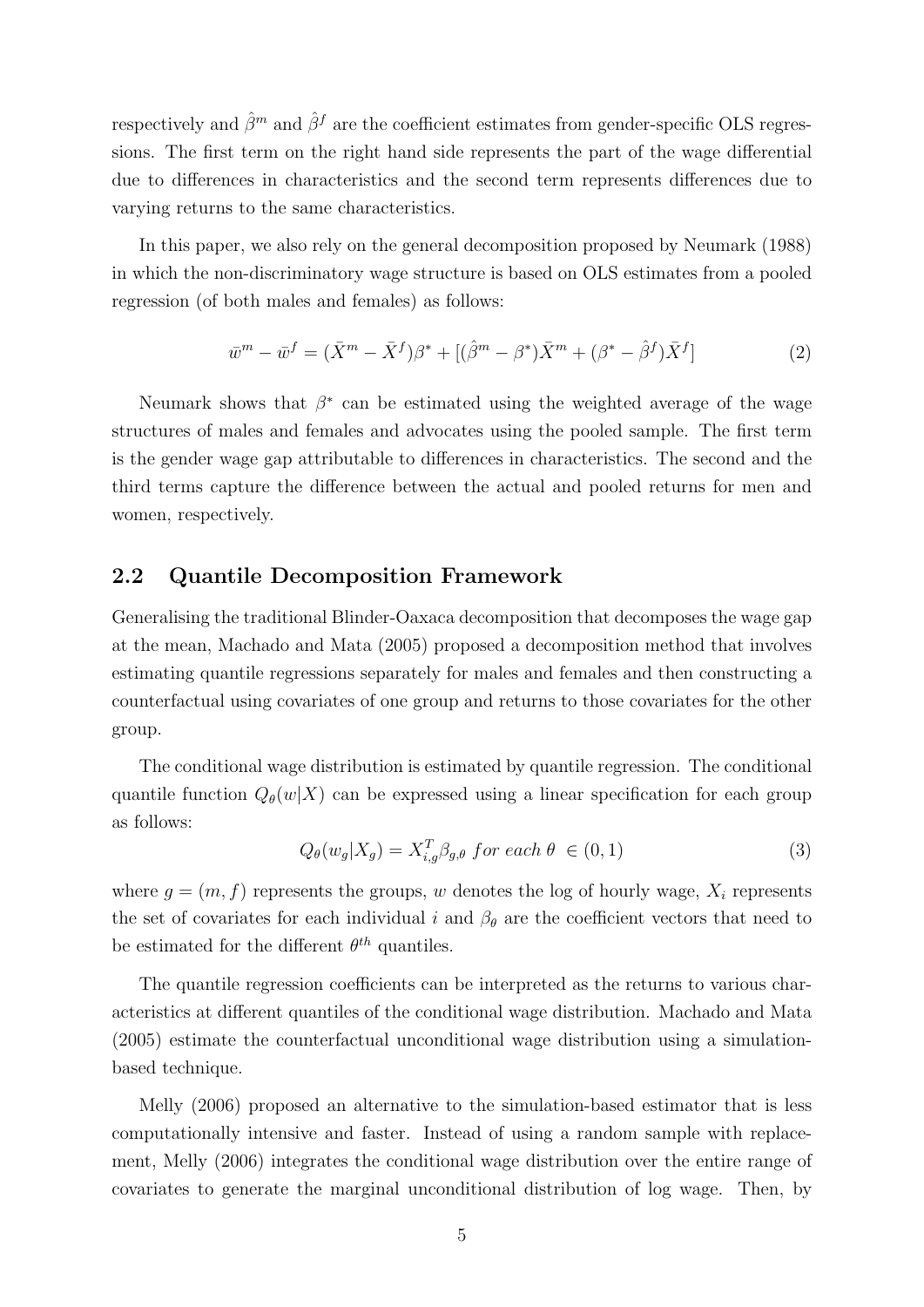respectively and  $\hat{\beta}^m$  and  $\hat{\beta}^f$  are the coefficient estimates from gender-specific OLS regressions. The first term on the right hand side represents the part of the wage differential due to differences in characteristics and the second term represents differences due to varying returns to the same characteristics.

In this paper, we also rely on the general decomposition proposed by Neumark (1988) in which the non-discriminatory wage structure is based on OLS estimates from a pooled regression (of both males and females) as follows:

$$
\bar{w}^m - \bar{w}^f = (\bar{X}^m - \bar{X}^f)\beta^* + [(\hat{\beta}^m - \beta^*)\bar{X}^m + (\beta^* - \hat{\beta}^f)\bar{X}^f]
$$
(2)

Neumark shows that  $\beta^*$  can be estimated using the weighted average of the wage structures of males and females and advocates using the pooled sample. The first term is the gender wage gap attributable to differences in characteristics. The second and the third terms capture the difference between the actual and pooled returns for men and women, respectively.

#### 2.2 Quantile Decomposition Framework

Generalising the traditional Blinder-Oaxaca decomposition that decomposes the wage gap at the mean, Machado and Mata (2005) proposed a decomposition method that involves estimating quantile regressions separately for males and females and then constructing a counterfactual using covariates of one group and returns to those covariates for the other group.

The conditional wage distribution is estimated by quantile regression. The conditional quantile function  $Q_{\theta}(w|X)$  can be expressed using a linear specification for each group as follows:

$$
Q_{\theta}(w_g|X_g) = X_{i,g}^T \beta_{g,\theta} \text{ for each } \theta \in (0,1)
$$
\n(3)

where  $g = (m, f)$  represents the groups, w denotes the log of hourly wage,  $X_i$  represents the set of covariates for each individual i and  $\beta_{\theta}$  are the coefficient vectors that need to be estimated for the different  $\theta^{th}$  quantiles.

The quantile regression coefficients can be interpreted as the returns to various characteristics at different quantiles of the conditional wage distribution. Machado and Mata (2005) estimate the counterfactual unconditional wage distribution using a simulationbased technique.

Melly (2006) proposed an alternative to the simulation-based estimator that is less computationally intensive and faster. Instead of using a random sample with replacement, Melly (2006) integrates the conditional wage distribution over the entire range of covariates to generate the marginal unconditional distribution of log wage. Then, by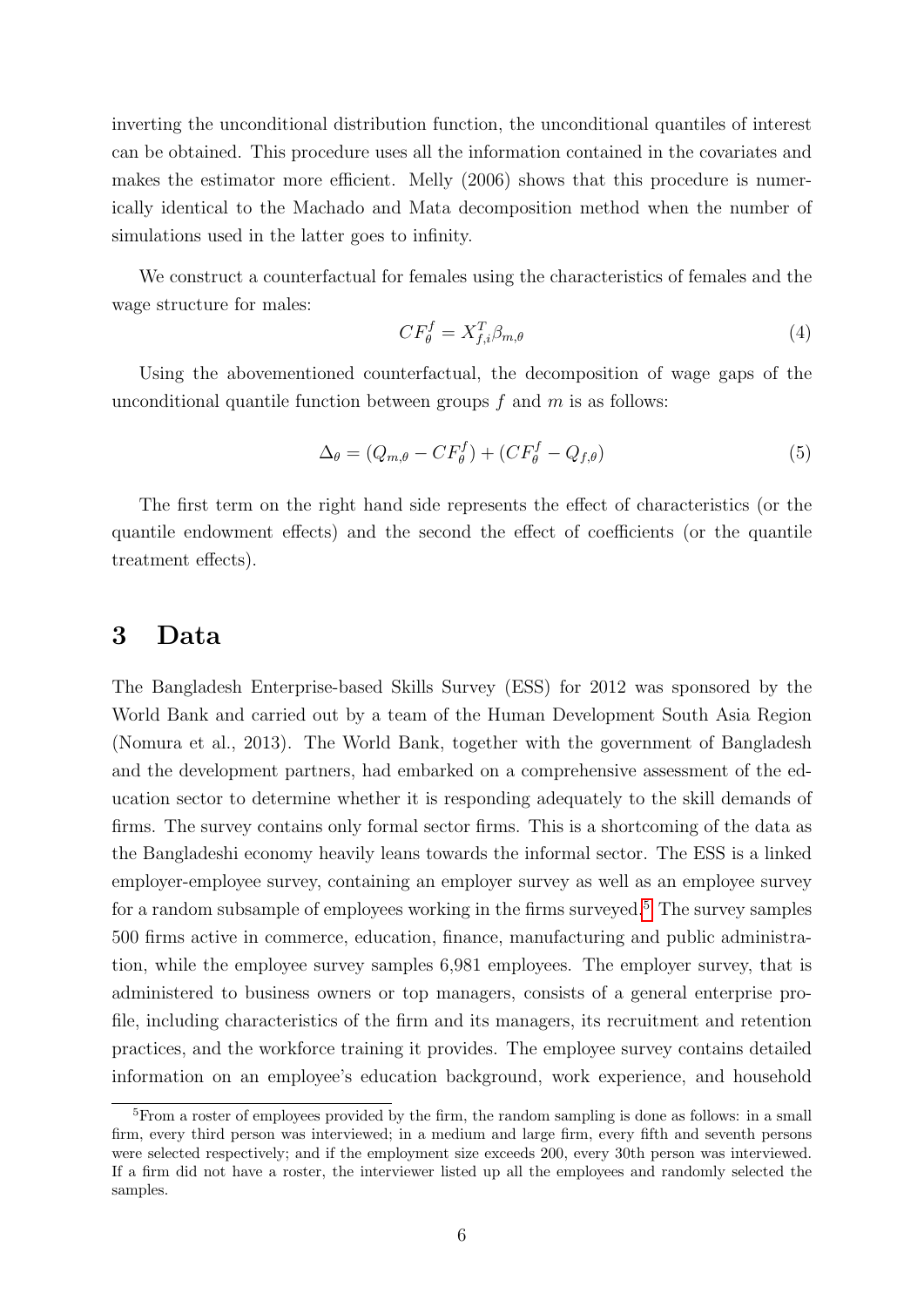inverting the unconditional distribution function, the unconditional quantiles of interest can be obtained. This procedure uses all the information contained in the covariates and makes the estimator more efficient. Melly (2006) shows that this procedure is numerically identical to the Machado and Mata decomposition method when the number of simulations used in the latter goes to infinity.

We construct a counterfactual for females using the characteristics of females and the wage structure for males:

$$
CF_{\theta}^f = X_{f,i}^T \beta_{m,\theta} \tag{4}
$$

Using the abovementioned counterfactual, the decomposition of wage gaps of the unconditional quantile function between groups  $f$  and  $m$  is as follows:

$$
\Delta_{\theta} = (Q_{m,\theta} - CF_{\theta}^f) + (CF_{\theta}^f - Q_{f,\theta})
$$
\n(5)

The first term on the right hand side represents the effect of characteristics (or the quantile endowment effects) and the second the effect of coefficients (or the quantile treatment effects).

### 3 Data

The Bangladesh Enterprise-based Skills Survey (ESS) for 2012 was sponsored by the World Bank and carried out by a team of the Human Development South Asia Region (Nomura et al., 2013). The World Bank, together with the government of Bangladesh and the development partners, had embarked on a comprehensive assessment of the education sector to determine whether it is responding adequately to the skill demands of firms. The survey contains only formal sector firms. This is a shortcoming of the data as the Bangladeshi economy heavily leans towards the informal sector. The ESS is a linked employer-employee survey, containing an employer survey as well as an employee survey for a random subsample of employees working in the firms surveyed.<sup>[5](#page-5-0)</sup> The survey samples 500 firms active in commerce, education, finance, manufacturing and public administration, while the employee survey samples 6,981 employees. The employer survey, that is administered to business owners or top managers, consists of a general enterprise profile, including characteristics of the firm and its managers, its recruitment and retention practices, and the workforce training it provides. The employee survey contains detailed information on an employee's education background, work experience, and household

<span id="page-5-0"></span><sup>&</sup>lt;sup>5</sup>From a roster of employees provided by the firm, the random sampling is done as follows: in a small firm, every third person was interviewed; in a medium and large firm, every fifth and seventh persons were selected respectively; and if the employment size exceeds 200, every 30th person was interviewed. If a firm did not have a roster, the interviewer listed up all the employees and randomly selected the samples.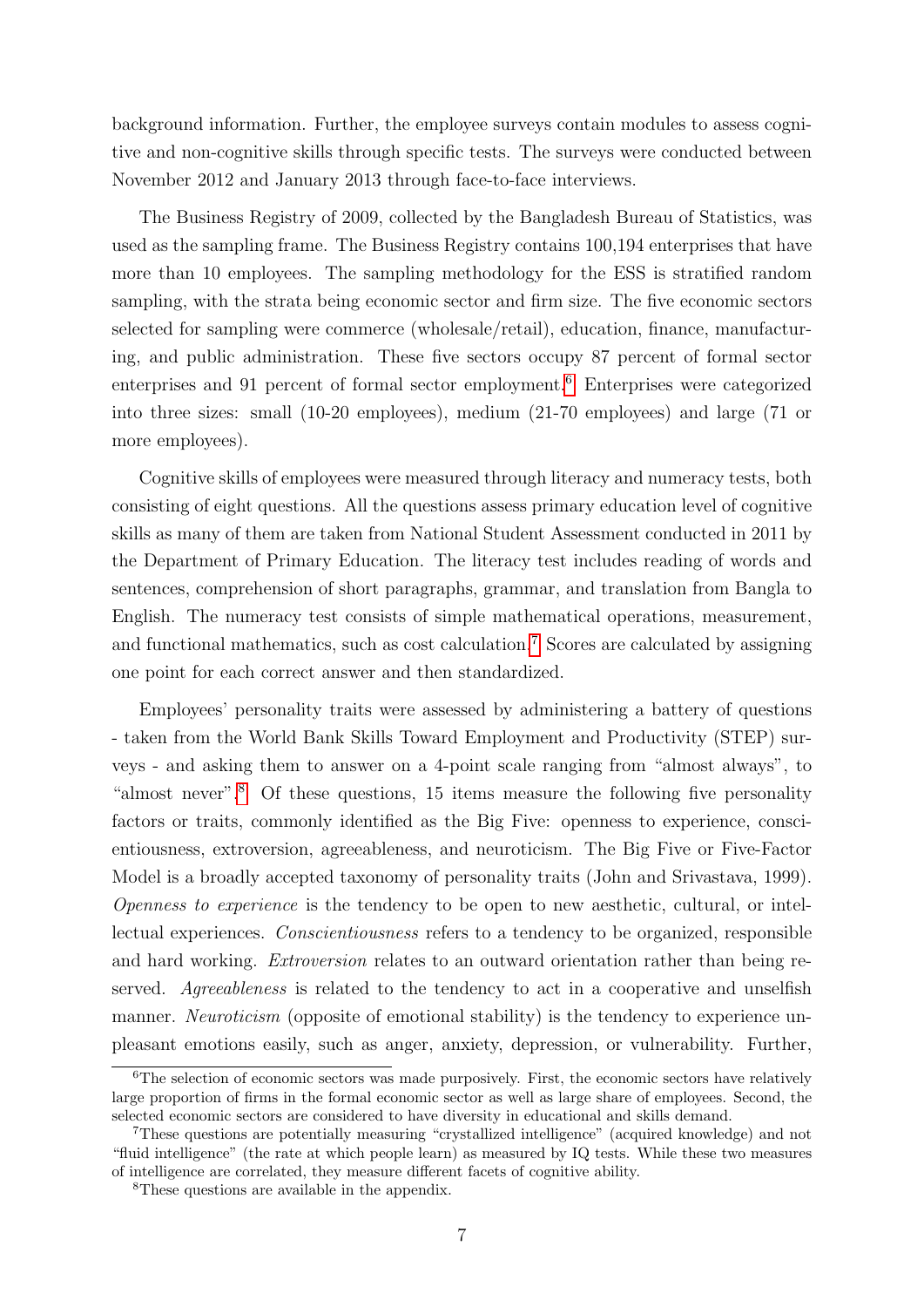background information. Further, the employee surveys contain modules to assess cognitive and non-cognitive skills through specific tests. The surveys were conducted between November 2012 and January 2013 through face-to-face interviews.

The Business Registry of 2009, collected by the Bangladesh Bureau of Statistics, was used as the sampling frame. The Business Registry contains 100,194 enterprises that have more than 10 employees. The sampling methodology for the ESS is stratified random sampling, with the strata being economic sector and firm size. The five economic sectors selected for sampling were commerce (wholesale/retail), education, finance, manufacturing, and public administration. These five sectors occupy 87 percent of formal sector enterprises and 91 percent of formal sector employment.<sup>[6](#page-6-0)</sup> Enterprises were categorized into three sizes: small (10-20 employees), medium (21-70 employees) and large (71 or more employees).

Cognitive skills of employees were measured through literacy and numeracy tests, both consisting of eight questions. All the questions assess primary education level of cognitive skills as many of them are taken from National Student Assessment conducted in 2011 by the Department of Primary Education. The literacy test includes reading of words and sentences, comprehension of short paragraphs, grammar, and translation from Bangla to English. The numeracy test consists of simple mathematical operations, measurement, and functional mathematics, such as cost calculation.[7](#page-6-1) Scores are calculated by assigning one point for each correct answer and then standardized.

Employees' personality traits were assessed by administering a battery of questions - taken from the World Bank Skills Toward Employment and Productivity (STEP) surveys - and asking them to answer on a 4-point scale ranging from "almost always", to "almost never".[8](#page-6-2) Of these questions, 15 items measure the following five personality factors or traits, commonly identified as the Big Five: openness to experience, conscientiousness, extroversion, agreeableness, and neuroticism. The Big Five or Five-Factor Model is a broadly accepted taxonomy of personality traits (John and Srivastava, 1999). Openness to experience is the tendency to be open to new aesthetic, cultural, or intellectual experiences. Conscientiousness refers to a tendency to be organized, responsible and hard working. Extroversion relates to an outward orientation rather than being reserved. Agreeableness is related to the tendency to act in a cooperative and unselfish manner. *Neuroticism* (opposite of emotional stability) is the tendency to experience unpleasant emotions easily, such as anger, anxiety, depression, or vulnerability. Further,

<span id="page-6-0"></span> ${}^{6}$ The selection of economic sectors was made purposively. First, the economic sectors have relatively large proportion of firms in the formal economic sector as well as large share of employees. Second, the selected economic sectors are considered to have diversity in educational and skills demand.

<span id="page-6-1"></span><sup>7</sup>These questions are potentially measuring "crystallized intelligence" (acquired knowledge) and not "fluid intelligence" (the rate at which people learn) as measured by IQ tests. While these two measures of intelligence are correlated, they measure different facets of cognitive ability.

<span id="page-6-2"></span><sup>8</sup>These questions are available in the appendix.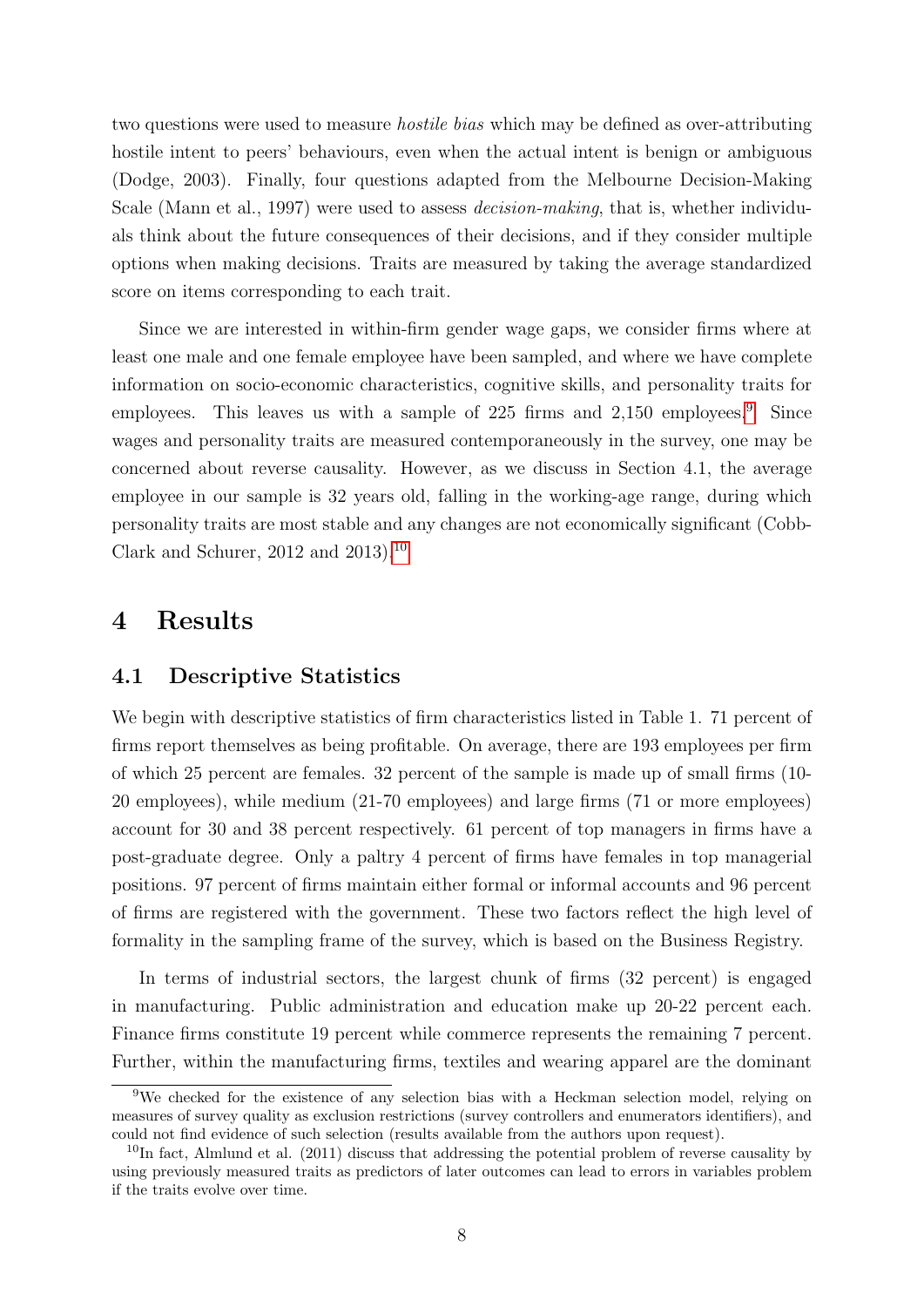two questions were used to measure hostile bias which may be defined as over-attributing hostile intent to peers' behaviours, even when the actual intent is benign or ambiguous (Dodge, 2003). Finally, four questions adapted from the Melbourne Decision-Making Scale (Mann et al., 1997) were used to assess *decision-making*, that is, whether individuals think about the future consequences of their decisions, and if they consider multiple options when making decisions. Traits are measured by taking the average standardized score on items corresponding to each trait.

Since we are interested in within-firm gender wage gaps, we consider firms where at least one male and one female employee have been sampled, and where we have complete information on socio-economic characteristics, cognitive skills, and personality traits for employees. This leaves us with a sample of 225 firms and  $2,150$  employees.<sup>[9](#page-7-0)</sup> Since wages and personality traits are measured contemporaneously in the survey, one may be concerned about reverse causality. However, as we discuss in Section 4.1, the average employee in our sample is 32 years old, falling in the working-age range, during which personality traits are most stable and any changes are not economically significant (Cobb-Clark and Schurer,  $2012$  and  $2013$ .<sup>[10](#page-7-1)</sup>

### 4 Results

#### 4.1 Descriptive Statistics

We begin with descriptive statistics of firm characteristics listed in Table 1. 71 percent of firms report themselves as being profitable. On average, there are 193 employees per firm of which 25 percent are females. 32 percent of the sample is made up of small firms (10- 20 employees), while medium (21-70 employees) and large firms (71 or more employees) account for 30 and 38 percent respectively. 61 percent of top managers in firms have a post-graduate degree. Only a paltry 4 percent of firms have females in top managerial positions. 97 percent of firms maintain either formal or informal accounts and 96 percent of firms are registered with the government. These two factors reflect the high level of formality in the sampling frame of the survey, which is based on the Business Registry.

In terms of industrial sectors, the largest chunk of firms (32 percent) is engaged in manufacturing. Public administration and education make up 20-22 percent each. Finance firms constitute 19 percent while commerce represents the remaining 7 percent. Further, within the manufacturing firms, textiles and wearing apparel are the dominant

<span id="page-7-0"></span><sup>9</sup>We checked for the existence of any selection bias with a Heckman selection model, relying on measures of survey quality as exclusion restrictions (survey controllers and enumerators identifiers), and could not find evidence of such selection (results available from the authors upon request).

<span id="page-7-1"></span> $10$ In fact, Almlund et al. (2011) discuss that addressing the potential problem of reverse causality by using previously measured traits as predictors of later outcomes can lead to errors in variables problem if the traits evolve over time.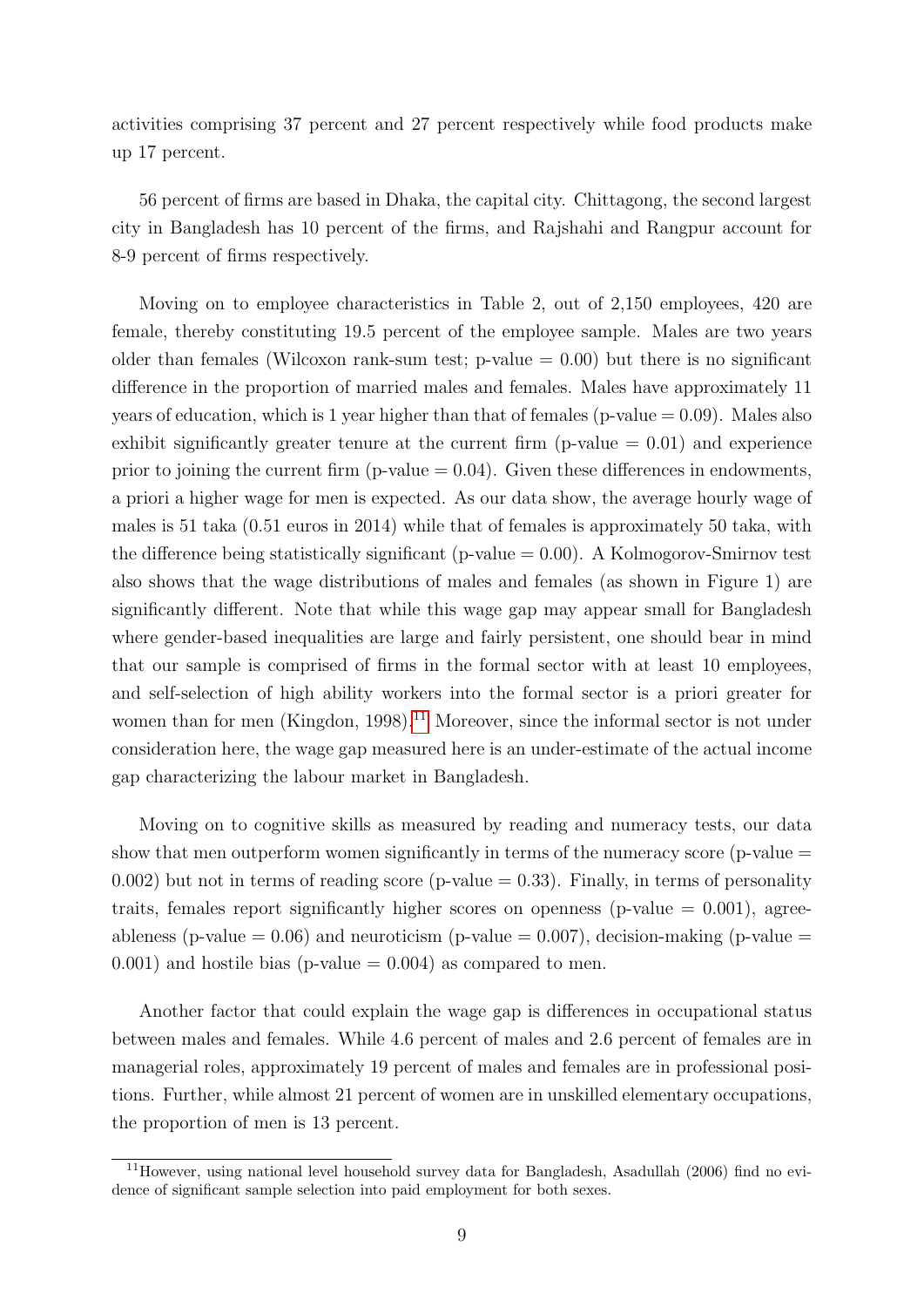activities comprising 37 percent and 27 percent respectively while food products make up 17 percent.

56 percent of firms are based in Dhaka, the capital city. Chittagong, the second largest city in Bangladesh has 10 percent of the firms, and Rajshahi and Rangpur account for 8-9 percent of firms respectively.

Moving on to employee characteristics in Table 2, out of 2,150 employees, 420 are female, thereby constituting 19.5 percent of the employee sample. Males are two years older than females (Wilcoxon rank-sum test;  $p$ -value  $= 0.00$ ) but there is no significant difference in the proportion of married males and females. Males have approximately 11 years of education, which is 1 year higher than that of females ( $p$ -value  $= 0.09$ ). Males also exhibit significantly greater tenure at the current firm ( $p$ -value  $= 0.01$ ) and experience prior to joining the current firm (p-value  $= 0.04$ ). Given these differences in endowments, a priori a higher wage for men is expected. As our data show, the average hourly wage of males is 51 taka (0.51 euros in 2014) while that of females is approximately 50 taka, with the difference being statistically significant (p-value  $= 0.00$ ). A Kolmogorov-Smirnov test also shows that the wage distributions of males and females (as shown in Figure 1) are significantly different. Note that while this wage gap may appear small for Bangladesh where gender-based inequalities are large and fairly persistent, one should bear in mind that our sample is comprised of firms in the formal sector with at least 10 employees, and self-selection of high ability workers into the formal sector is a priori greater for women than for men (Kingdon, 1998).<sup>[11](#page-8-0)</sup> Moreover, since the informal sector is not under consideration here, the wage gap measured here is an under-estimate of the actual income gap characterizing the labour market in Bangladesh.

Moving on to cognitive skills as measured by reading and numeracy tests, our data show that men outperform women significantly in terms of the numeracy score (p-value  $=$ 0.002) but not in terms of reading score (p-value  $= 0.33$ ). Finally, in terms of personality traits, females report significantly higher scores on openness (p-value  $= 0.001$ ), agreeableness (p-value  $= 0.06$ ) and neuroticism (p-value  $= 0.007$ ), decision-making (p-value  $=$  $(0.001)$  and hostile bias (p-value = 0.004) as compared to men.

Another factor that could explain the wage gap is differences in occupational status between males and females. While 4.6 percent of males and 2.6 percent of females are in managerial roles, approximately 19 percent of males and females are in professional positions. Further, while almost 21 percent of women are in unskilled elementary occupations, the proportion of men is 13 percent.

<span id="page-8-0"></span><sup>11</sup>However, using national level household survey data for Bangladesh, Asadullah (2006) find no evidence of significant sample selection into paid employment for both sexes.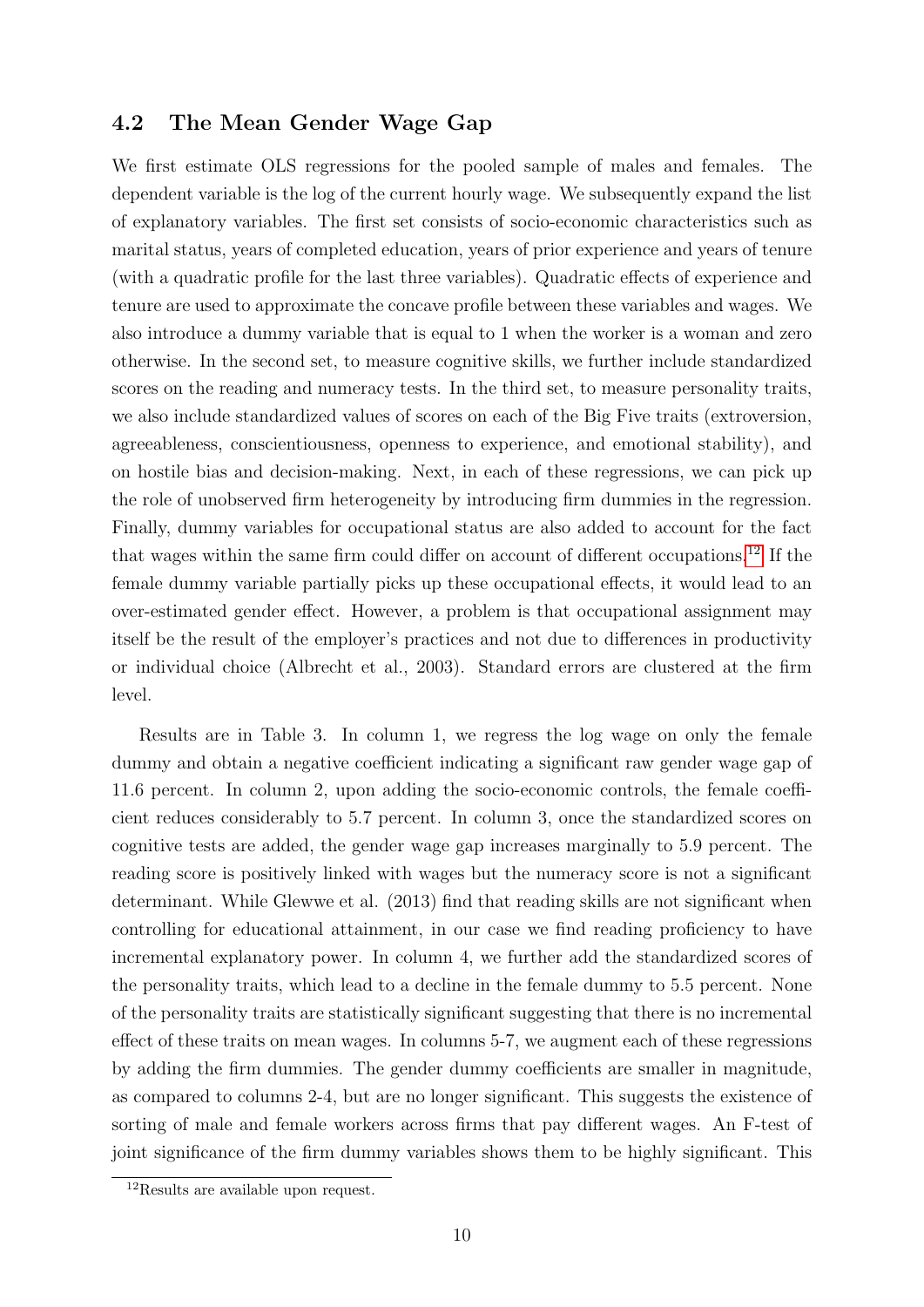#### 4.2 The Mean Gender Wage Gap

We first estimate OLS regressions for the pooled sample of males and females. The dependent variable is the log of the current hourly wage. We subsequently expand the list of explanatory variables. The first set consists of socio-economic characteristics such as marital status, years of completed education, years of prior experience and years of tenure (with a quadratic profile for the last three variables). Quadratic effects of experience and tenure are used to approximate the concave profile between these variables and wages. We also introduce a dummy variable that is equal to 1 when the worker is a woman and zero otherwise. In the second set, to measure cognitive skills, we further include standardized scores on the reading and numeracy tests. In the third set, to measure personality traits, we also include standardized values of scores on each of the Big Five traits (extroversion, agreeableness, conscientiousness, openness to experience, and emotional stability), and on hostile bias and decision-making. Next, in each of these regressions, we can pick up the role of unobserved firm heterogeneity by introducing firm dummies in the regression. Finally, dummy variables for occupational status are also added to account for the fact that wages within the same firm could differ on account of different occupations.[12](#page-9-0) If the female dummy variable partially picks up these occupational effects, it would lead to an over-estimated gender effect. However, a problem is that occupational assignment may itself be the result of the employer's practices and not due to differences in productivity or individual choice (Albrecht et al., 2003). Standard errors are clustered at the firm level.

Results are in Table 3. In column 1, we regress the log wage on only the female dummy and obtain a negative coefficient indicating a significant raw gender wage gap of 11.6 percent. In column 2, upon adding the socio-economic controls, the female coefficient reduces considerably to 5.7 percent. In column 3, once the standardized scores on cognitive tests are added, the gender wage gap increases marginally to 5.9 percent. The reading score is positively linked with wages but the numeracy score is not a significant determinant. While Glewwe et al. (2013) find that reading skills are not significant when controlling for educational attainment, in our case we find reading proficiency to have incremental explanatory power. In column 4, we further add the standardized scores of the personality traits, which lead to a decline in the female dummy to 5.5 percent. None of the personality traits are statistically significant suggesting that there is no incremental effect of these traits on mean wages. In columns 5-7, we augment each of these regressions by adding the firm dummies. The gender dummy coefficients are smaller in magnitude, as compared to columns 2-4, but are no longer significant. This suggests the existence of sorting of male and female workers across firms that pay different wages. An F-test of joint significance of the firm dummy variables shows them to be highly significant. This

<span id="page-9-0"></span><sup>&</sup>lt;sup>12</sup>Results are available upon request.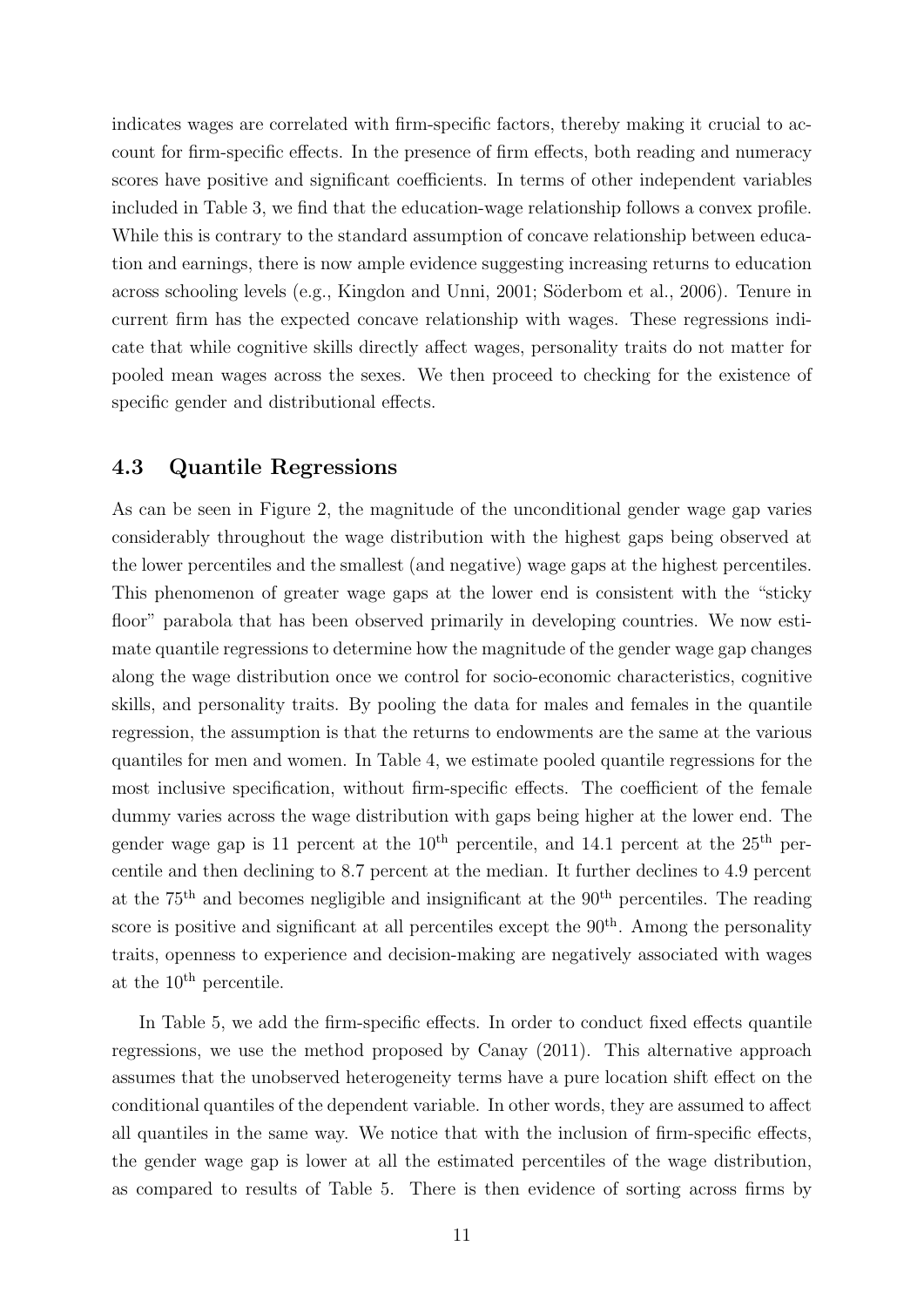indicates wages are correlated with firm-specific factors, thereby making it crucial to account for firm-specific effects. In the presence of firm effects, both reading and numeracy scores have positive and significant coefficients. In terms of other independent variables included in Table 3, we find that the education-wage relationship follows a convex profile. While this is contrary to the standard assumption of concave relationship between education and earnings, there is now ample evidence suggesting increasing returns to education across schooling levels (e.g., Kingdon and Unni, 2001; Söderbom et al., 2006). Tenure in current firm has the expected concave relationship with wages. These regressions indicate that while cognitive skills directly affect wages, personality traits do not matter for pooled mean wages across the sexes. We then proceed to checking for the existence of specific gender and distributional effects.

#### 4.3 Quantile Regressions

As can be seen in Figure 2, the magnitude of the unconditional gender wage gap varies considerably throughout the wage distribution with the highest gaps being observed at the lower percentiles and the smallest (and negative) wage gaps at the highest percentiles. This phenomenon of greater wage gaps at the lower end is consistent with the "sticky floor" parabola that has been observed primarily in developing countries. We now estimate quantile regressions to determine how the magnitude of the gender wage gap changes along the wage distribution once we control for socio-economic characteristics, cognitive skills, and personality traits. By pooling the data for males and females in the quantile regression, the assumption is that the returns to endowments are the same at the various quantiles for men and women. In Table 4, we estimate pooled quantile regressions for the most inclusive specification, without firm-specific effects. The coefficient of the female dummy varies across the wage distribution with gaps being higher at the lower end. The gender wage gap is 11 percent at the  $10^{th}$  percentile, and 14.1 percent at the  $25^{th}$  percentile and then declining to 8.7 percent at the median. It further declines to 4.9 percent at the  $75<sup>th</sup>$  and becomes negligible and insignificant at the  $90<sup>th</sup>$  percentiles. The reading score is positive and significant at all percentiles except the  $90<sup>th</sup>$ . Among the personality traits, openness to experience and decision-making are negatively associated with wages at the  $10^{\text{th}}$  percentile.

In Table 5, we add the firm-specific effects. In order to conduct fixed effects quantile regressions, we use the method proposed by Canay (2011). This alternative approach assumes that the unobserved heterogeneity terms have a pure location shift effect on the conditional quantiles of the dependent variable. In other words, they are assumed to affect all quantiles in the same way. We notice that with the inclusion of firm-specific effects, the gender wage gap is lower at all the estimated percentiles of the wage distribution, as compared to results of Table 5. There is then evidence of sorting across firms by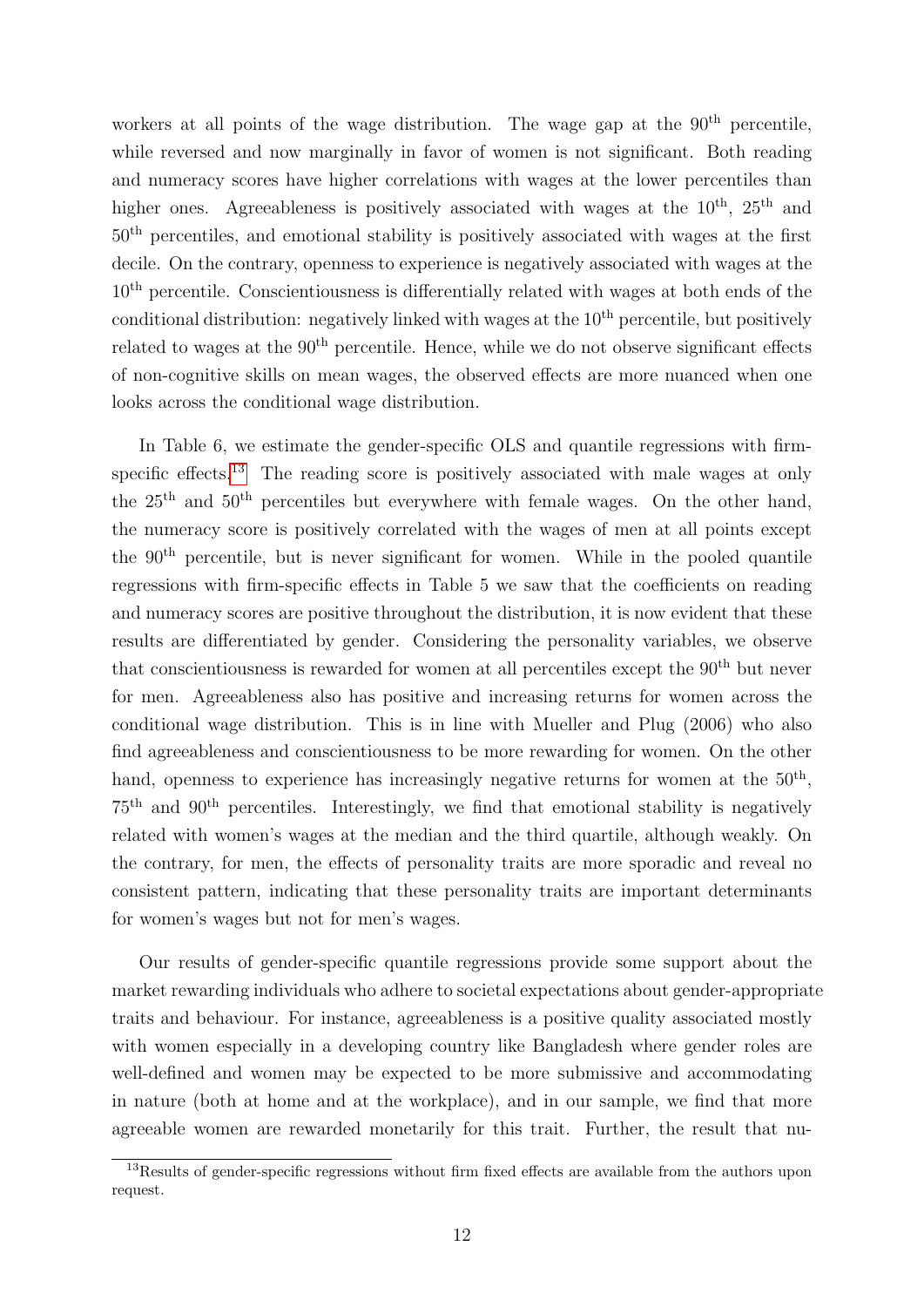workers at all points of the wage distribution. The wage gap at the  $90<sup>th</sup>$  percentile, while reversed and now marginally in favor of women is not significant. Both reading and numeracy scores have higher correlations with wages at the lower percentiles than higher ones. Agreeableness is positively associated with wages at the  $10^{th}$ ,  $25^{th}$  and 50th percentiles, and emotional stability is positively associated with wages at the first decile. On the contrary, openness to experience is negatively associated with wages at the 10th percentile. Conscientiousness is differentially related with wages at both ends of the conditional distribution: negatively linked with wages at the  $10<sup>th</sup>$  percentile, but positively related to wages at the  $90<sup>th</sup>$  percentile. Hence, while we do not observe significant effects of non-cognitive skills on mean wages, the observed effects are more nuanced when one looks across the conditional wage distribution.

In Table 6, we estimate the gender-specific OLS and quantile regressions with firm-specific effects.<sup>[13](#page-11-0)</sup> The reading score is positively associated with male wages at only the 25th and 50th percentiles but everywhere with female wages. On the other hand, the numeracy score is positively correlated with the wages of men at all points except the 90th percentile, but is never significant for women. While in the pooled quantile regressions with firm-specific effects in Table 5 we saw that the coefficients on reading and numeracy scores are positive throughout the distribution, it is now evident that these results are differentiated by gender. Considering the personality variables, we observe that conscientiousness is rewarded for women at all percentiles except the  $90<sup>th</sup>$  but never for men. Agreeableness also has positive and increasing returns for women across the conditional wage distribution. This is in line with Mueller and Plug (2006) who also find agreeableness and conscientiousness to be more rewarding for women. On the other hand, openness to experience has increasingly negative returns for women at the  $50<sup>th</sup>$ ,  $75<sup>th</sup>$  and  $90<sup>th</sup>$  percentiles. Interestingly, we find that emotional stability is negatively related with women's wages at the median and the third quartile, although weakly. On the contrary, for men, the effects of personality traits are more sporadic and reveal no consistent pattern, indicating that these personality traits are important determinants for women's wages but not for men's wages.

Our results of gender-specific quantile regressions provide some support about the market rewarding individuals who adhere to societal expectations about gender-appropriate traits and behaviour. For instance, agreeableness is a positive quality associated mostly with women especially in a developing country like Bangladesh where gender roles are well-defined and women may be expected to be more submissive and accommodating in nature (both at home and at the workplace), and in our sample, we find that more agreeable women are rewarded monetarily for this trait. Further, the result that nu-

<span id="page-11-0"></span><sup>&</sup>lt;sup>13</sup>Results of gender-specific regressions without firm fixed effects are available from the authors upon request.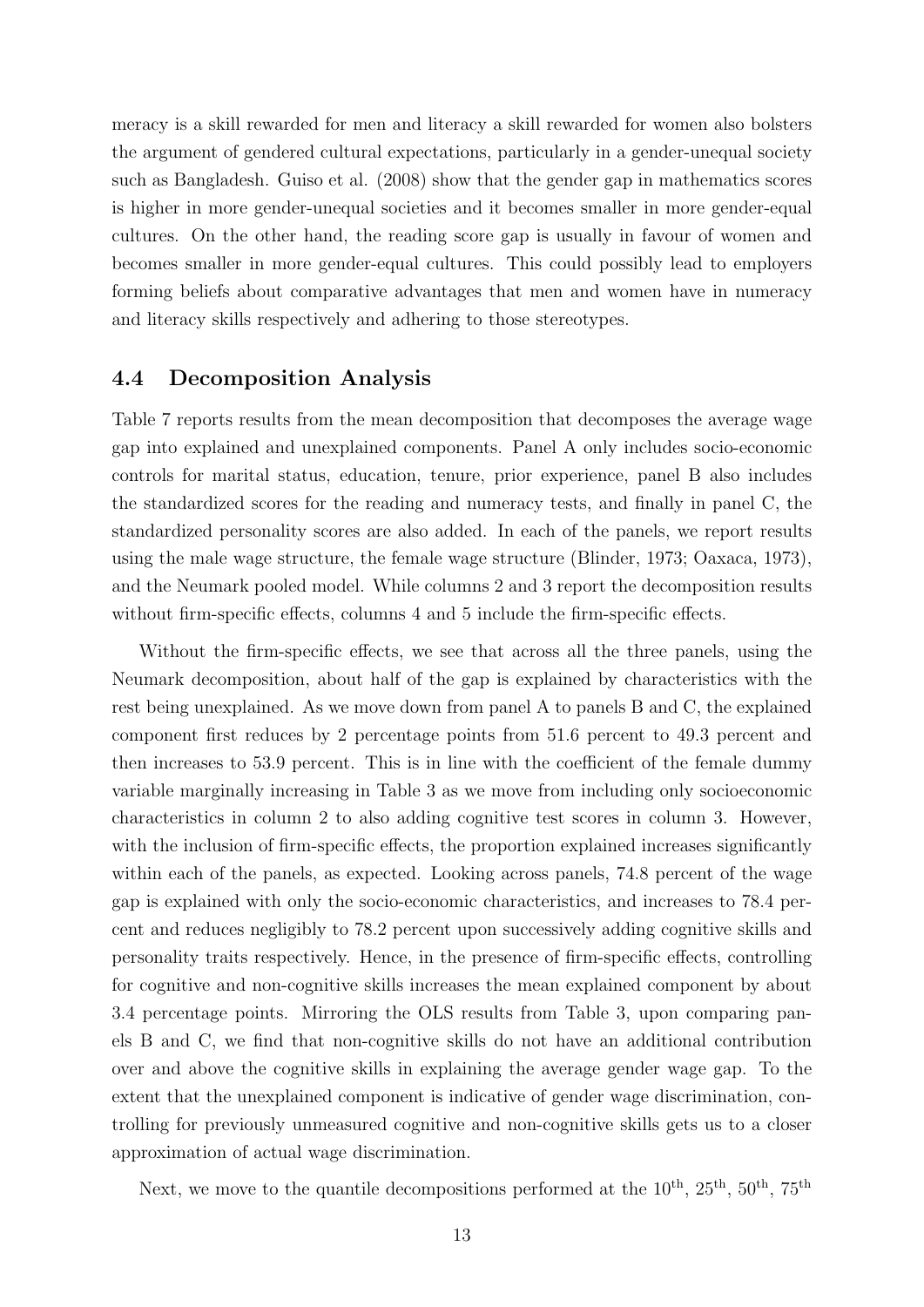meracy is a skill rewarded for men and literacy a skill rewarded for women also bolsters the argument of gendered cultural expectations, particularly in a gender-unequal society such as Bangladesh. Guiso et al. (2008) show that the gender gap in mathematics scores is higher in more gender-unequal societies and it becomes smaller in more gender-equal cultures. On the other hand, the reading score gap is usually in favour of women and becomes smaller in more gender-equal cultures. This could possibly lead to employers forming beliefs about comparative advantages that men and women have in numeracy and literacy skills respectively and adhering to those stereotypes.

#### 4.4 Decomposition Analysis

Table 7 reports results from the mean decomposition that decomposes the average wage gap into explained and unexplained components. Panel A only includes socio-economic controls for marital status, education, tenure, prior experience, panel B also includes the standardized scores for the reading and numeracy tests, and finally in panel C, the standardized personality scores are also added. In each of the panels, we report results using the male wage structure, the female wage structure (Blinder, 1973; Oaxaca, 1973), and the Neumark pooled model. While columns 2 and 3 report the decomposition results without firm-specific effects, columns 4 and 5 include the firm-specific effects.

Without the firm-specific effects, we see that across all the three panels, using the Neumark decomposition, about half of the gap is explained by characteristics with the rest being unexplained. As we move down from panel A to panels B and C, the explained component first reduces by 2 percentage points from 51.6 percent to 49.3 percent and then increases to 53.9 percent. This is in line with the coefficient of the female dummy variable marginally increasing in Table 3 as we move from including only socioeconomic characteristics in column 2 to also adding cognitive test scores in column 3. However, with the inclusion of firm-specific effects, the proportion explained increases significantly within each of the panels, as expected. Looking across panels, 74.8 percent of the wage gap is explained with only the socio-economic characteristics, and increases to 78.4 percent and reduces negligibly to 78.2 percent upon successively adding cognitive skills and personality traits respectively. Hence, in the presence of firm-specific effects, controlling for cognitive and non-cognitive skills increases the mean explained component by about 3.4 percentage points. Mirroring the OLS results from Table 3, upon comparing panels B and C, we find that non-cognitive skills do not have an additional contribution over and above the cognitive skills in explaining the average gender wage gap. To the extent that the unexplained component is indicative of gender wage discrimination, controlling for previously unmeasured cognitive and non-cognitive skills gets us to a closer approximation of actual wage discrimination.

Next, we move to the quantile decompositions performed at the  $10^{th}$ ,  $25^{th}$ ,  $50^{th}$ ,  $75^{th}$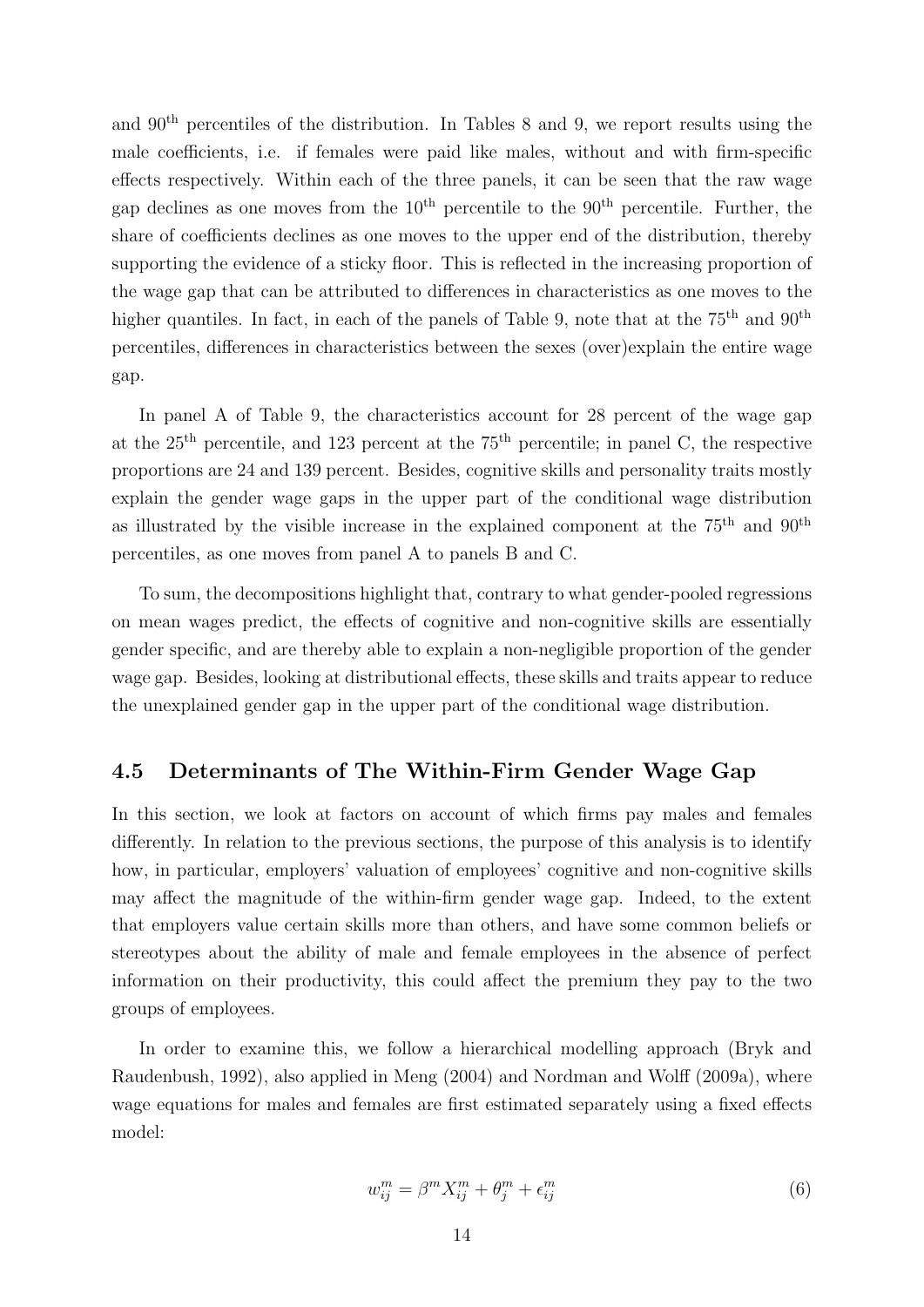and 90th percentiles of the distribution. In Tables 8 and 9, we report results using the male coefficients, i.e. if females were paid like males, without and with firm-specific effects respectively. Within each of the three panels, it can be seen that the raw wage gap declines as one moves from the  $10<sup>th</sup>$  percentile to the  $90<sup>th</sup>$  percentile. Further, the share of coefficients declines as one moves to the upper end of the distribution, thereby supporting the evidence of a sticky floor. This is reflected in the increasing proportion of the wage gap that can be attributed to differences in characteristics as one moves to the higher quantiles. In fact, in each of the panels of Table 9, note that at the  $75<sup>th</sup>$  and  $90<sup>th</sup>$ percentiles, differences in characteristics between the sexes (over)explain the entire wage gap.

In panel A of Table 9, the characteristics account for 28 percent of the wage gap at the  $25<sup>th</sup>$  percentile, and 123 percent at the  $75<sup>th</sup>$  percentile; in panel C, the respective proportions are 24 and 139 percent. Besides, cognitive skills and personality traits mostly explain the gender wage gaps in the upper part of the conditional wage distribution as illustrated by the visible increase in the explained component at the  $75<sup>th</sup>$  and  $90<sup>th</sup>$ percentiles, as one moves from panel A to panels B and C.

To sum, the decompositions highlight that, contrary to what gender-pooled regressions on mean wages predict, the effects of cognitive and non-cognitive skills are essentially gender specific, and are thereby able to explain a non-negligible proportion of the gender wage gap. Besides, looking at distributional effects, these skills and traits appear to reduce the unexplained gender gap in the upper part of the conditional wage distribution.

#### 4.5 Determinants of The Within-Firm Gender Wage Gap

In this section, we look at factors on account of which firms pay males and females differently. In relation to the previous sections, the purpose of this analysis is to identify how, in particular, employers' valuation of employees' cognitive and non-cognitive skills may affect the magnitude of the within-firm gender wage gap. Indeed, to the extent that employers value certain skills more than others, and have some common beliefs or stereotypes about the ability of male and female employees in the absence of perfect information on their productivity, this could affect the premium they pay to the two groups of employees.

In order to examine this, we follow a hierarchical modelling approach (Bryk and Raudenbush, 1992), also applied in Meng (2004) and Nordman and Wolff (2009a), where wage equations for males and females are first estimated separately using a fixed effects model:

$$
w_{ij}^m = \beta^m X_{ij}^m + \theta_j^m + \epsilon_{ij}^m \tag{6}
$$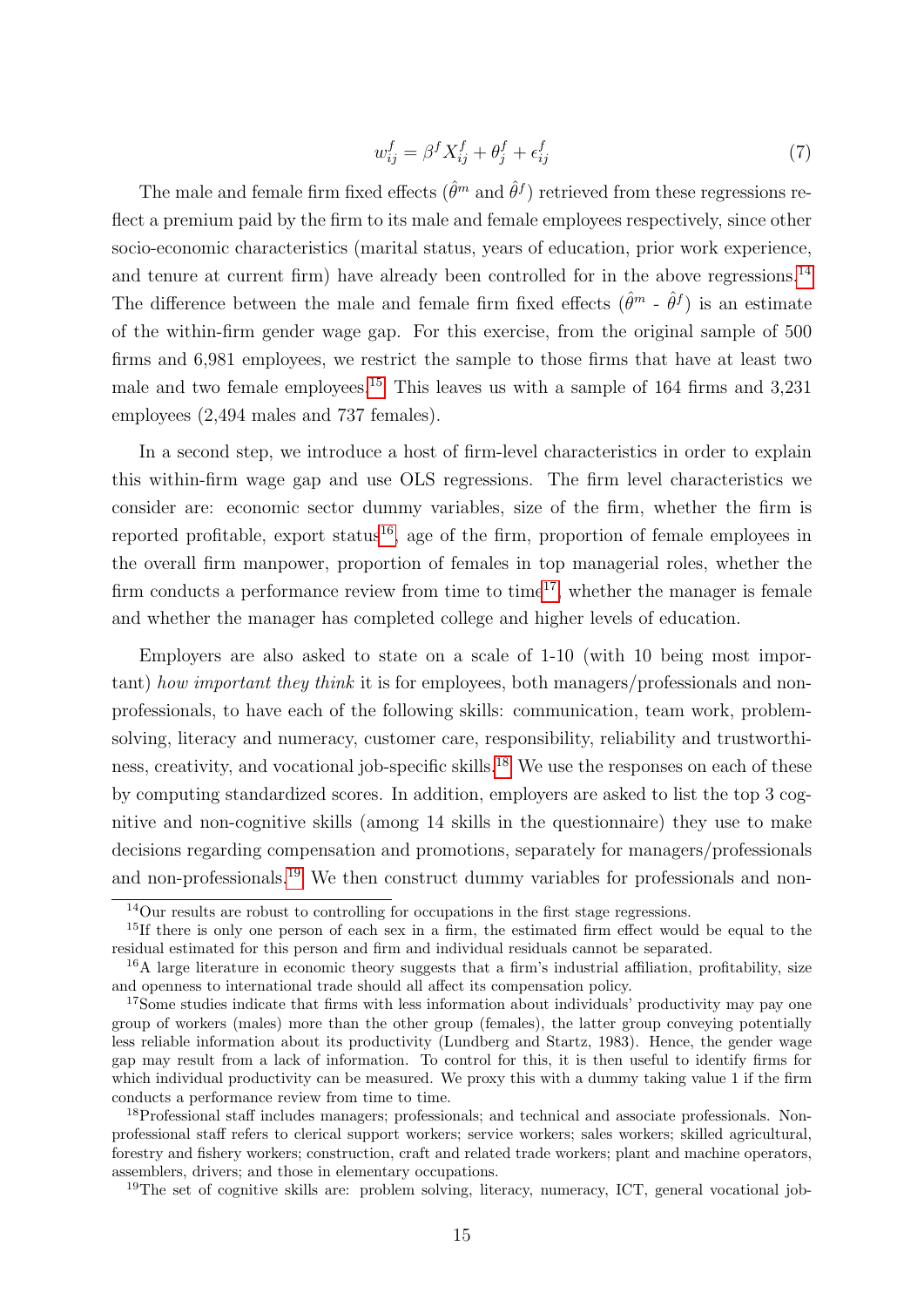$$
w_{ij}^f = \beta^f X_{ij}^f + \theta_j^f + \epsilon_{ij}^f \tag{7}
$$

The male and female firm fixed effects  $(\hat{\theta}^m$  and  $\hat{\theta}^f$ ) retrieved from these regressions reflect a premium paid by the firm to its male and female employees respectively, since other socio-economic characteristics (marital status, years of education, prior work experience, and tenure at current firm) have already been controlled for in the above regressions.<sup>[14](#page-14-0)</sup> The difference between the male and female firm fixed effects  $(\hat{\theta}^m - \hat{\theta}^f)$  is an estimate of the within-firm gender wage gap. For this exercise, from the original sample of 500 firms and 6,981 employees, we restrict the sample to those firms that have at least two male and two female employees.[15](#page-14-1) This leaves us with a sample of 164 firms and 3,231 employees (2,494 males and 737 females).

In a second step, we introduce a host of firm-level characteristics in order to explain this within-firm wage gap and use OLS regressions. The firm level characteristics we consider are: economic sector dummy variables, size of the firm, whether the firm is reported profitable, export status<sup>[16](#page-14-2)</sup>, age of the firm, proportion of female employees in the overall firm manpower, proportion of females in top managerial roles, whether the firm conducts a performance review from time to time<sup>[17](#page-14-3)</sup>, whether the manager is female and whether the manager has completed college and higher levels of education.

Employers are also asked to state on a scale of 1-10 (with 10 being most important) how important they think it is for employees, both managers/professionals and nonprofessionals, to have each of the following skills: communication, team work, problemsolving, literacy and numeracy, customer care, responsibility, reliability and trustworthi-ness, creativity, and vocational job-specific skills.<sup>[18](#page-14-4)</sup> We use the responses on each of these by computing standardized scores. In addition, employers are asked to list the top 3 cognitive and non-cognitive skills (among 14 skills in the questionnaire) they use to make decisions regarding compensation and promotions, separately for managers/professionals and non-professionals.[19](#page-14-5) We then construct dummy variables for professionals and non-

<span id="page-14-5"></span><sup>19</sup>The set of cognitive skills are: problem solving, literacy, numeracy, ICT, general vocational job-

<span id="page-14-1"></span><span id="page-14-0"></span> $14$ Our results are robust to controlling for occupations in the first stage regressions.

<sup>&</sup>lt;sup>15</sup>If there is only one person of each sex in a firm, the estimated firm effect would be equal to the residual estimated for this person and firm and individual residuals cannot be separated.

<span id="page-14-2"></span><sup>16</sup>A large literature in economic theory suggests that a firm's industrial affiliation, profitability, size and openness to international trade should all affect its compensation policy.

<span id="page-14-3"></span><sup>&</sup>lt;sup>17</sup>Some studies indicate that firms with less information about individuals' productivity may pay one group of workers (males) more than the other group (females), the latter group conveying potentially less reliable information about its productivity (Lundberg and Startz, 1983). Hence, the gender wage gap may result from a lack of information. To control for this, it is then useful to identify firms for which individual productivity can be measured. We proxy this with a dummy taking value 1 if the firm conducts a performance review from time to time.

<span id="page-14-4"></span><sup>18</sup>Professional staff includes managers; professionals; and technical and associate professionals. Nonprofessional staff refers to clerical support workers; service workers; sales workers; skilled agricultural, forestry and fishery workers; construction, craft and related trade workers; plant and machine operators, assemblers, drivers; and those in elementary occupations.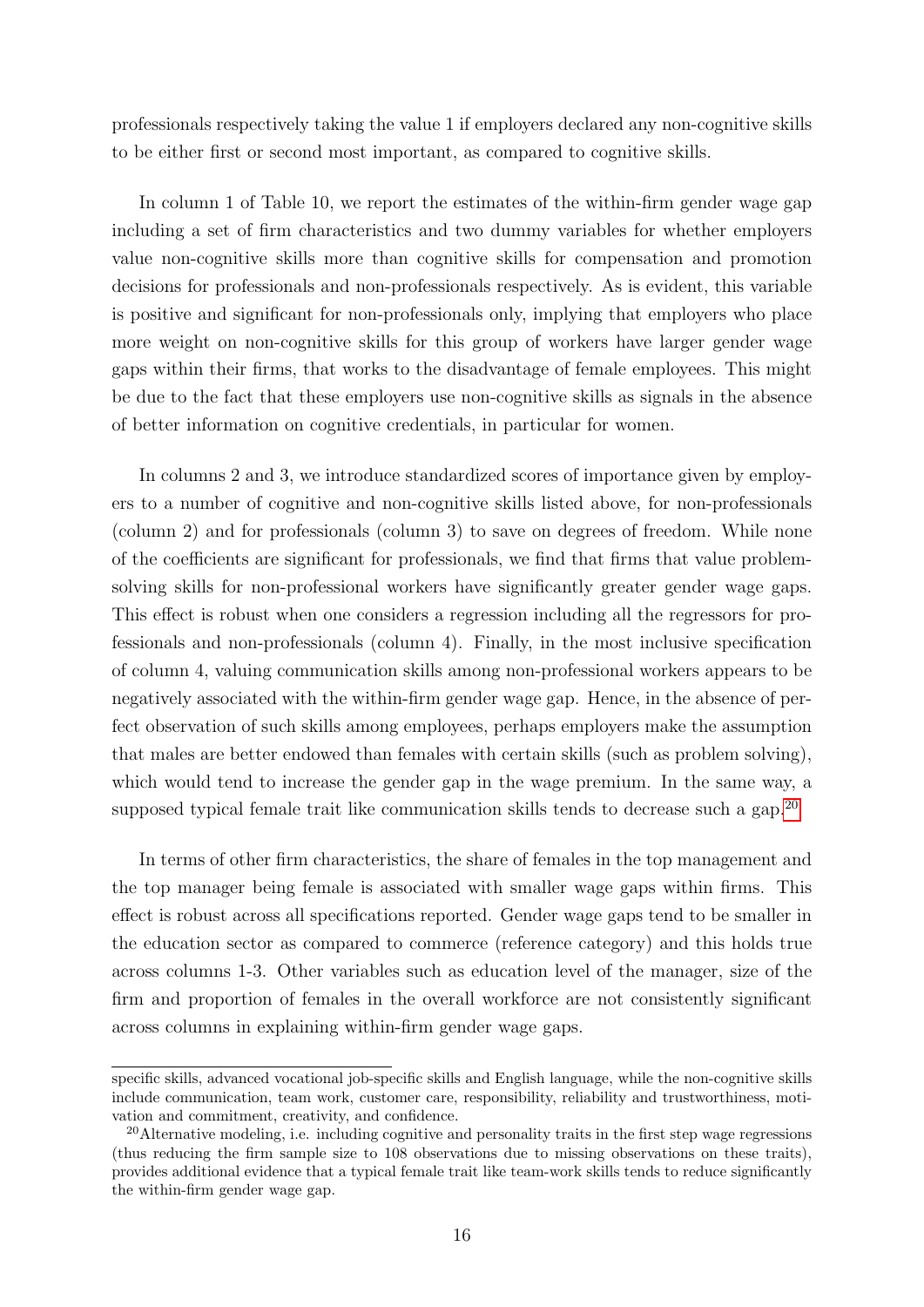professionals respectively taking the value 1 if employers declared any non-cognitive skills to be either first or second most important, as compared to cognitive skills.

In column 1 of Table 10, we report the estimates of the within-firm gender wage gap including a set of firm characteristics and two dummy variables for whether employers value non-cognitive skills more than cognitive skills for compensation and promotion decisions for professionals and non-professionals respectively. As is evident, this variable is positive and significant for non-professionals only, implying that employers who place more weight on non-cognitive skills for this group of workers have larger gender wage gaps within their firms, that works to the disadvantage of female employees. This might be due to the fact that these employers use non-cognitive skills as signals in the absence of better information on cognitive credentials, in particular for women.

In columns 2 and 3, we introduce standardized scores of importance given by employers to a number of cognitive and non-cognitive skills listed above, for non-professionals (column 2) and for professionals (column 3) to save on degrees of freedom. While none of the coefficients are significant for professionals, we find that firms that value problemsolving skills for non-professional workers have significantly greater gender wage gaps. This effect is robust when one considers a regression including all the regressors for professionals and non-professionals (column 4). Finally, in the most inclusive specification of column 4, valuing communication skills among non-professional workers appears to be negatively associated with the within-firm gender wage gap. Hence, in the absence of perfect observation of such skills among employees, perhaps employers make the assumption that males are better endowed than females with certain skills (such as problem solving), which would tend to increase the gender gap in the wage premium. In the same way, a supposed typical female trait like communication skills tends to decrease such a gap.<sup>[20](#page-15-0)</sup>

In terms of other firm characteristics, the share of females in the top management and the top manager being female is associated with smaller wage gaps within firms. This effect is robust across all specifications reported. Gender wage gaps tend to be smaller in the education sector as compared to commerce (reference category) and this holds true across columns 1-3. Other variables such as education level of the manager, size of the firm and proportion of females in the overall workforce are not consistently significant across columns in explaining within-firm gender wage gaps.

specific skills, advanced vocational job-specific skills and English language, while the non-cognitive skills include communication, team work, customer care, responsibility, reliability and trustworthiness, motivation and commitment, creativity, and confidence.

<span id="page-15-0"></span><sup>&</sup>lt;sup>20</sup>Alternative modeling, i.e. including cognitive and personality traits in the first step wage regressions (thus reducing the firm sample size to 108 observations due to missing observations on these traits), provides additional evidence that a typical female trait like team-work skills tends to reduce significantly the within-firm gender wage gap.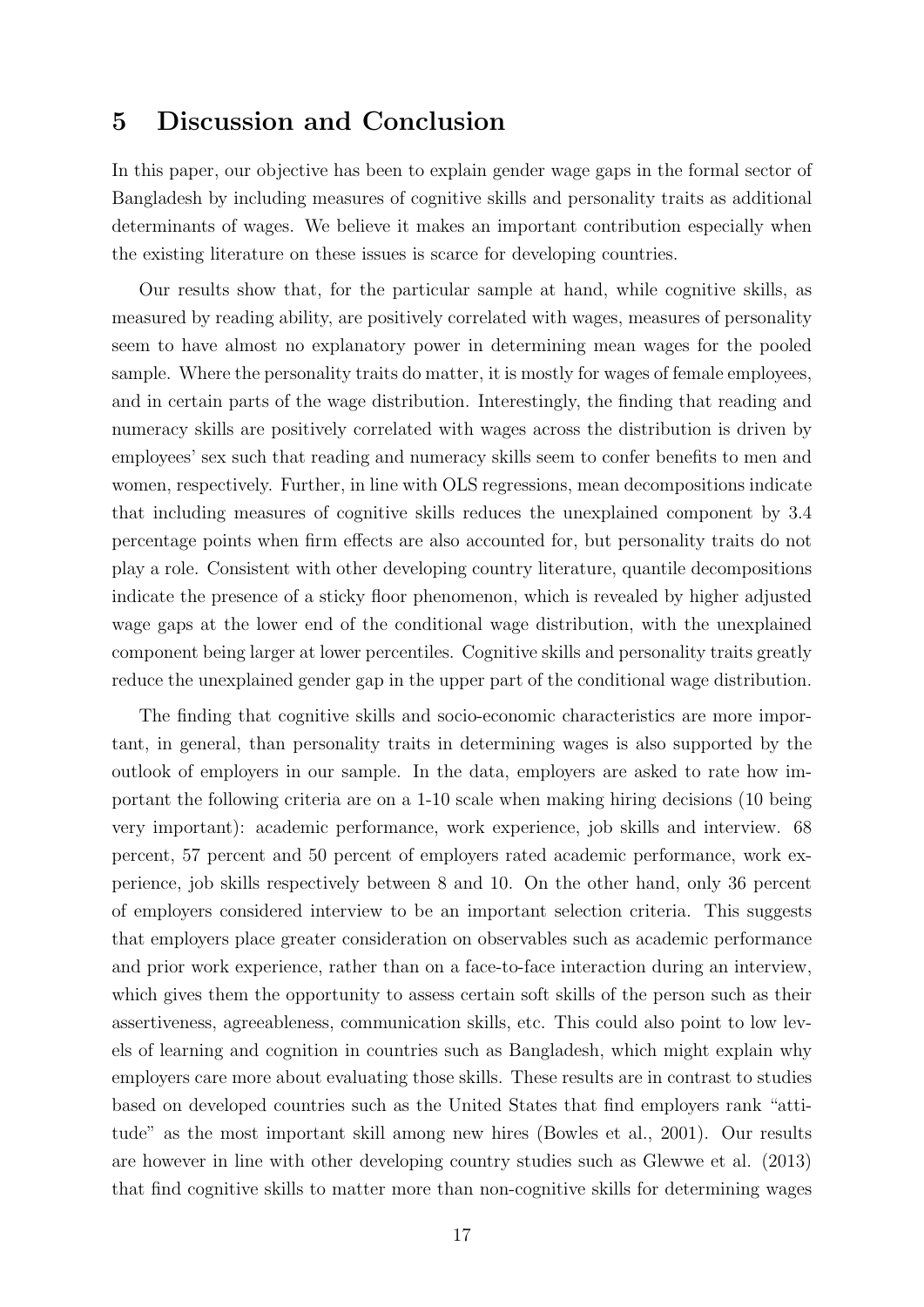### 5 Discussion and Conclusion

In this paper, our objective has been to explain gender wage gaps in the formal sector of Bangladesh by including measures of cognitive skills and personality traits as additional determinants of wages. We believe it makes an important contribution especially when the existing literature on these issues is scarce for developing countries.

Our results show that, for the particular sample at hand, while cognitive skills, as measured by reading ability, are positively correlated with wages, measures of personality seem to have almost no explanatory power in determining mean wages for the pooled sample. Where the personality traits do matter, it is mostly for wages of female employees, and in certain parts of the wage distribution. Interestingly, the finding that reading and numeracy skills are positively correlated with wages across the distribution is driven by employees' sex such that reading and numeracy skills seem to confer benefits to men and women, respectively. Further, in line with OLS regressions, mean decompositions indicate that including measures of cognitive skills reduces the unexplained component by 3.4 percentage points when firm effects are also accounted for, but personality traits do not play a role. Consistent with other developing country literature, quantile decompositions indicate the presence of a sticky floor phenomenon, which is revealed by higher adjusted wage gaps at the lower end of the conditional wage distribution, with the unexplained component being larger at lower percentiles. Cognitive skills and personality traits greatly reduce the unexplained gender gap in the upper part of the conditional wage distribution.

The finding that cognitive skills and socio-economic characteristics are more important, in general, than personality traits in determining wages is also supported by the outlook of employers in our sample. In the data, employers are asked to rate how important the following criteria are on a 1-10 scale when making hiring decisions (10 being very important): academic performance, work experience, job skills and interview. 68 percent, 57 percent and 50 percent of employers rated academic performance, work experience, job skills respectively between 8 and 10. On the other hand, only 36 percent of employers considered interview to be an important selection criteria. This suggests that employers place greater consideration on observables such as academic performance and prior work experience, rather than on a face-to-face interaction during an interview, which gives them the opportunity to assess certain soft skills of the person such as their assertiveness, agreeableness, communication skills, etc. This could also point to low levels of learning and cognition in countries such as Bangladesh, which might explain why employers care more about evaluating those skills. These results are in contrast to studies based on developed countries such as the United States that find employers rank "attitude" as the most important skill among new hires (Bowles et al., 2001). Our results are however in line with other developing country studies such as Glewwe et al. (2013) that find cognitive skills to matter more than non-cognitive skills for determining wages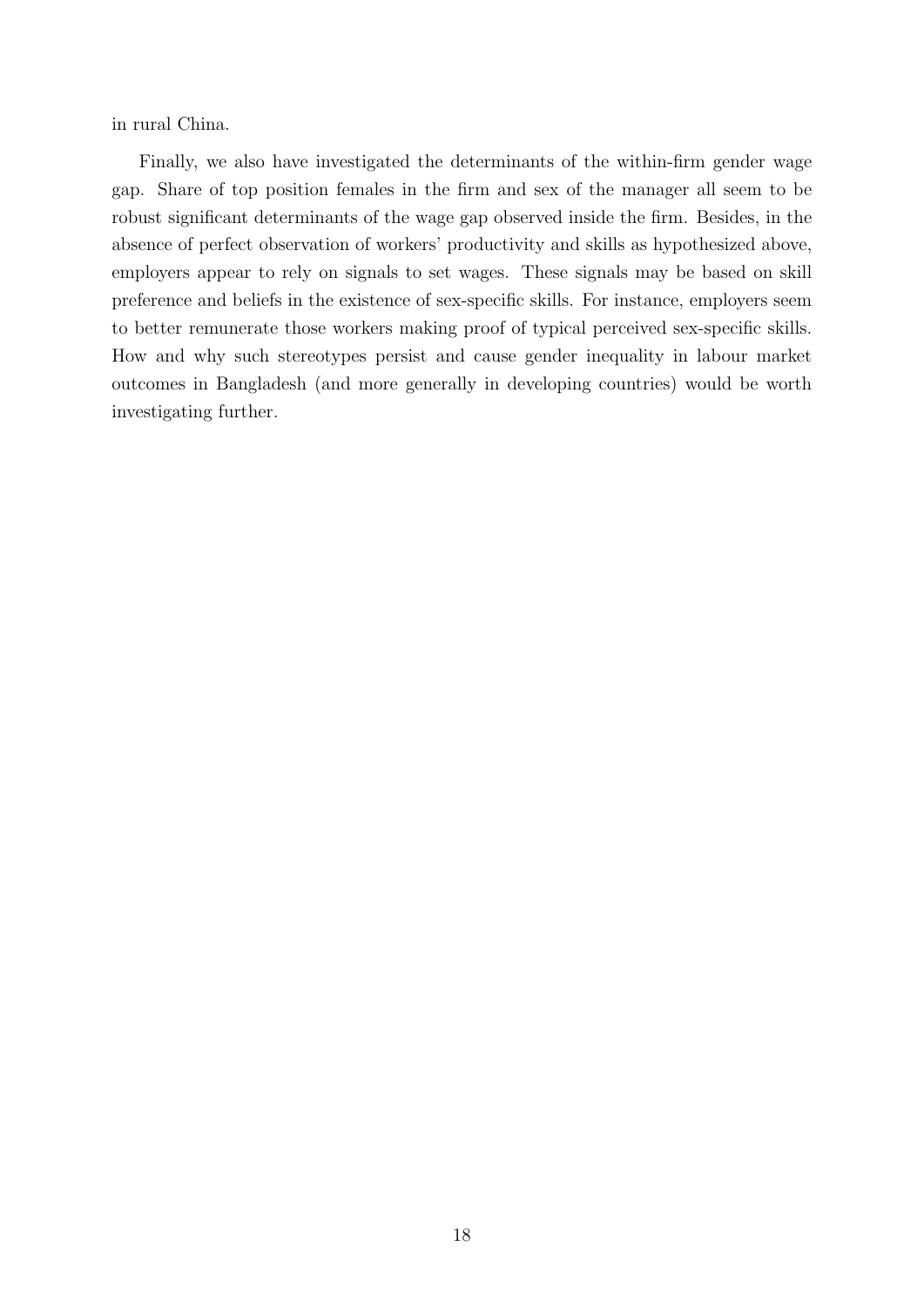in rural China.

Finally, we also have investigated the determinants of the within-firm gender wage gap. Share of top position females in the firm and sex of the manager all seem to be robust significant determinants of the wage gap observed inside the firm. Besides, in the absence of perfect observation of workers' productivity and skills as hypothesized above, employers appear to rely on signals to set wages. These signals may be based on skill preference and beliefs in the existence of sex-specific skills. For instance, employers seem to better remunerate those workers making proof of typical perceived sex-specific skills. How and why such stereotypes persist and cause gender inequality in labour market outcomes in Bangladesh (and more generally in developing countries) would be worth investigating further.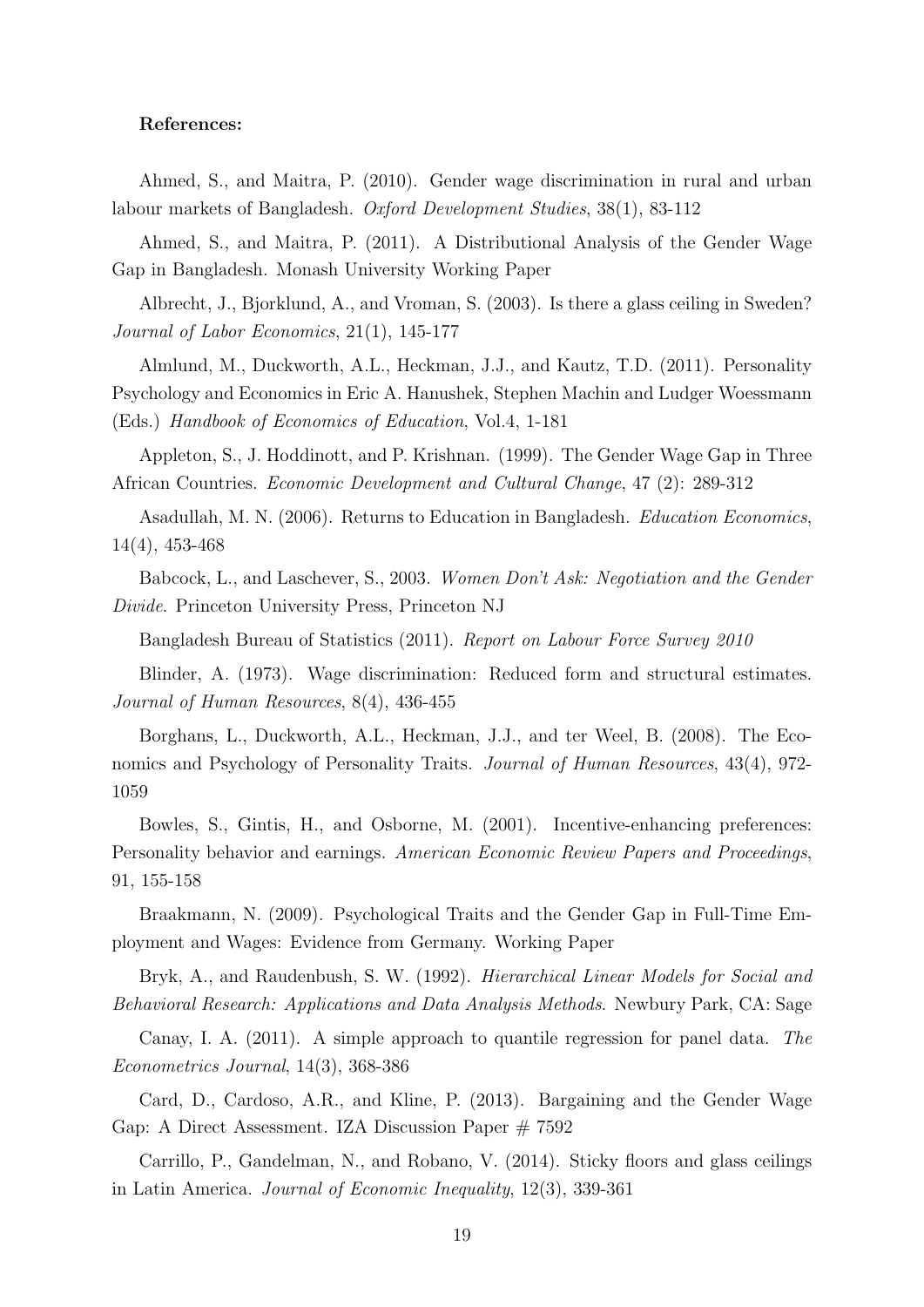#### References:

Ahmed, S., and Maitra, P. (2010). Gender wage discrimination in rural and urban labour markets of Bangladesh. Oxford Development Studies, 38(1), 83-112

Ahmed, S., and Maitra, P. (2011). A Distributional Analysis of the Gender Wage Gap in Bangladesh. Monash University Working Paper

Albrecht, J., Bjorklund, A., and Vroman, S. (2003). Is there a glass ceiling in Sweden? Journal of Labor Economics, 21(1), 145-177

Almlund, M., Duckworth, A.L., Heckman, J.J., and Kautz, T.D. (2011). Personality Psychology and Economics in Eric A. Hanushek, Stephen Machin and Ludger Woessmann (Eds.) Handbook of Economics of Education, Vol.4, 1-181

Appleton, S., J. Hoddinott, and P. Krishnan. (1999). The Gender Wage Gap in Three African Countries. Economic Development and Cultural Change, 47 (2): 289-312

Asadullah, M. N. (2006). Returns to Education in Bangladesh. Education Economics, 14(4), 453-468

Babcock, L., and Laschever, S., 2003. Women Don't Ask: Negotiation and the Gender Divide. Princeton University Press, Princeton NJ

Bangladesh Bureau of Statistics (2011). Report on Labour Force Survey 2010

Blinder, A. (1973). Wage discrimination: Reduced form and structural estimates. Journal of Human Resources, 8(4), 436-455

Borghans, L., Duckworth, A.L., Heckman, J.J., and ter Weel, B. (2008). The Economics and Psychology of Personality Traits. Journal of Human Resources, 43(4), 972- 1059

Bowles, S., Gintis, H., and Osborne, M. (2001). Incentive-enhancing preferences: Personality behavior and earnings. American Economic Review Papers and Proceedings, 91, 155-158

Braakmann, N. (2009). Psychological Traits and the Gender Gap in Full-Time Employment and Wages: Evidence from Germany. Working Paper

Bryk, A., and Raudenbush, S. W. (1992). Hierarchical Linear Models for Social and Behavioral Research: Applications and Data Analysis Methods. Newbury Park, CA: Sage

Canay, I. A. (2011). A simple approach to quantile regression for panel data. The Econometrics Journal, 14(3), 368-386

Card, D., Cardoso, A.R., and Kline, P. (2013). Bargaining and the Gender Wage Gap: A Direct Assessment. IZA Discussion Paper # 7592

Carrillo, P., Gandelman, N., and Robano, V. (2014). Sticky floors and glass ceilings in Latin America. Journal of Economic Inequality, 12(3), 339-361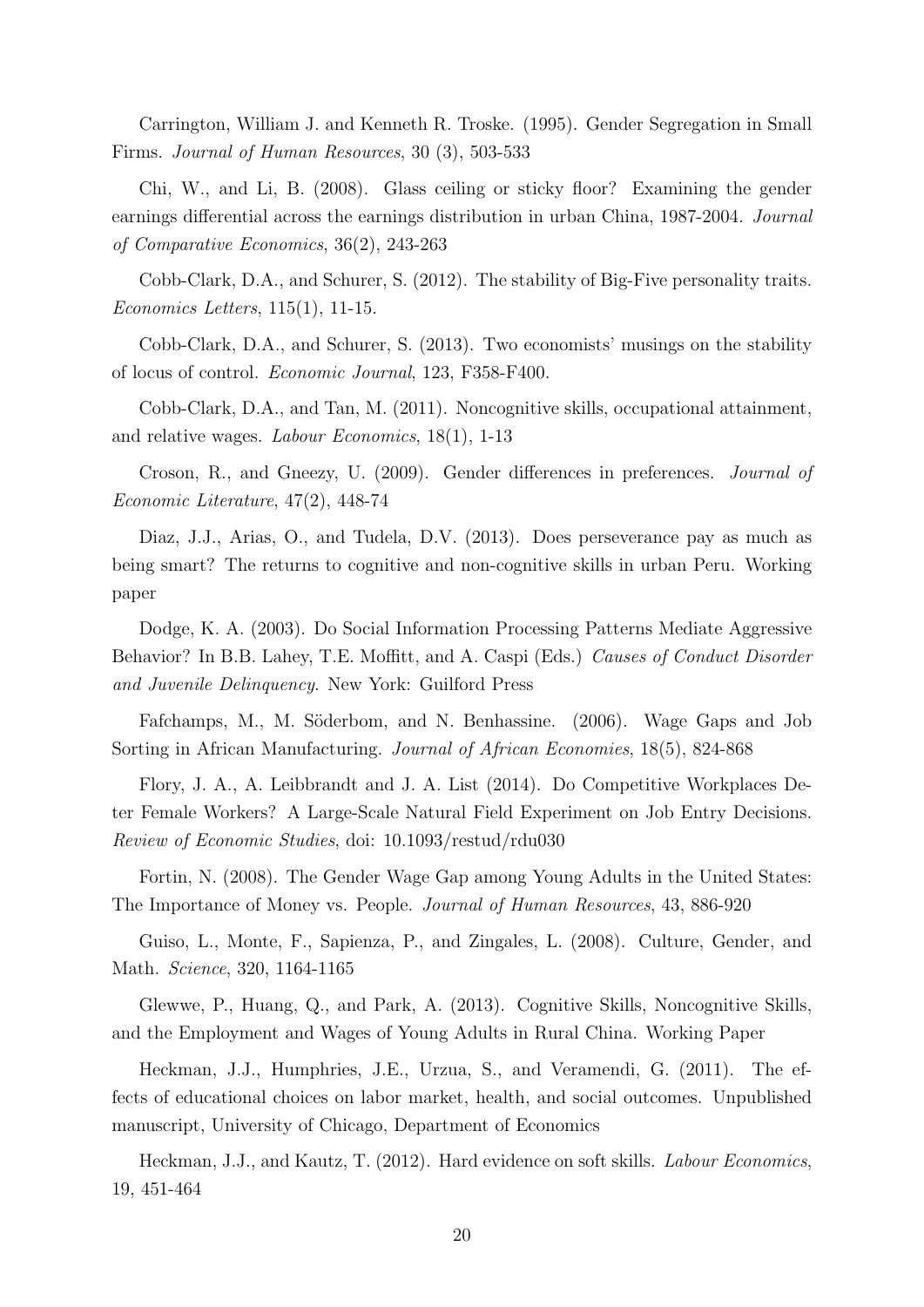Carrington, William J. and Kenneth R. Troske. (1995). Gender Segregation in Small Firms. Journal of Human Resources, 30 (3), 503-533

Chi, W., and Li, B. (2008). Glass ceiling or sticky floor? Examining the gender earnings differential across the earnings distribution in urban China, 1987-2004. Journal of Comparative Economics, 36(2), 243-263

Cobb-Clark, D.A., and Schurer, S. (2012). The stability of Big-Five personality traits. Economics Letters, 115(1), 11-15.

Cobb-Clark, D.A., and Schurer, S. (2013). Two economists' musings on the stability of locus of control. Economic Journal, 123, F358-F400.

Cobb-Clark, D.A., and Tan, M. (2011). Noncognitive skills, occupational attainment, and relative wages. Labour Economics, 18(1), 1-13

Croson, R., and Gneezy, U. (2009). Gender differences in preferences. Journal of Economic Literature, 47(2), 448-74

Diaz, J.J., Arias, O., and Tudela, D.V. (2013). Does perseverance pay as much as being smart? The returns to cognitive and non-cognitive skills in urban Peru. Working paper

Dodge, K. A. (2003). Do Social Information Processing Patterns Mediate Aggressive Behavior? In B.B. Lahey, T.E. Moffitt, and A. Caspi (Eds.) Causes of Conduct Disorder and Juvenile Delinquency. New York: Guilford Press

Fafchamps, M., M. Söderbom, and N. Benhassine. (2006). Wage Gaps and Job Sorting in African Manufacturing. Journal of African Economies, 18(5), 824-868

Flory, J. A., A. Leibbrandt and J. A. List (2014). Do Competitive Workplaces Deter Female Workers? A Large-Scale Natural Field Experiment on Job Entry Decisions. Review of Economic Studies, doi: 10.1093/restud/rdu030

Fortin, N. (2008). The Gender Wage Gap among Young Adults in the United States: The Importance of Money vs. People. Journal of Human Resources, 43, 886-920

Guiso, L., Monte, F., Sapienza, P., and Zingales, L. (2008). Culture, Gender, and Math. Science, 320, 1164-1165

Glewwe, P., Huang, Q., and Park, A. (2013). Cognitive Skills, Noncognitive Skills, and the Employment and Wages of Young Adults in Rural China. Working Paper

Heckman, J.J., Humphries, J.E., Urzua, S., and Veramendi, G. (2011). The effects of educational choices on labor market, health, and social outcomes. Unpublished manuscript, University of Chicago, Department of Economics

Heckman, J.J., and Kautz, T. (2012). Hard evidence on soft skills. Labour Economics, 19, 451-464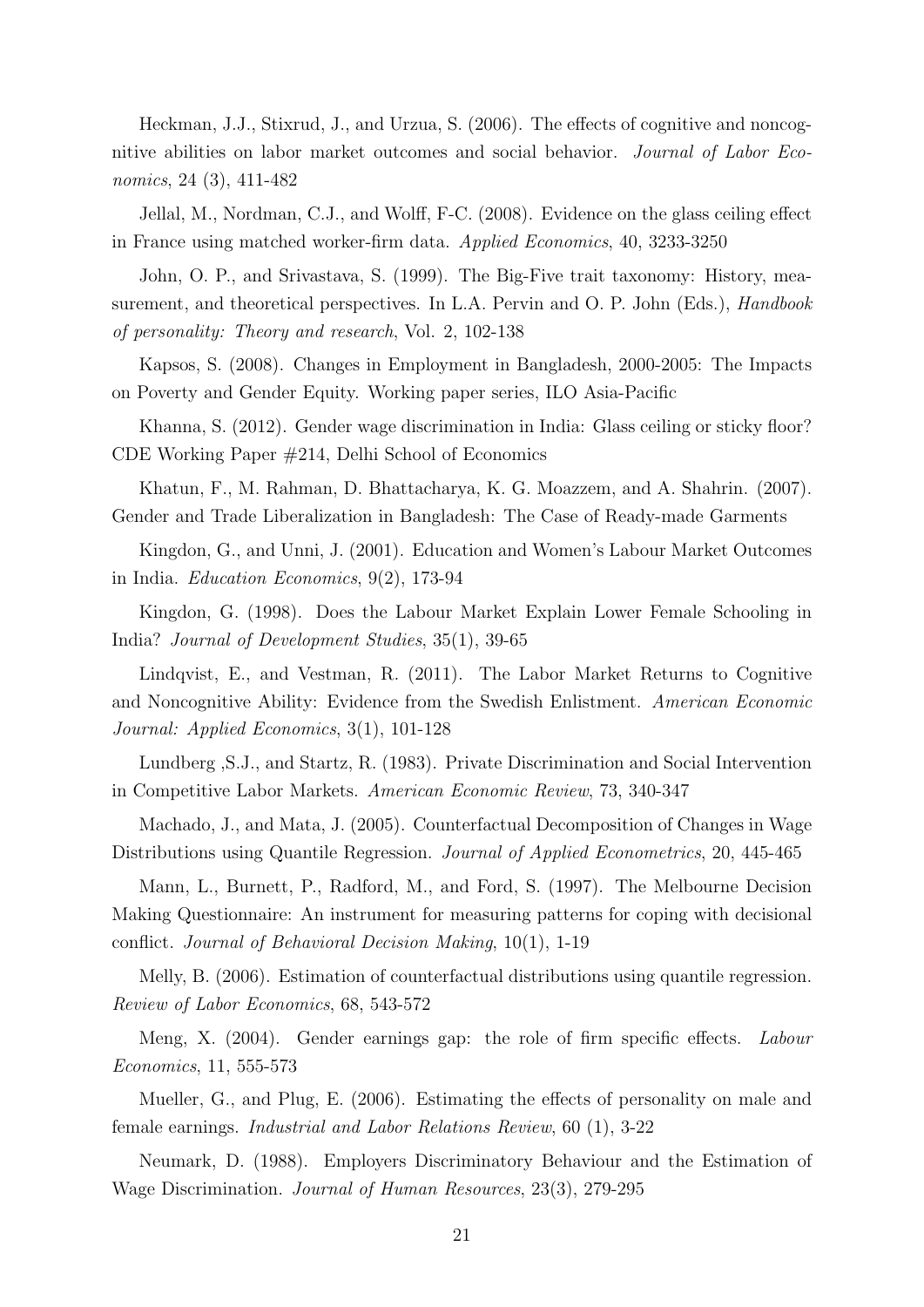Heckman, J.J., Stixrud, J., and Urzua, S. (2006). The effects of cognitive and noncognitive abilities on labor market outcomes and social behavior. Journal of Labor Economics, 24 (3), 411-482

Jellal, M., Nordman, C.J., and Wolff, F-C. (2008). Evidence on the glass ceiling effect in France using matched worker-firm data. Applied Economics, 40, 3233-3250

John, O. P., and Srivastava, S. (1999). The Big-Five trait taxonomy: History, measurement, and theoretical perspectives. In L.A. Pervin and O. P. John (Eds.), *Handbook* of personality: Theory and research, Vol. 2, 102-138

Kapsos, S. (2008). Changes in Employment in Bangladesh, 2000-2005: The Impacts on Poverty and Gender Equity. Working paper series, ILO Asia-Pacific

Khanna, S. (2012). Gender wage discrimination in India: Glass ceiling or sticky floor? CDE Working Paper #214, Delhi School of Economics

Khatun, F., M. Rahman, D. Bhattacharya, K. G. Moazzem, and A. Shahrin. (2007). Gender and Trade Liberalization in Bangladesh: The Case of Ready-made Garments

Kingdon, G., and Unni, J. (2001). Education and Women's Labour Market Outcomes in India. Education Economics, 9(2), 173-94

Kingdon, G. (1998). Does the Labour Market Explain Lower Female Schooling in India? Journal of Development Studies, 35(1), 39-65

Lindqvist, E., and Vestman, R. (2011). The Labor Market Returns to Cognitive and Noncognitive Ability: Evidence from the Swedish Enlistment. American Economic Journal: Applied Economics, 3(1), 101-128

Lundberg ,S.J., and Startz, R. (1983). Private Discrimination and Social Intervention in Competitive Labor Markets. American Economic Review, 73, 340-347

Machado, J., and Mata, J. (2005). Counterfactual Decomposition of Changes in Wage Distributions using Quantile Regression. Journal of Applied Econometrics, 20, 445-465

Mann, L., Burnett, P., Radford, M., and Ford, S. (1997). The Melbourne Decision Making Questionnaire: An instrument for measuring patterns for coping with decisional conflict. Journal of Behavioral Decision Making, 10(1), 1-19

Melly, B. (2006). Estimation of counterfactual distributions using quantile regression. Review of Labor Economics, 68, 543-572

Meng, X. (2004). Gender earnings gap: the role of firm specific effects. Labour Economics, 11, 555-573

Mueller, G., and Plug, E. (2006). Estimating the effects of personality on male and female earnings. Industrial and Labor Relations Review, 60 (1), 3-22

Neumark, D. (1988). Employers Discriminatory Behaviour and the Estimation of Wage Discrimination. Journal of Human Resources, 23(3), 279-295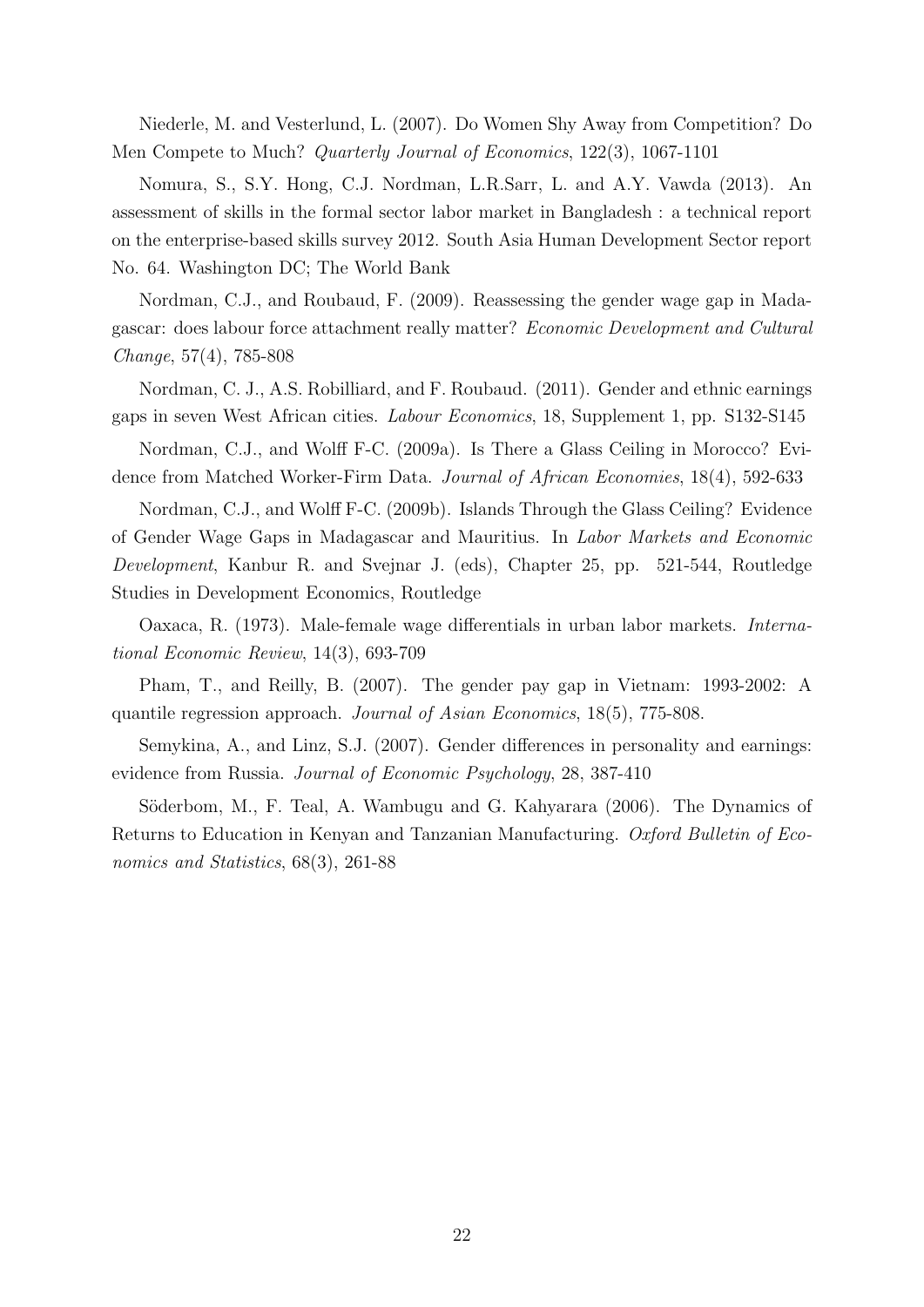Niederle, M. and Vesterlund, L. (2007). Do Women Shy Away from Competition? Do Men Compete to Much? Quarterly Journal of Economics, 122(3), 1067-1101

Nomura, S., S.Y. Hong, C.J. Nordman, L.R.Sarr, L. and A.Y. Vawda (2013). An assessment of skills in the formal sector labor market in Bangladesh : a technical report on the enterprise-based skills survey 2012. South Asia Human Development Sector report No. 64. Washington DC; The World Bank

Nordman, C.J., and Roubaud, F. (2009). Reassessing the gender wage gap in Madagascar: does labour force attachment really matter? Economic Development and Cultural Change, 57(4), 785-808

Nordman, C. J., A.S. Robilliard, and F. Roubaud. (2011). Gender and ethnic earnings gaps in seven West African cities. Labour Economics, 18, Supplement 1, pp. S132-S145

Nordman, C.J., and Wolff F-C. (2009a). Is There a Glass Ceiling in Morocco? Evidence from Matched Worker-Firm Data. Journal of African Economies, 18(4), 592-633

Nordman, C.J., and Wolff F-C. (2009b). Islands Through the Glass Ceiling? Evidence of Gender Wage Gaps in Madagascar and Mauritius. In Labor Markets and Economic Development, Kanbur R. and Svejnar J. (eds), Chapter 25, pp. 521-544, Routledge Studies in Development Economics, Routledge

Oaxaca, R. (1973). Male-female wage differentials in urban labor markets. International Economic Review, 14(3), 693-709

Pham, T., and Reilly, B. (2007). The gender pay gap in Vietnam: 1993-2002: A quantile regression approach. Journal of Asian Economics, 18(5), 775-808.

Semykina, A., and Linz, S.J. (2007). Gender differences in personality and earnings: evidence from Russia. Journal of Economic Psychology, 28, 387-410

Söderbom, M., F. Teal, A. Wambugu and G. Kahyarara (2006). The Dynamics of Returns to Education in Kenyan and Tanzanian Manufacturing. Oxford Bulletin of Economics and Statistics, 68(3), 261-88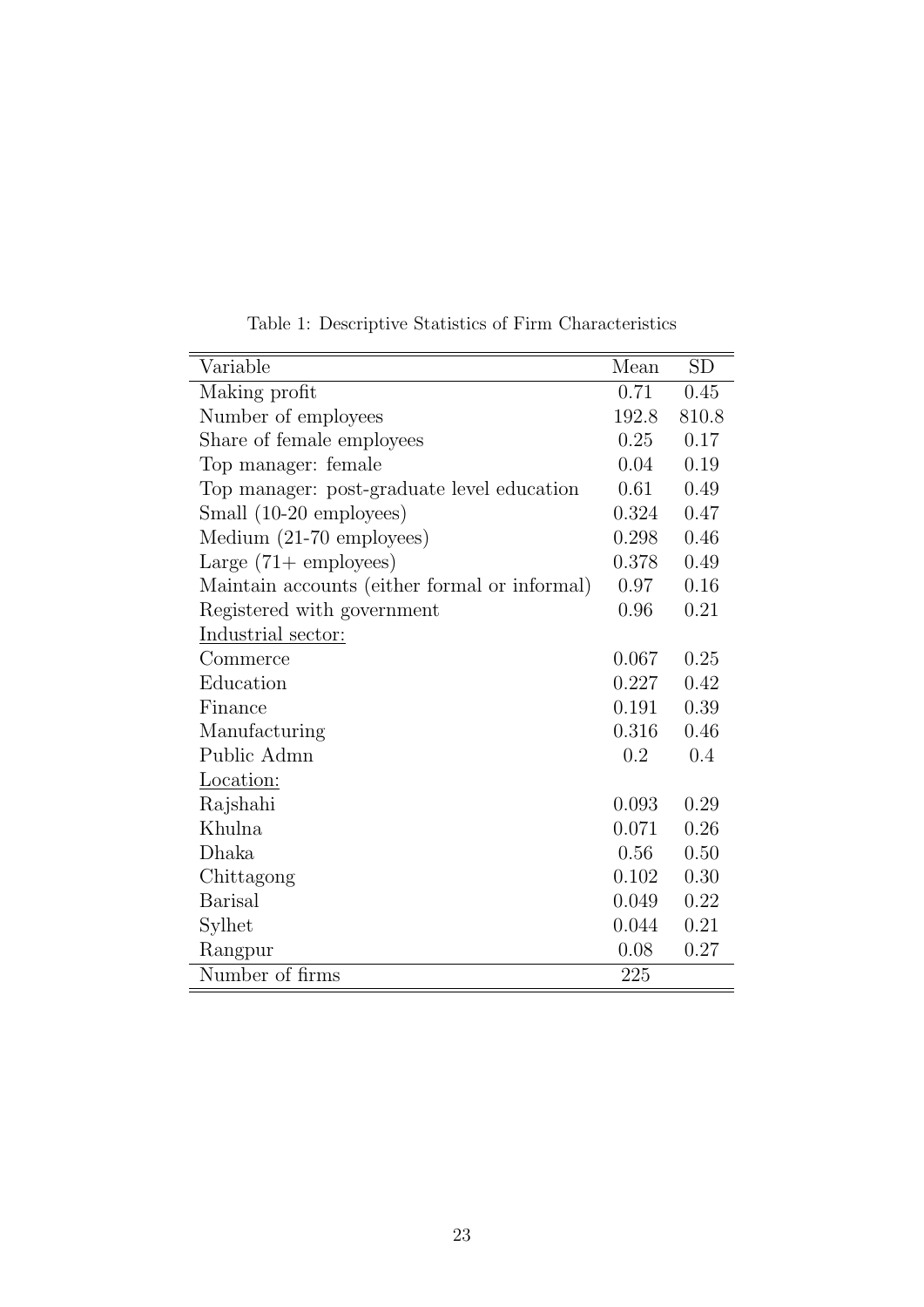| Variable                                      | Mean  | <b>SD</b> |
|-----------------------------------------------|-------|-----------|
| Making profit                                 | 0.71  | 0.45      |
| Number of employees                           | 192.8 | 810.8     |
| Share of female employees                     | 0.25  | 0.17      |
| Top manager: female                           | 0.04  | 0.19      |
| Top manager: post-graduate level education    | 0.61  | 0.49      |
| Small (10-20 employees)                       | 0.324 | 0.47      |
| Medium (21-70 employees)                      | 0.298 | 0.46      |
| Large $(71 + \text{ employees})$              | 0.378 | 0.49      |
| Maintain accounts (either formal or informal) | 0.97  | 0.16      |
| Registered with government                    | 0.96  | 0.21      |
| Industrial sector:                            |       |           |
| Commerce                                      | 0.067 | 0.25      |
| Education                                     | 0.227 | 0.42      |
| Finance                                       | 0.191 | 0.39      |
| Manufacturing                                 | 0.316 | 0.46      |
| Public Admn                                   | 0.2   | 0.4       |
| Location:                                     |       |           |
| Rajshahi                                      | 0.093 | 0.29      |
| Khulna                                        | 0.071 | 0.26      |
| Dhaka                                         | 0.56  | 0.50      |
| Chittagong                                    | 0.102 | 0.30      |
| <b>Barisal</b>                                | 0.049 | 0.22      |
| Sylhet                                        | 0.044 | 0.21      |
| Rangpur                                       | 0.08  | 0.27      |
| Number of firms                               | 225   |           |

Table 1: Descriptive Statistics of Firm Characteristics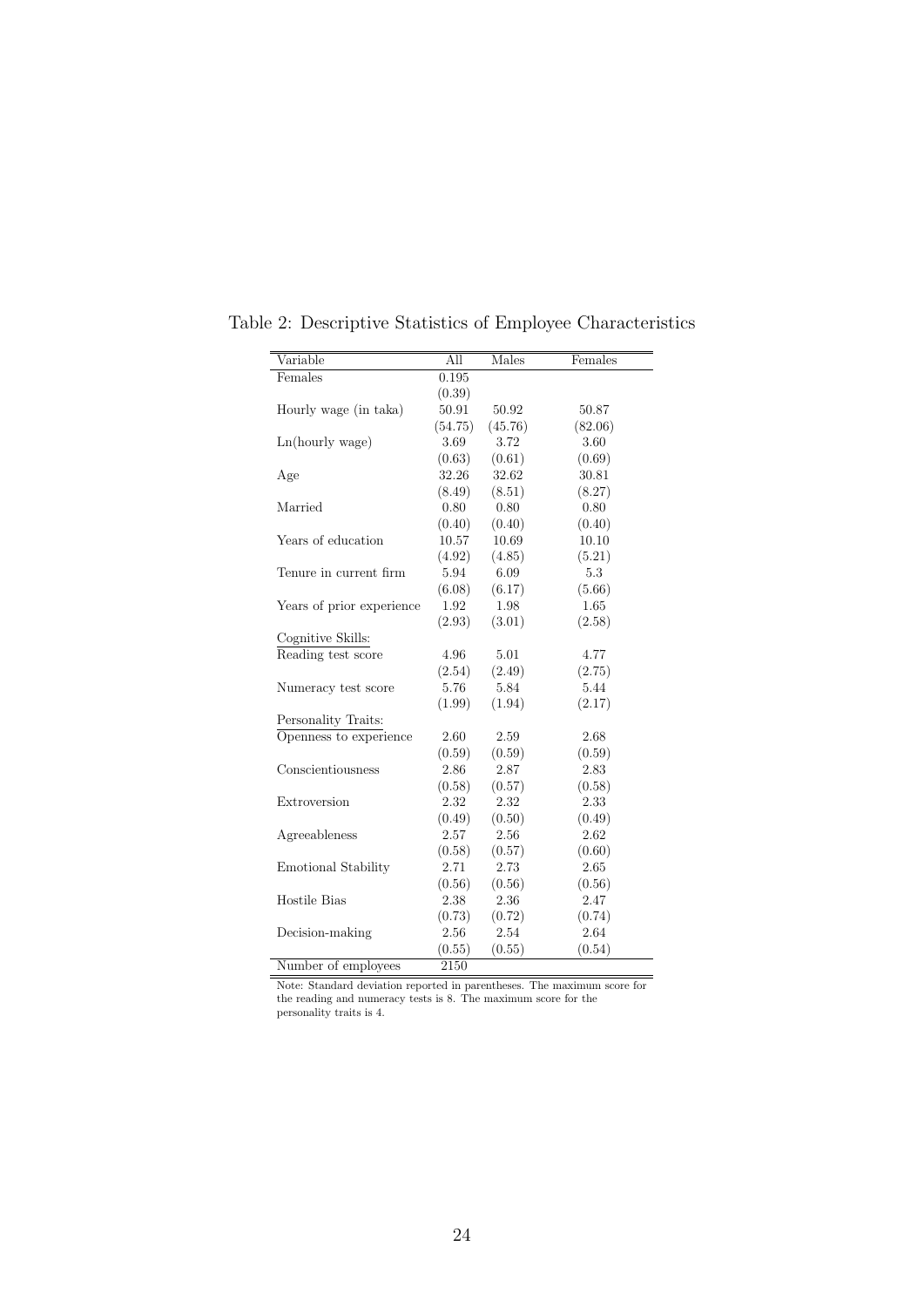| Variable                  | All      | Males   | Females |
|---------------------------|----------|---------|---------|
| Females                   | 0.195    |         |         |
|                           | (0.39)   |         |         |
| Hourly wage (in taka)     | 50.91    | 50.92   | 50.87   |
|                           | (54.75)  | (45.76) | (82.06) |
| Ln(hourly wage)           | 3.69     | 3.72    | 3.60    |
|                           | (0.63)   | (0.61)  | (0.69)  |
| Age                       | 32.26    | 32.62   | 30.81   |
|                           | (8.49)   | (8.51)  | (8.27)  |
| Married                   | 0.80     | 0.80    | 0.80    |
|                           | (0.40)   | (0.40)  | (0.40)  |
| Years of education        | 10.57    | 10.69   | 10.10   |
|                           | (4.92)   | (4.85)  | (5.21)  |
| Tenure in current firm    | 5.94     | 6.09    | 5.3     |
|                           | (6.08)   | (6.17)  | (5.66)  |
| Years of prior experience | 1.92     | 1.98    | 1.65    |
|                           | (2.93)   | (3.01)  | (2.58)  |
| Cognitive Skills:         |          |         |         |
| Reading test score        | 4.96     | 5.01    | 4.77    |
|                           | (2.54)   | (2.49)  | (2.75)  |
| Numeracy test score       | 5.76     | 5.84    | 5.44    |
|                           | (1.99)   | (1.94)  | (2.17)  |
| Personality Traits:       |          |         |         |
| Openness to experience    | 2.60     | 2.59    | 2.68    |
|                           | (0.59)   | (0.59)  | (0.59)  |
| Conscientiousness         | 2.86     | 2.87    | 2.83    |
|                           | (0.58)   | (0.57)  | (0.58)  |
| Extroversion              | 2.32     | 2.32    | 2.33    |
|                           | (0.49)   | (0.50)  | (0.49)  |
| Agreeableness             | 2.57     | 2.56    | 2.62    |
|                           | (0.58)   | (0.57)  | (0.60)  |
| Emotional Stability       | 2.71     | 2.73    | 2.65    |
|                           | (0.56)   | (0.56)  | (0.56)  |
| <b>Hostile Bias</b>       | $2.38\,$ | 2.36    | 2.47    |
|                           | (0.73)   | (0.72)  | (0.74)  |
| Decision-making           | 2.56     | 2.54    | 2.64    |
|                           | (0.55)   | (0.55)  | (0.54)  |
| Number of employees       | 2150     |         |         |

Table 2: Descriptive Statistics of Employee Characteristics

Note: Standard deviation reported in parentheses. The maximum score for the reading and numeracy tests is 8. The maximum score for the personality traits is 4.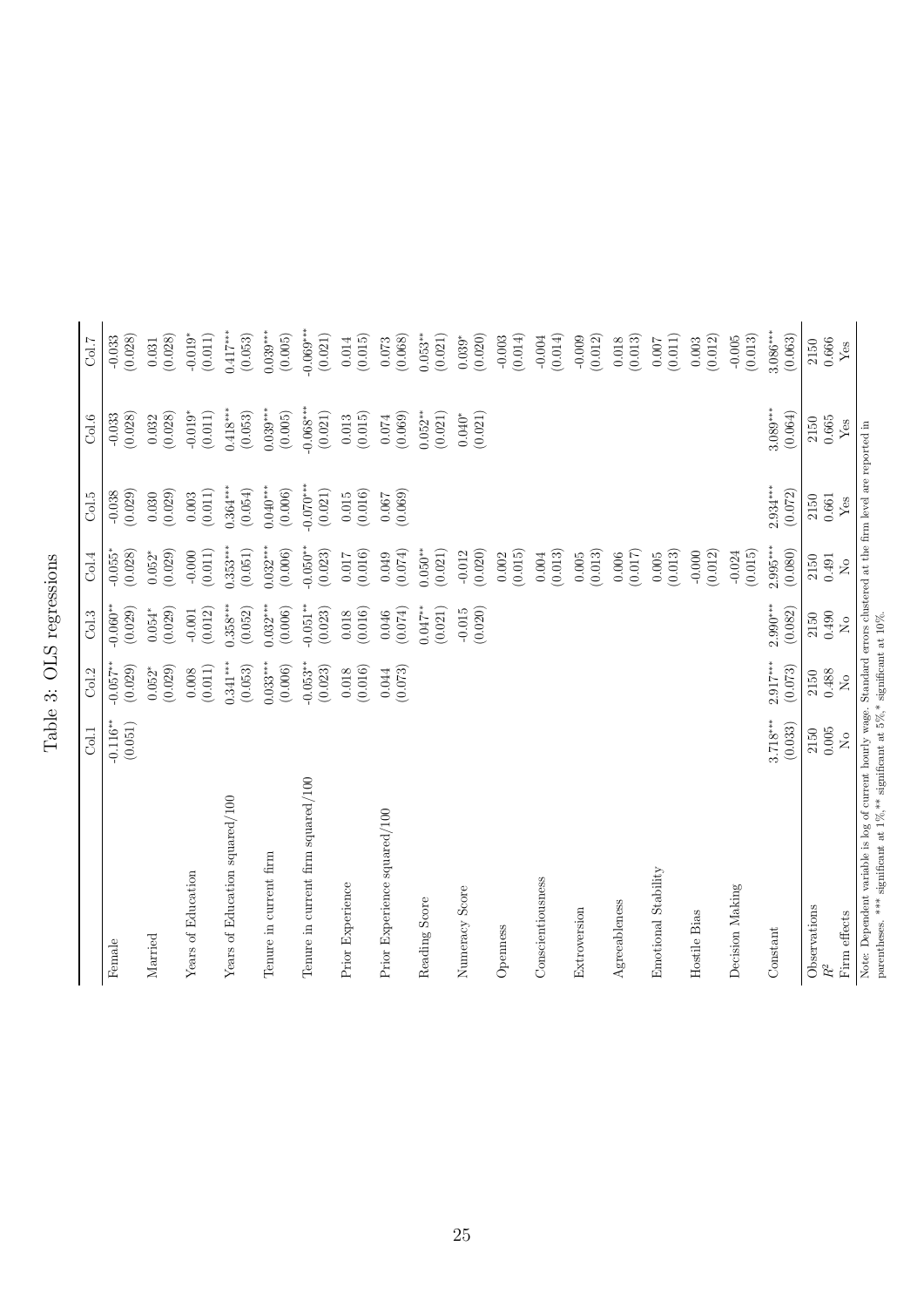Table 3: OLS regressions Table 3: OLS regressions

|                                                                                                                                                                                                                  | Col.1                 | Col.2                                    | Col.3                        | Col.4                           | Col.5                        | Col.6                  | Col.7                        |
|------------------------------------------------------------------------------------------------------------------------------------------------------------------------------------------------------------------|-----------------------|------------------------------------------|------------------------------|---------------------------------|------------------------------|------------------------|------------------------------|
| Female                                                                                                                                                                                                           | $-0.116**$<br>(0.051) | $-0.057**$<br>(0.029)                    | $-0.060**$<br>(0.029)        | $-0.055*$<br>(0.028)            | $-0.038$<br>(0.029)          | (0.028)<br>$-0.033$    | (0.028)<br>$-0.033$          |
| Married                                                                                                                                                                                                          |                       | (0.029)<br>$0.052*$                      | (0.029)<br>$0.054*$          | (0.029)<br>$0.052*$             | (0.029)<br>0.030             | (0.028)<br>0.032       | (0.028)<br>0.031             |
| Years of Education                                                                                                                                                                                               |                       | (0.011)<br>0.008                         | (0.012)<br>$-0.001$          | $-0.000$<br>(0.011)             | (0.011)<br>0.003             | $-0.019*$<br>(0.011)   | $-0.019*$<br>(0.011)         |
| Years of Education squared/100                                                                                                                                                                                   |                       | $0.341***$<br>(0.053)                    | $0.358***$<br>(0.052)        | $0.353***$<br>(0.051)           | $0.364***$<br>(0.054)        | $0.418***$<br>(0.053)  | $0.417***$<br>(0.053)        |
| Tenure in current firm                                                                                                                                                                                           |                       | $0.033***$<br>(0.006)                    | $0.032***$<br>(0.006)        | $0.032***$<br>(0.006)           | $0.040***$<br>(0.006)        | $0.039***$<br>(0.005)  | $0.039***$<br>(0.005)        |
| Tenure in current firm squared/100                                                                                                                                                                               |                       | $-0.053**$<br>(0.023)                    | $-0.051**$<br>(0.023)        | $-0.050**$<br>(0.023)           | $-0.070***$<br>(0.021)       | $-0.068***$<br>(0.021) | $-0.069***$<br>(0.021)       |
| Prior Experience                                                                                                                                                                                                 |                       | (0.016)<br>0.018                         | (0.016)<br>$0.018\,$         | (0.016)<br>0.017                | (0.016)<br>0.015             | (0.015)<br>0.013       | (0.015)<br>0.014             |
| Prior Experience squared/100                                                                                                                                                                                     |                       | (0.073)<br>0.044                         | (0.074)<br>0.046             | (0.074)<br>0.049                | (0.069)<br>0.067             | (0.069)<br>$0.074\,$   | (0.068)<br>0.073             |
| Reading Score                                                                                                                                                                                                    |                       |                                          | (0.021)<br>$0.047**$         | $0.050**$<br>(0.021)            |                              | (0.021)<br>$0.052**$   | $0.053***$<br>(0.021)        |
| Numeracy Score                                                                                                                                                                                                   |                       |                                          | (0.020)<br>$-0.015$          | (0.020)<br>$-0.012$             |                              | (0.021)<br>$0.040*$    | (0.020)<br>$0.039*$          |
| Openness                                                                                                                                                                                                         |                       |                                          |                              | (0.015)<br>0.002                |                              |                        | $-0.003$<br>(0.014)          |
| Conscientiousness                                                                                                                                                                                                |                       |                                          |                              | (0.013)<br>0.004                |                              |                        | (0.014)<br>$-0.004$          |
| Extroversion                                                                                                                                                                                                     |                       |                                          |                              | (0.013)<br>0.005                |                              |                        | (0.012)<br>$-0.009$          |
| Agreeableness                                                                                                                                                                                                    |                       |                                          |                              | (0.017)<br>0.006                |                              |                        | (0.013)<br>0.018             |
| Emotional Stability                                                                                                                                                                                              |                       |                                          |                              | (0.013)<br>$0.005\,$            |                              |                        | (0.011)<br>$0.007$           |
| Hostile Bias                                                                                                                                                                                                     |                       |                                          |                              | $-0.000$<br>(0.012)             |                              |                        | (0.012)<br>0.003             |
| Decision Making                                                                                                                                                                                                  |                       |                                          |                              | (0.015)<br>$-0.024$             |                              |                        | (0.013)<br>$-0.005$          |
| Constant                                                                                                                                                                                                         | $3.718***$<br>(0.033) | $2.917***$<br>(0.073)                    | $2.990***$<br>(0.082)        | $2.995***$<br>(0.080)           | $2.934***$<br>(0.072)        | $3.089***$<br>(0.064)  | $3.086***$<br>(0.063)        |
| Observations<br>Firm effects<br>$\ensuremath{R^2}$                                                                                                                                                               | 0.005<br>2150<br>ž    | 0.488<br>2150<br>$\overline{\mathsf{X}}$ | 0.490<br>2150<br>$\tilde{S}$ | 2150<br>0.491<br>$\overline{R}$ | 0.661<br>2150<br>${\it Yes}$ | 0.665<br>2150<br>Yes   | 0.666<br>2150<br>${\rm Yes}$ |
| Note: Dependent variable is log of current hourly wage. Standard errors clustered at the firm level are reported in<br>parentheses. *** significant at $1\%$ ,** significant at $5\%$ ,* significant at $10\%$ . |                       |                                          |                              |                                 |                              |                        |                              |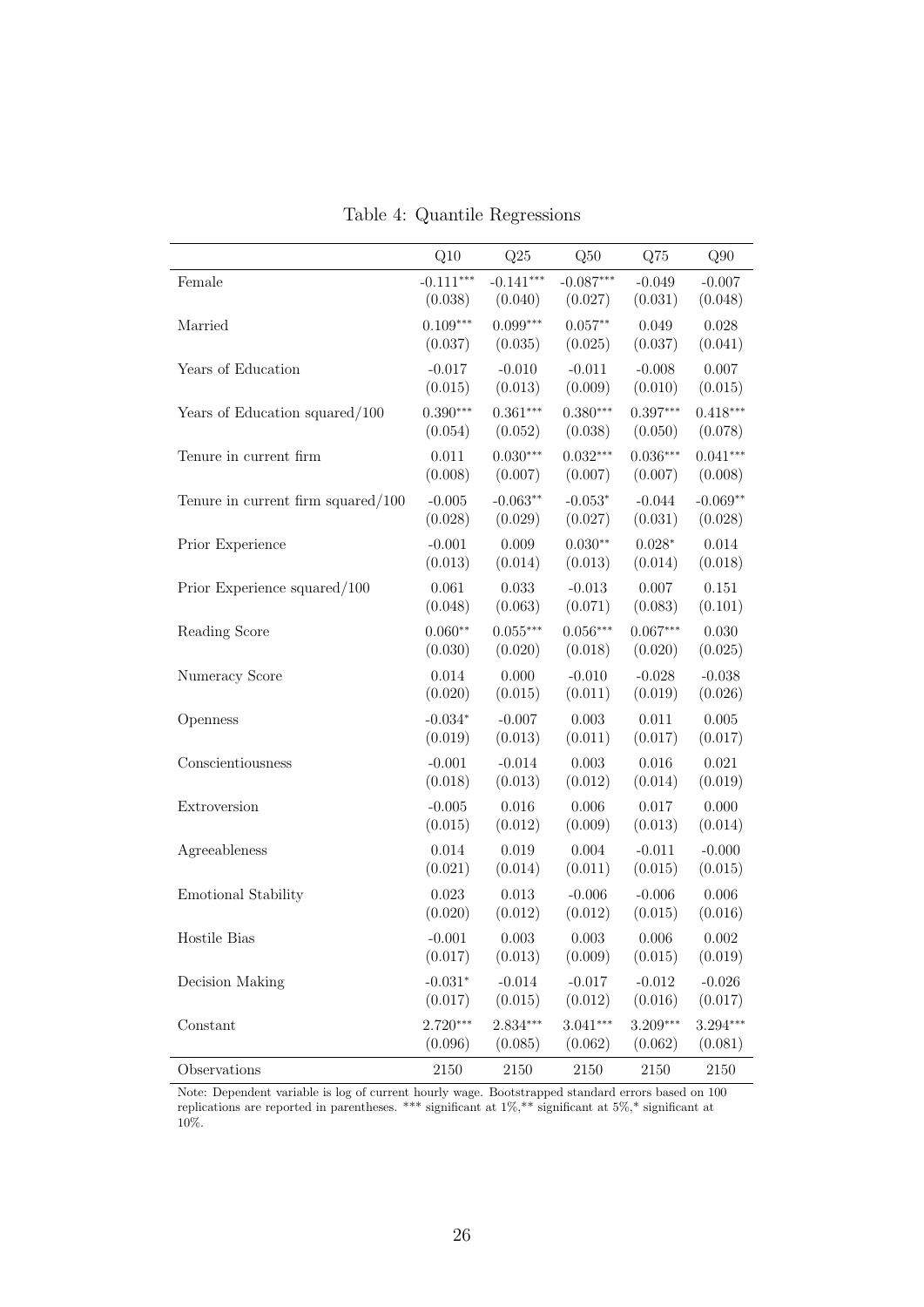|                                    | Q10         | Q25         | Q50         | Q75        | Q90        |
|------------------------------------|-------------|-------------|-------------|------------|------------|
| Female                             | $-0.111***$ | $-0.141***$ | $-0.087***$ | $-0.049$   | $-0.007$   |
|                                    | (0.038)     | (0.040)     | (0.027)     | (0.031)    | (0.048)    |
| Married                            | $0.109***$  | $0.099***$  | $0.057**$   | 0.049      | 0.028      |
|                                    | (0.037)     | (0.035)     | (0.025)     | (0.037)    | (0.041)    |
| Years of Education                 | $-0.017$    | $-0.010$    | $-0.011$    | $-0.008$   | 0.007      |
|                                    | (0.015)     | (0.013)     | (0.009)     | (0.010)    | (0.015)    |
| Years of Education squared/100     | $0.390***$  | $0.361***$  | $0.380***$  | $0.397***$ | $0.418***$ |
|                                    | (0.054)     | (0.052)     | (0.038)     | (0.050)    | (0.078)    |
| Tenure in current firm             | 0.011       | $0.030***$  | $0.032***$  | $0.036***$ | $0.041***$ |
|                                    | (0.008)     | (0.007)     | (0.007)     | (0.007)    | (0.008)    |
| Tenure in current firm squared/100 | $-0.005$    | $-0.063**$  | $-0.053*$   | $-0.044$   | $-0.069**$ |
|                                    | (0.028)     | (0.029)     | (0.027)     | (0.031)    | (0.028)    |
| Prior Experience                   | $-0.001$    | 0.009       | $0.030**$   | $0.028*$   | 0.014      |
|                                    | (0.013)     | (0.014)     | (0.013)     | (0.014)    | (0.018)    |
| Prior Experience squared/100       | 0.061       | 0.033       | $-0.013$    | 0.007      | 0.151      |
|                                    | (0.048)     | (0.063)     | (0.071)     | (0.083)    | (0.101)    |
| Reading Score                      | $0.060**$   | $0.055***$  | $0.056***$  | $0.067***$ | 0.030      |
|                                    | (0.030)     | (0.020)     | (0.018)     | (0.020)    | (0.025)    |
| Numeracy Score                     | $0.014\,$   | 0.000       | $-0.010$    | $-0.028$   | $-0.038$   |
|                                    | (0.020)     | (0.015)     | (0.011)     | (0.019)    | (0.026)    |
| Openness                           | $-0.034*$   | $-0.007$    | 0.003       | 0.011      | 0.005      |
|                                    | (0.019)     | (0.013)     | (0.011)     | (0.017)    | (0.017)    |
| Conscientiousness                  | $-0.001$    | $-0.014$    | 0.003       | 0.016      | 0.021      |
|                                    | (0.018)     | (0.013)     | (0.012)     | (0.014)    | (0.019)    |
| Extroversion                       | $-0.005$    | 0.016       | 0.006       | 0.017      | 0.000      |
|                                    | (0.015)     | (0.012)     | (0.009)     | (0.013)    | (0.014)    |
| Agreeableness                      | 0.014       | 0.019       | 0.004       | $-0.011$   | $-0.000$   |
|                                    | (0.021)     | (0.014)     | (0.011)     | (0.015)    | (0.015)    |
| <b>Emotional Stability</b>         | 0.023       | 0.013       | $-0.006$    | $-0.006$   | 0.006      |
|                                    | (0.020)     | (0.012)     | (0.012)     | (0.015)    | (0.016)    |
| Hostile Bias                       | $-0.001$    | 0.003       | 0.003       | 0.006      | 0.002      |
|                                    | (0.017)     | (0.013)     | (0.009)     | (0.015)    | (0.019)    |
| Decision Making                    | $-0.031*$   | $-0.014$    | $-0.017$    | $-0.012$   | $-0.026$   |
|                                    | (0.017)     | (0.015)     | (0.012)     | (0.016)    | (0.017)    |
| Constant                           | $2.720***$  | 2.834***    | $3.041***$  | $3.209***$ | $3.294***$ |
|                                    | (0.096)     | (0.085)     | (0.062)     | (0.062)    | (0.081)    |
| Observations                       | 2150        | 2150        | 2150        | 2150       | 2150       |

Table 4: Quantile Regressions

Note: Dependent variable is log of current hourly wage. Bootstrapped standard errors based on 100 replications are reported in parentheses. \*\*\* significant at 1%,\*\* significant at 5%,\* significant at 10%.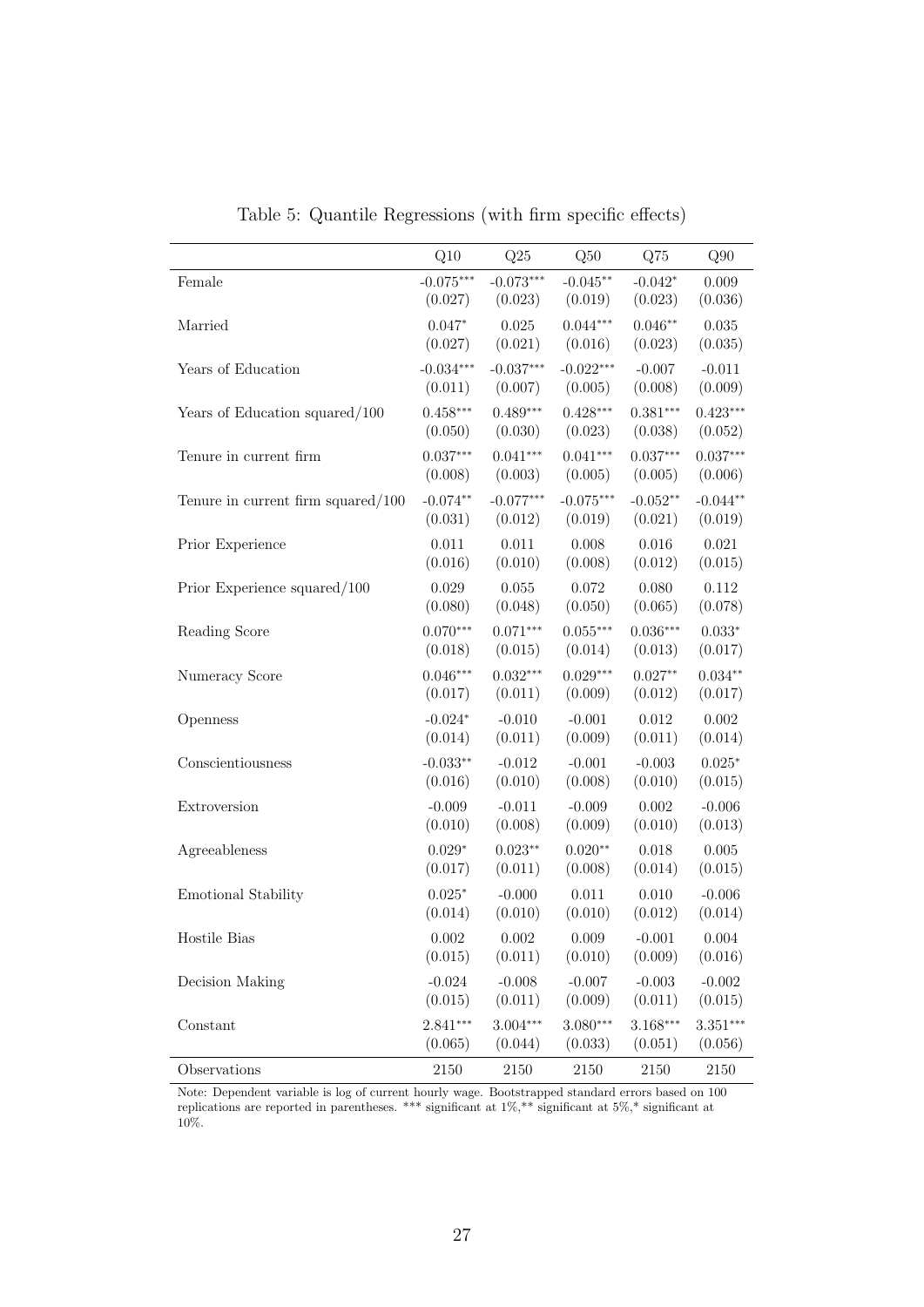|                                       | Q10         | Q25         | Q50         | Q75        | Q90        |
|---------------------------------------|-------------|-------------|-------------|------------|------------|
| Female                                | $-0.075***$ | $-0.073***$ | $-0.045**$  | $-0.042*$  | 0.009      |
|                                       | (0.027)     | (0.023)     | (0.019)     | (0.023)    | (0.036)    |
| Married                               | $0.047*$    | 0.025       | $0.044***$  | $0.046**$  | 0.035      |
|                                       | (0.027)     | (0.021)     | (0.016)     | (0.023)    | (0.035)    |
| Years of Education                    | $-0.034***$ | $-0.037***$ | $-0.022***$ | $-0.007$   | $-0.011$   |
|                                       | (0.011)     | (0.007)     | (0.005)     | (0.008)    | (0.009)    |
| Years of Education squared/100        | $0.458***$  | $0.489***$  | $0.428***$  | $0.381***$ | $0.423***$ |
|                                       | (0.050)     | (0.030)     | (0.023)     | (0.038)    | (0.052)    |
| Tenure in current firm                | $0.037***$  | $0.041***$  | $0.041***$  | $0.037***$ | $0.037***$ |
|                                       | (0.008)     | (0.003)     | (0.005)     | (0.005)    | (0.006)    |
| Tenure in current firm squared/ $100$ | $-0.074**$  | $-0.077***$ | $-0.075***$ | $-0.052**$ | $-0.044**$ |
|                                       | (0.031)     | (0.012)     | (0.019)     | (0.021)    | (0.019)    |
| Prior Experience                      | 0.011       | 0.011       | 0.008       | 0.016      | 0.021      |
|                                       | (0.016)     | (0.010)     | (0.008)     | (0.012)    | (0.015)    |
| Prior Experience squared/100          | 0.029       | 0.055       | 0.072       | 0.080      | 0.112      |
|                                       | (0.080)     | (0.048)     | (0.050)     | (0.065)    | (0.078)    |
| Reading Score                         | $0.070***$  | $0.071***$  | $0.055***$  | $0.036***$ | $0.033*$   |
|                                       | (0.018)     | (0.015)     | (0.014)     | (0.013)    | (0.017)    |
| Numeracy Score                        | $0.046***$  | $0.032***$  | $0.029***$  | $0.027**$  | $0.034**$  |
|                                       | (0.017)     | (0.011)     | (0.009)     | (0.012)    | (0.017)    |
| Openness                              | $-0.024*$   | $-0.010$    | $-0.001$    | 0.012      | 0.002      |
|                                       | (0.014)     | (0.011)     | (0.009)     | (0.011)    | (0.014)    |
| Conscientiousness                     | $-0.033**$  | $-0.012$    | $-0.001$    | $-0.003$   | $0.025*$   |
|                                       | (0.016)     | (0.010)     | (0.008)     | (0.010)    | (0.015)    |
| Extroversion                          | $-0.009$    | $-0.011$    | $-0.009$    | 0.002      | $-0.006$   |
|                                       | (0.010)     | (0.008)     | (0.009)     | (0.010)    | (0.013)    |
| Agreeableness                         | $0.029*$    | $0.023**$   | $0.020**$   | $0.018\,$  | 0.005      |
|                                       | (0.017)     | (0.011)     | (0.008)     | (0.014)    | (0.015)    |
| Emotional Stability                   | $0.025*$    | $-0.000$    | 0.011       | 0.010      | $-0.006$   |
|                                       | (0.014)     | (0.010)     | (0.010)     | (0.012)    | (0.014)    |
| Hostile Bias                          | 0.002       | 0.002       | 0.009       | $-0.001$   | 0.004      |
|                                       | (0.015)     | (0.011)     | (0.010)     | (0.009)    | (0.016)    |
| Decision Making                       | $-0.024$    | $-0.008$    | $-0.007$    | $-0.003$   | $-0.002$   |
|                                       | (0.015)     | (0.011)     | (0.009)     | (0.011)    | (0.015)    |
| Constant                              | $2.841***$  | $3.004***$  | $3.080***$  | 3.168***   | $3.351***$ |
|                                       | (0.065)     | (0.044)     | (0.033)     | (0.051)    | (0.056)    |
| Observations                          | 2150        | 2150        | 2150        | 2150       | 2150       |

Table 5: Quantile Regressions (with firm specific effects)

Note: Dependent variable is log of current hourly wage. Bootstrapped standard errors based on 100 replications are reported in parentheses. \*\*\* significant at 1%,\*\* significant at 5%,\* significant at 10%.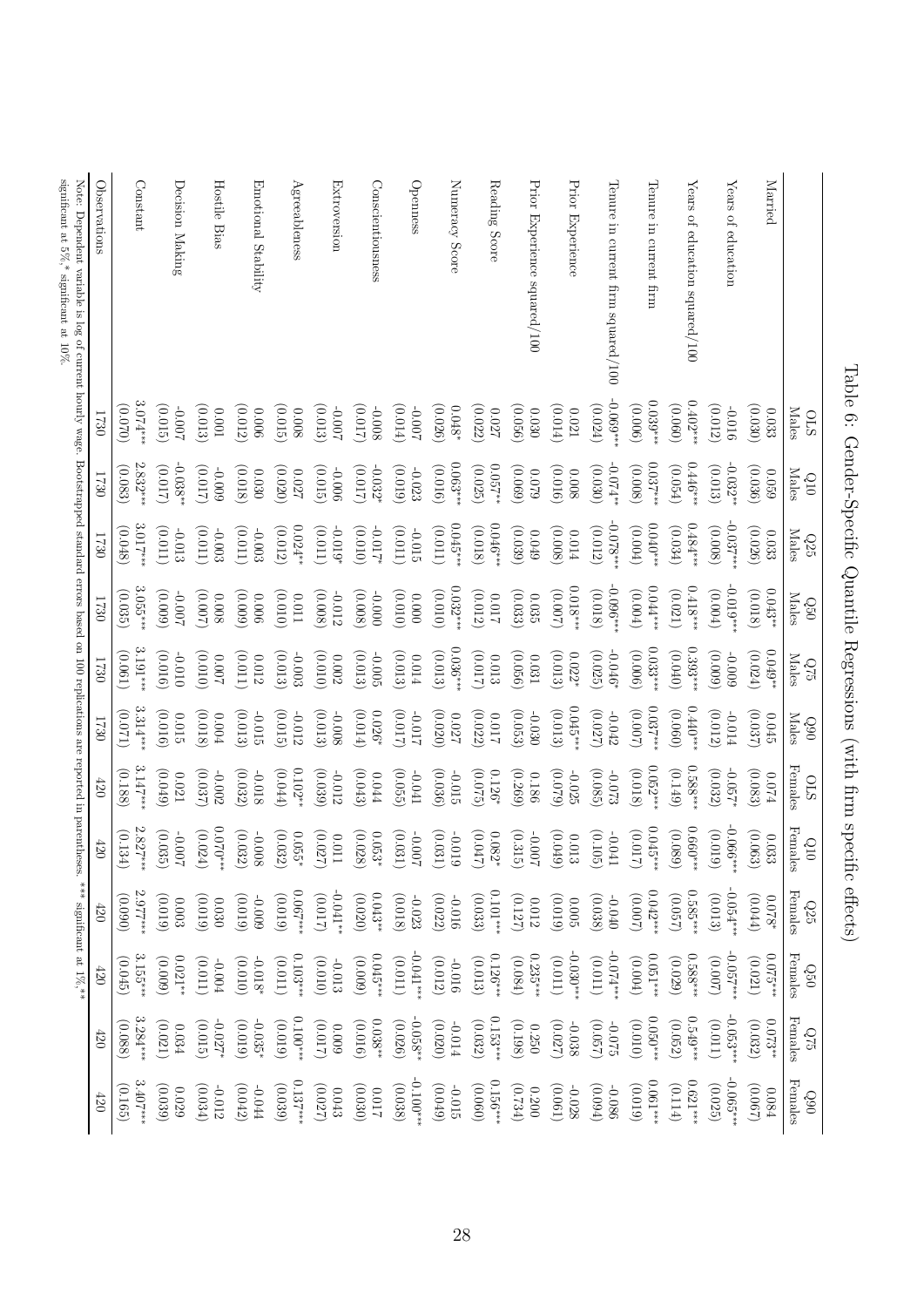| significant at $5\%$ ,* significant at $10\%$ .<br>Note: Dependent variable is log of current hourly wage. Bootstrapped standard errors based on 100 replications are reported in parentheses. | Observations | Constant              | Decision Making                         | Hostile Bias                      | Emotional Stability      | Agreeableness            | Extroversion          | Conscientiousness    | Openness                                | Numeracy Score        | Reading Score               | Prior Experience squared/100 | Prior Experience                | Tenure in current firm squared/100 | Tenure in current firm | Years of education squared/100 | Years of education        | Married                       |                                                                  |
|------------------------------------------------------------------------------------------------------------------------------------------------------------------------------------------------|--------------|-----------------------|-----------------------------------------|-----------------------------------|--------------------------|--------------------------|-----------------------|----------------------|-----------------------------------------|-----------------------|-----------------------------|------------------------------|---------------------------------|------------------------------------|------------------------|--------------------------------|---------------------------|-------------------------------|------------------------------------------------------------------|
|                                                                                                                                                                                                | 1730         | $3.074***$<br>(0.070) | (0.015)<br>$200.0 -$                    | (0.013)<br>$100.0$                | (0.012)<br>$900^{\circ}$ | (0.015)<br>8000          | (0.013)<br>$200.0 -$  | (2100)<br>-0.008     | (0.014)<br>$200^{\circ}$ <sub>0</sub> - | (0.026)<br>$0.048^*$  | (0.022)<br>$0.027\,$        | (0.056)<br>0.030             | (0.014)<br>$0.021\,$            | $-0.069$ **<br>(0.024)             | $0.039***$<br>(9000)   | $0.402**$<br>(0.060)           | (0.012)<br>$-0.016$       | (0.030)<br>0.033              | <b>Males</b><br><b>STO</b>                                       |
|                                                                                                                                                                                                | 1730         | $2.832**$<br>(0.083)  | $-0.038**$<br>(2100)                    | (210)<br>600'0-                   | (0.018)<br>0.030         | (0.020)<br>0.027         | (0.015)<br>$-0.006$   | (2100)<br>$-0.032*$  | (610)<br>$-0.023$                       | $0.063***$<br>(0.016) | **750.0<br>(0.025)          | (690)<br>620.0               | (0.016)<br>8000                 | $-0.074**$<br>(0.030)              | $0.037***$<br>(0.008)  | $0.446**$<br>(0.054)           | $-0.032**$<br>(0.013)     | (0.036)<br>620.0              | <b>Males</b><br>010                                              |
|                                                                                                                                                                                                | 1730         | 3.017***<br>(0.048)   | (0.011]<br>-0.013                       | (0.011)<br>$-0.003$               | (110.0)<br>$-0.003$      | $0.024**$<br>(0.012)     | (110.01)<br>$-0.019*$ | (010)<br>$-0.017*$   | (110.01)<br>$-0.015$                    | $0.045***$<br>(110.0) | $0.046***$<br>(0.018)       | (0.039)<br>$6\,0.049$        | (0.008)<br>$0.014\,$            | $-0.078**$<br>(0.012)              | $0.040**$<br>(0.004)   | $0.484***$<br>(0.034)          | $-0.037**$<br>(0.008)     | (0.026)<br>$0.033\,$          | <b>Males</b><br>${\rm Q25}$                                      |
|                                                                                                                                                                                                | 1730         | $3.055**$<br>(0.035)  | (0.000)<br>-0.007                       | (2000)<br>$0.008\,$               | $(600 \cdot 0)$<br>0.006 | (010)<br>$110.0$         | (0.008)<br>$-0.012$   | (0.008)<br>$-0.000$  | (010)<br>$0.000\,$                      | $0.032***$<br>(010)   | (0.012)<br>$\!210.0$        | (0.033)<br>$0.035\,$         | $0.018***$<br>$(200 \degree 0)$ | $-0.096$ **<br>(0.018)             | $0.044**$<br>(0.004)   | $0.418***$<br>(0.021)          | $-0.019**$<br>(0.004)     | $0.043**$<br>(0.018)          | $\rm {Males}$<br>0950                                            |
|                                                                                                                                                                                                | 1730         | $3.191***$<br>(0.061) | (0.016)<br>$-0.010$                     | (0.010)<br>200.00                 | (0.011)<br>$0.012\,$     | (0.013)<br>$-0.003$      | (010)<br>$0.002\,$    | (0.013)<br>$-0.005$  | (0.013)<br>$0.014\,$                    | $0.036***$<br>(0.013) | (210.0)<br>0.013            | (0.056)<br>$0.031\,$         | (0.013)<br>$0.022*$             | $-0.046*$<br>(0.025)               | $0.033**$<br>(900.00)  | $0.393***$<br>(0.040)          | $(600 \cdot 0)$<br>-0.009 | $0.049**$<br>(0.024)          | Males<br>675                                                     |
|                                                                                                                                                                                                | 1730         | $3.314**$<br>(120.0)  | (0.016)<br>$0.015\,$                    | (0.018)<br>0.004                  | (0.013)<br>$-0.015$      | (0.015)<br>$-0.012$      | (0.013)<br>$-0.008$   | (0.014)<br>$0.026*$  | (210.0)<br>-0.017                       | (0.020)<br>720.0      | (0.022)<br>$110.0$          | (0.053)<br>$-0.030$          | $0.045***$<br>(0.013)           | (0.027)<br>$-0.042$                | $0.037**$<br>(0.007)   | $0.440**$<br>(0.060)           | (0.012)<br>-0.014         | (0.037)<br>$0.045\,$          | <b>Males</b><br>060                                              |
|                                                                                                                                                                                                | $420\,$      | $3.147***$<br>(0.188) | (6f0.0)<br>$0.021\,$                    | (0.037)<br>-0.002                 | (0.032)<br>-0.018        | $0.102**$<br>$(f + 0.0)$ | (0.039)<br>$-0.012$   | (0.043)<br>$0.044\,$ | (0.055)<br>-0.041                       | (0.036)<br>$-0.015$   | (0.075)<br>$0.126*$         | (0.269)<br>0.186             | (6200)<br>$-0.025$              | (0.085)<br>-0.073                  | $0.052***$<br>(0.018)  | $0.588**$<br>(6114)            | (0.032)<br>$-0.057*$      | (0.083)<br>$0.074\,$          | Females<br><b>STO</b>                                            |
|                                                                                                                                                                                                | $420\,$      | $2.827***$<br>(0.134) | (0.035)<br>$200^{\circ}$ <sub>0</sub> - | $0.070**$<br>$\left(0.024\right)$ | (0.032)<br>$-0.008\,$    | (0.032)<br>$0.055*$      | (0.027)<br>$110.0$    | (0.028)<br>$0.053*$  | (0.031)<br>$-0.007$                     | (0.031)<br>$-0.019$   | $(210.017)$<br>$0.082^\ast$ | (0.315)<br>$-0.007$          | (6f0.0)<br>$0.013\,$            | (0.105)<br>$-0.041$                | $0.045***$<br>(0.017)  | $0.660***$<br>(0.089)          | $-0.066***$<br>(0.019)    | (0.063)<br>$0.033\,$          | ${\bf F} {\bf e} {\bf m} {\bf a} {\bf l} {\bf e} {\bf s}$<br>010 |
| *** significant at $1\%$ ,**                                                                                                                                                                   | 420          | 2.977***<br>(0.090)   | (6100)<br>$0.003\,$                     | (6100)<br>0.030                   | (610.0)<br>600'0-        | ***200.0<br>(6100)       | (2100)<br>$-0.041**$  | $0.043**$<br>(0.020) | (0.018)<br>$-0.023$                     | (0.022)<br>$-0.016$   | $0.101***$<br>(0.033)       | (0.127)<br>0.012             | (610)<br>0.005                  | (0.038)<br>$-0.040$                | $0.042***$<br>(2000)   | $0.585***$<br>(0.057)          | $-0.054***$<br>(0.013)    | $(f + 0.01)$<br>$0.078*$      | Females<br>Q25                                                   |
|                                                                                                                                                                                                | 420          | $3.155***$<br>(0.045) | $0.021**$<br>(6000)                     | (110.01)<br>$-0.004$              | (010)<br>$-0.018*$       | $0.103***$<br>(110.01)   | (010)<br>$-0.013$     | $0.045***$<br>(6000) | $-0.041***$<br>(110.01)                 | (0.012)<br>$-0.016$   | $0.126***$<br>(0.013)       | $0.235***$<br>(0.084)        | $-0.030***$<br>(110.0)          | $-0.074**$<br>(110.0)              | $0.051***$<br>(0.004)  | $0.588***$<br>(0.029)          | 0.057***<br>(2000)        | $0.075***$<br>(0.021)         | Females<br>090                                                   |
|                                                                                                                                                                                                | 420          | $3.284**$<br>(0.088)  | (0.021)<br>0.034                        | (0.015)<br>$-0.027*$              | (0.019)<br>$-0.035$ *    | $0.100***$<br>(0.019)    | (0.017)<br>0.009      | $0.038**$<br>(0.016) | (0.026)<br>$-0.058**$                   | (0.020)<br>$-0.014$   | $0.153***$<br>(0.032)       | (0.198)<br>0.250             | (0.027)<br>$-0.038$             | (0.057)<br>$-0.075$                | $0.050***$<br>(010)    | $0.549***$<br>(0.052)          | $-0.053**$<br>(0.011)     | $0.073**$<br>(0.032)          | ${\bf Fendes}$<br>Q75                                            |
|                                                                                                                                                                                                | 420          | $3.407***$<br>(0.165) | (0.039)<br>0.029                        | (0.034)<br>-0.012                 | (0.042)<br>FF0.0-        | $0.137***$<br>(0.039)    | (0.027)<br>$0.043\,$  | (0.030)<br>710.0     | $0.100***$<br>(0.038)                   | (6f00)<br>$-0.015$    | $0.156***$<br>(0.060)       | (E2:0)<br>0.200              | (0.061)<br>$-0.028$             | (60.094)<br>980.0-                 | $0.061***$<br>(610)    | $0.621***$<br>(0.114)          | $-0.065***$<br>(0.025)    | $(290^{\circ}0)$<br>$0.084\,$ | ${\bf Females}$<br>060                                           |

Table 6: Gender-Specific Quantile Regressions (with firm specific effects) Table 6: Gender-Specific Quantile Regressions (with firm specific effects)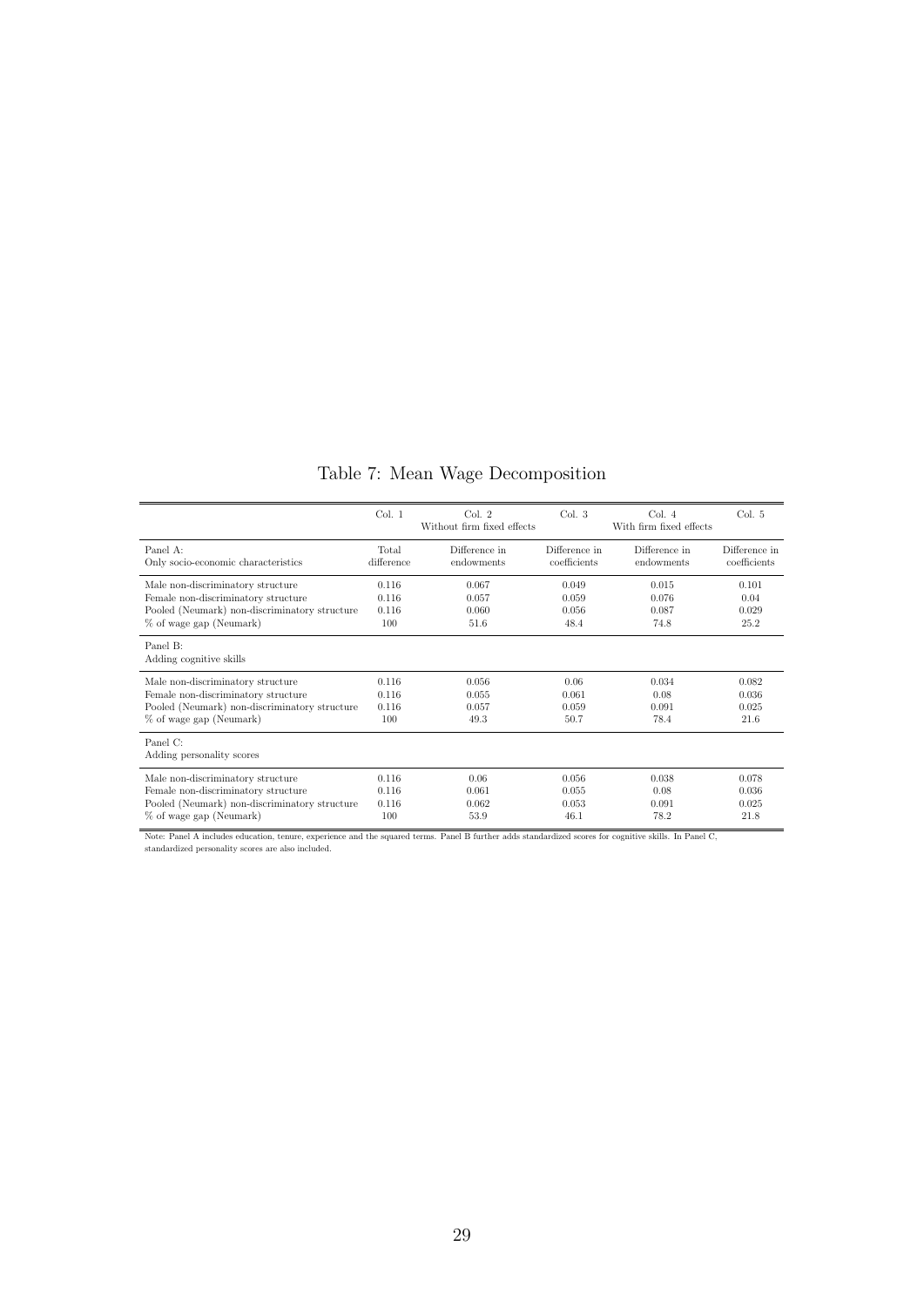### Table 7: Mean Wage Decomposition

|                                               | Col. 1     | Col. 2<br>Without firm fixed effects | Col. 3        | Col. 4<br>With firm fixed effects | Col. 5        |
|-----------------------------------------------|------------|--------------------------------------|---------------|-----------------------------------|---------------|
| Panel A:                                      | Total      | Difference in                        | Difference in | Difference in                     | Difference in |
| Only socio-economic characteristics           | difference | endowments                           | coefficients  | endowments                        | coefficients  |
| Male non-discriminatory structure             | 0.116      | 0.067                                | 0.049         | 0.015                             | 0.101         |
| Female non-discriminatory structure           | 0.116      | 0.057                                | 0.059         | 0.076                             | 0.04          |
| Pooled (Neumark) non-discriminatory structure | 0.116      | 0.060                                | 0.056         | 0.087                             | 0.029         |
| % of wage gap (Neumark)                       | 100        | 51.6                                 | 48.4          | 74.8                              | 25.2          |
| Panel B:<br>Adding cognitive skills           |            |                                      |               |                                   |               |
| Male non-discriminatory structure             | 0.116      | 0.056                                | 0.06          | 0.034                             | 0.082         |
| Female non-discriminatory structure           | 0.116      | 0.055                                | 0.061         | 0.08                              | 0.036         |
| Pooled (Neumark) non-discriminatory structure | 0.116      | 0.057                                | 0.059         | 0.091                             | 0.025         |
| % of wage gap (Neumark)                       | 100        | 49.3                                 | 50.7          | 78.4                              | 21.6          |
| Panel C:<br>Adding personality scores         |            |                                      |               |                                   |               |
| Male non-discriminatory structure             | 0.116      | 0.06                                 | 0.056         | 0.038                             | 0.078         |
| Female non-discriminatory structure           | 0.116      | 0.061                                | 0.055         | 0.08                              | 0.036         |
| Pooled (Neumark) non-discriminatory structure | 0.116      | 0.062                                | 0.053         | 0.091                             | 0.025         |
| % of wage gap (Neumark)                       | 100        | 53.9                                 | 46.1          | 78.2                              | 21.8          |

Note: Panel A includes education, tenure, experience and the squared terms. Panel B further adds standardized scores for cognitive skills. In Panel C, standardized personality scores are also included.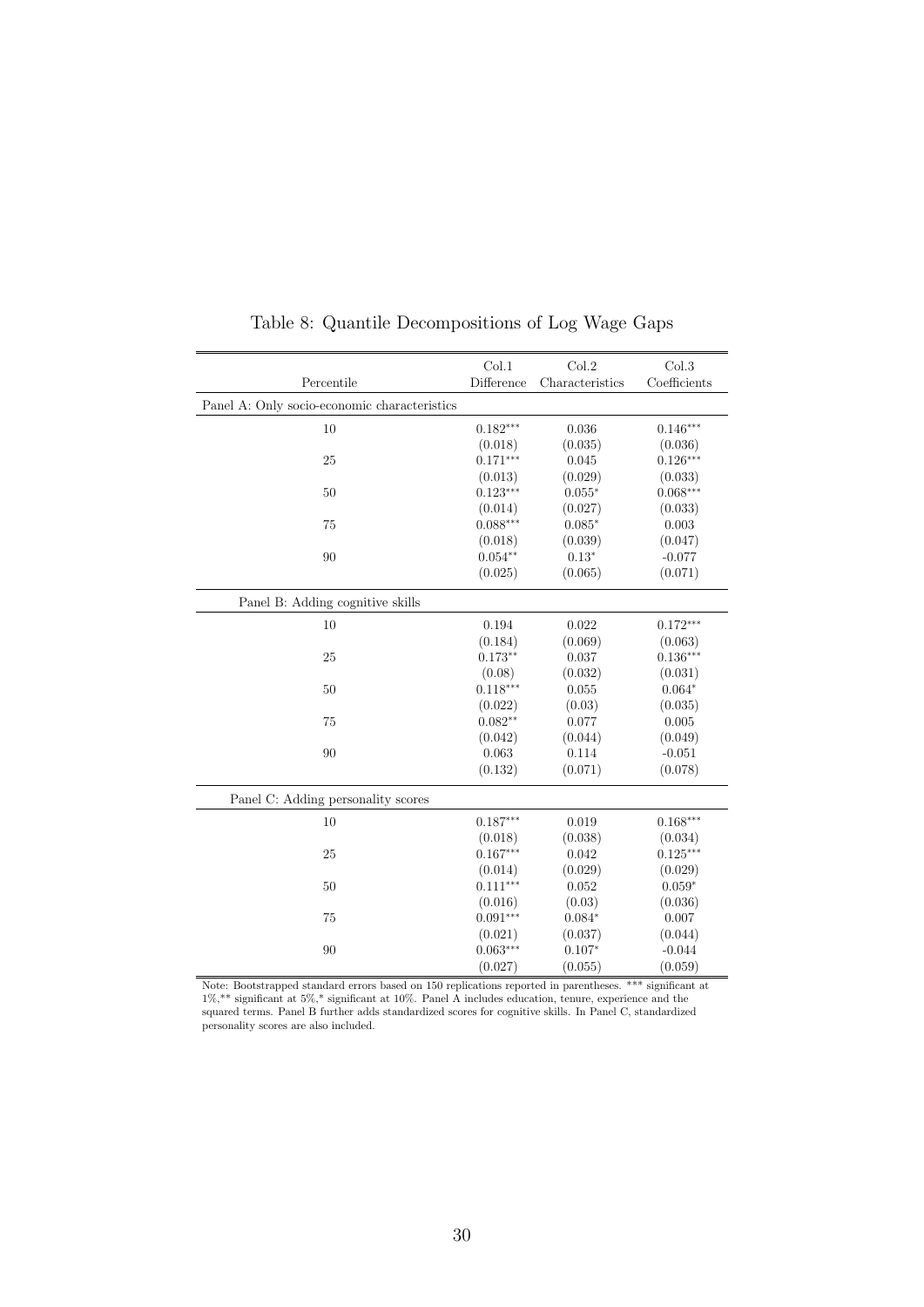| Percentile                                   | Col.1<br>Difference | Col.2<br>Characteristics | Col.3<br>Coefficients |
|----------------------------------------------|---------------------|--------------------------|-----------------------|
| Panel A: Only socio-economic characteristics |                     |                          |                       |
|                                              |                     |                          |                       |
| 10                                           | $0.182***$          | 0.036                    | $0.146***$            |
|                                              | (0.018)             | (0.035)                  | (0.036)               |
| 25                                           | $0.171***$          | 0.045                    | $0.126***$            |
|                                              | (0.013)             | (0.029)                  | (0.033)               |
| 50                                           | $0.123***$          | $0.055*$                 | $0.068***$            |
|                                              | (0.014)             | (0.027)                  | (0.033)               |
| 75                                           | $0.088***$          | $0.085*$                 | $\,0.003\,$           |
|                                              | (0.018)             | (0.039)                  | (0.047)               |
| 90                                           | $0.054**$           | $0.13*$                  | $-0.077$              |
|                                              | (0.025)             | (0.065)                  | (0.071)               |
| Panel B: Adding cognitive skills             |                     |                          |                       |
| 10                                           | 0.194               | 0.022                    | $0.172***$            |
|                                              | (0.184)             | (0.069)                  | (0.063)               |
| 25                                           | $0.173**$           | 0.037                    | $0.136***$            |
|                                              | (0.08)              | (0.032)                  | (0.031)               |
| 50                                           | $0.118***$          | 0.055                    | $0.064*$              |
|                                              | (0.022)             | (0.03)                   | (0.035)               |
| 75                                           | $0.082**$           | 0.077                    | 0.005                 |
|                                              | (0.042)             | (0.044)                  | (0.049)               |
| 90                                           | 0.063               | 0.114                    | $-0.051$              |
|                                              | (0.132)             | (0.071)                  | (0.078)               |
| Panel C: Adding personality scores           |                     |                          |                       |
| 10                                           | $0.187***$          | 0.019                    | $0.168***$            |
|                                              | (0.018)             | (0.038)                  | (0.034)               |
| 25                                           | $0.167***$          | 0.042                    | $0.125***$            |
|                                              | (0.014)             | (0.029)                  | (0.029)               |
| 50                                           | $0.111***$          | 0.052                    | $0.059*$              |
|                                              | (0.016)             | (0.03)                   | (0.036)               |
| 75                                           | $0.091***$          | $0.084*$                 | 0.007                 |
|                                              | (0.021)             | (0.037)                  | (0.044)               |
| 90                                           | $0.063***$          | $0.107*$                 | $-0.044$              |
|                                              | (0.027)             | (0.055)                  | (0.059)               |

Table 8: Quantile Decompositions of Log Wage Gaps

Note: Bootstrapped standard errors based on 150 replications reported in parentheses. \*\*\* significant at 1%,\*\* significant at 5%,\* significant at 10%. Panel A includes education, tenure, experience and the squared terms. Panel B further adds standardized scores for cognitive skills. In Panel C, standardized personality scores are also included.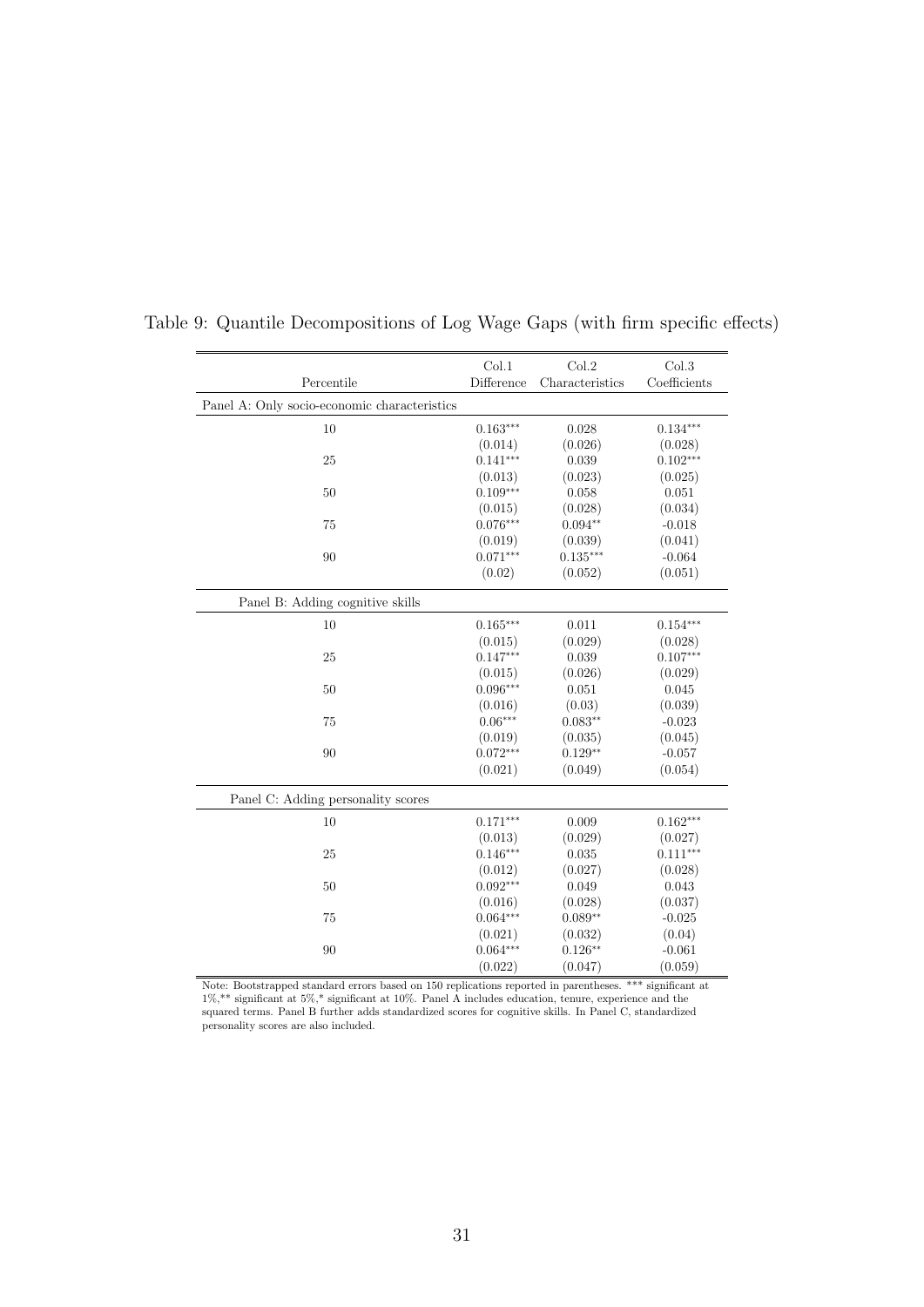|                                              | Col.1      | Col.2           | Col.3        |
|----------------------------------------------|------------|-----------------|--------------|
| Percentile                                   | Difference | Characteristics | Coefficients |
| Panel A: Only socio-economic characteristics |            |                 |              |
| 10                                           | $0.163***$ | 0.028           | $0.134***$   |
|                                              | (0.014)    | (0.026)         | (0.028)      |
| 25                                           | $0.141***$ | 0.039           | $0.102***$   |
|                                              | (0.013)    | (0.023)         | (0.025)      |
| 50                                           | $0.109***$ | 0.058           | 0.051        |
|                                              | (0.015)    | (0.028)         | (0.034)      |
| 75                                           | $0.076***$ | $0.094**$       | $-0.018$     |
|                                              | (0.019)    | (0.039)         | (0.041)      |
| 90                                           | $0.071***$ | $0.135***$      | $-0.064$     |
|                                              | (0.02)     | (0.052)         | (0.051)      |
| Panel B: Adding cognitive skills             |            |                 |              |
| 10                                           | $0.165***$ | 0.011           | $0.154***$   |
|                                              | (0.015)    | (0.029)         | (0.028)      |
| 25                                           | $0.147***$ | 0.039           | $0.107***$   |
|                                              | (0.015)    | (0.026)         | (0.029)      |
| 50                                           | $0.096***$ | 0.051           | 0.045        |
|                                              | (0.016)    | (0.03)          | (0.039)      |
| 75                                           | $0.06***$  | $0.083**$       | $-0.023$     |
|                                              | (0.019)    | (0.035)         | (0.045)      |
| 90                                           | $0.072***$ | $0.129**$       | $-0.057$     |
|                                              | (0.021)    | (0.049)         | (0.054)      |
| Panel C: Adding personality scores           |            |                 |              |
| 10                                           | $0.171***$ | 0.009           | $0.162***$   |
|                                              | (0.013)    | (0.029)         | (0.027)      |
| 25                                           | $0.146***$ | 0.035           | $0.111***$   |
|                                              | (0.012)    | (0.027)         | (0.028)      |
| 50                                           | $0.092***$ | 0.049           | 0.043        |
|                                              | (0.016)    | (0.028)         | (0.037)      |
| 75                                           | $0.064***$ | $0.089**$       | $-0.025$     |
|                                              | (0.021)    | (0.032)         | (0.04)       |
| 90                                           | $0.064***$ | $0.126**$       | $-0.061$     |
|                                              | (0.022)    | (0.047)         | (0.059)      |

Table 9: Quantile Decompositions of Log Wage Gaps (with firm specific effects)

Note: Bootstrapped standard errors based on 150 replications reported in parentheses. \*\*\* significant at 1%,\*\* significant at 5%,\* significant at 10%. Panel A includes education, tenure, experience and the squared terms. Panel B further adds standardized scores for cognitive skills. In Panel C, standardized personality scores are also included.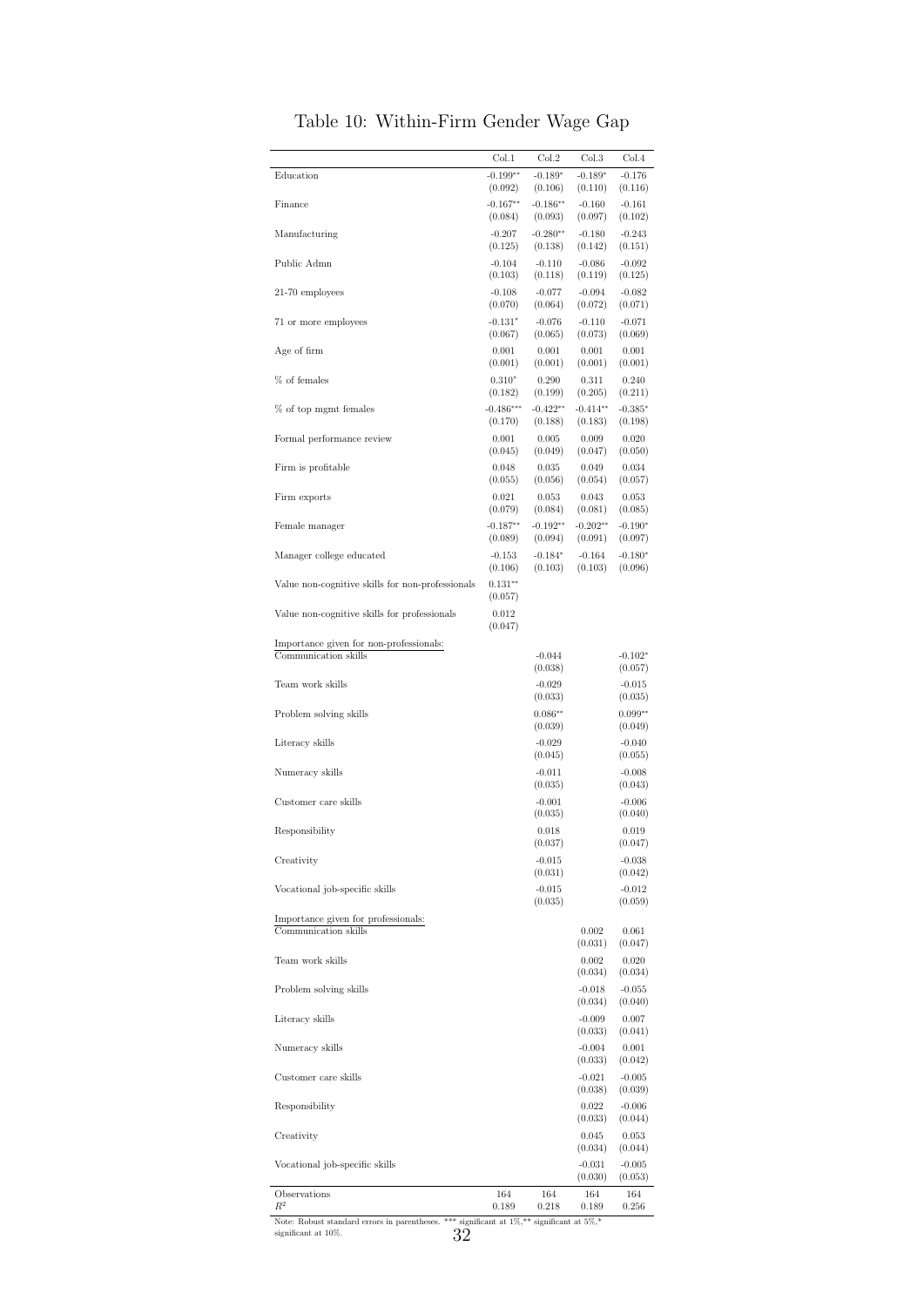|                                                                 | Col.1                                                         | Col.2                 | Col.3                 | Col.4                |
|-----------------------------------------------------------------|---------------------------------------------------------------|-----------------------|-----------------------|----------------------|
| Education                                                       | $-0.199**$<br>(0.092)                                         | $-0.189*$<br>(0.106)  | $-0.189*$<br>(0.110)  | $-0.176$<br>(0.116)  |
| Finance                                                         | $-0.167**$<br>(0.084)                                         | $-0.186**$<br>(0.093) | $-0.160$<br>(0.097)   | $-0.161$<br>(0.102)  |
| Manufacturing                                                   | $-0.207$<br>(0.125)                                           | $-0.280**$<br>(0.138) | $-0.180$<br>(0.142)   | $-0.243$<br>(0.151)  |
| Public Admn                                                     | $-0.104$                                                      | $-0.110$              | $-0.086$              | $-0.092$             |
| 21-70 employees                                                 | (0.103)<br>$-0.108$                                           | (0.118)<br>$-0.077$   | (0.119)<br>$-0.094$   | (0.125)<br>$-0.082$  |
|                                                                 | (0.070)                                                       | (0.064)               | (0.072)               | (0.071)              |
| 71 or more employees                                            | $-0.131*$<br>(0.067)                                          | $-0.076$<br>(0.065)   | $-0.110$<br>(0.073)   | $-0.071$<br>(0.069)  |
| Age of firm                                                     | 0.001<br>(0.001)                                              | 0.001<br>(0.001)      | 0.001<br>(0.001)      | 0.001<br>(0.001)     |
| % of females                                                    | $0.310*$<br>(0.182)                                           | 0.290<br>(0.199)      | 0.311<br>(0.205)      | 0.240<br>(0.211)     |
| % of top mgmt females                                           | $-0.486***$                                                   | $-0.422**$            | $-0.414**$            | $-0.385*$            |
| Formal performance review                                       | (0.170)<br>0.001                                              | (0.188)<br>0.005      | (0.183)<br>0.009      | (0.198)<br>0.020     |
|                                                                 | (0.045)                                                       | (0.049)               | (0.047)               | (0.050)<br>0.034     |
| Firm is profitable                                              | 0.048<br>(0.055)                                              | 0.035<br>(0.056)      | 0.049<br>(0.054)      | (0.057)              |
| Firm exports                                                    | 0.021<br>(0.079)                                              | 0.053<br>(0.084)      | 0.043<br>(0.081)      | 0.053<br>(0.085)     |
| Female manager                                                  | $-0.187**$<br>(0.089)                                         | $-0.192**$<br>(0.094) | $-0.202**$<br>(0.091) | $-0.190*$<br>(0.097) |
| Manager college educated                                        | $-0.153$                                                      | $-0.184*$             | $-0.164$              | $-0.180*$            |
| Value non-cognitive skills for non-professionals                | (0.106)<br>$0.131**$                                          | (0.103)               | (0.103)               | (0.096)              |
|                                                                 | (0.057)<br>0.012                                              |                       |                       |                      |
| Value non-cognitive skills for professionals                    | (0.047)                                                       |                       |                       |                      |
| Importance given for non-professionals:<br>Communication skills |                                                               | $-0.044$              |                       | $-0.102*$            |
| Team work skills                                                |                                                               | (0.038)<br>$-0.029$   |                       | (0.057)<br>$-0.015$  |
|                                                                 |                                                               | (0.033)               |                       | (0.035)              |
| Problem solving skills                                          |                                                               | $0.086**$<br>(0.039)  |                       | $0.099**$<br>(0.049) |
| Literacy skills                                                 |                                                               | $-0.029$<br>(0.045)   |                       | $-0.040$<br>(0.055)  |
| Numeracy skills                                                 |                                                               | $-0.011$<br>(0.035)   |                       | $-0.008$<br>(0.043)  |
| Customer care skills                                            |                                                               | $-0.001$              |                       | $-0.006$             |
| Responsibility                                                  |                                                               | (0.035)<br>0.018      |                       | (0.040)<br>0.019     |
|                                                                 |                                                               | (0.037)               |                       | (0.047)              |
| Creativity                                                      |                                                               | $-0.015$<br>(0.031)   |                       | $-0.038$<br>(0.042)  |
| Vocational job-specific skills                                  |                                                               | $-0.015$<br>(0.035)   |                       | $-0.012$<br>(0.059)  |
| Importance given for professionals:<br>Communication skills     |                                                               |                       | 0.002                 | 0.061                |
|                                                                 |                                                               |                       | (0.031)               | (0.047)              |
| Team work skills                                                |                                                               |                       | 0.002<br>(0.034)      | 0.020<br>(0.034)     |
| Problem solving skills                                          |                                                               |                       | $-0.018$<br>(0.034)   | $-0.055$<br>(0.040)  |
| Literacy skills                                                 |                                                               |                       | $-0.009$              | 0.007                |
| Numeracy skills                                                 |                                                               |                       | (0.033)<br>$-0.004$   | (0.041)<br>0.001     |
| Customer care skills                                            |                                                               |                       | (0.033)<br>$-0.021$   | (0.042)<br>$-0.005$  |
|                                                                 |                                                               |                       | (0.038)               | (0.039)              |
| Responsibility                                                  |                                                               |                       | 0.022<br>(0.033)      | $-0.006$<br>(0.044)  |
| Creativity                                                      |                                                               |                       | 0.045<br>(0.034)      | 0.053<br>(0.044)     |
| Vocational job-specific skills                                  |                                                               |                       | $-0.031$              | $-0.005$             |
| Observations                                                    | 164                                                           | 164                   | (0.030)<br>164        | (0.053)<br>164       |
| $\mathbb{R}^2$<br>Note: Robust standard errors in parentheses.  | 0.189<br>*** significant at $1\%,$ ** significant at $5\%,$ * | 0.218                 | 0.189                 | 0.256                |
| significant at 10%.<br>32                                       |                                                               |                       |                       |                      |

Table 10: Within-Firm Gender Wage Gap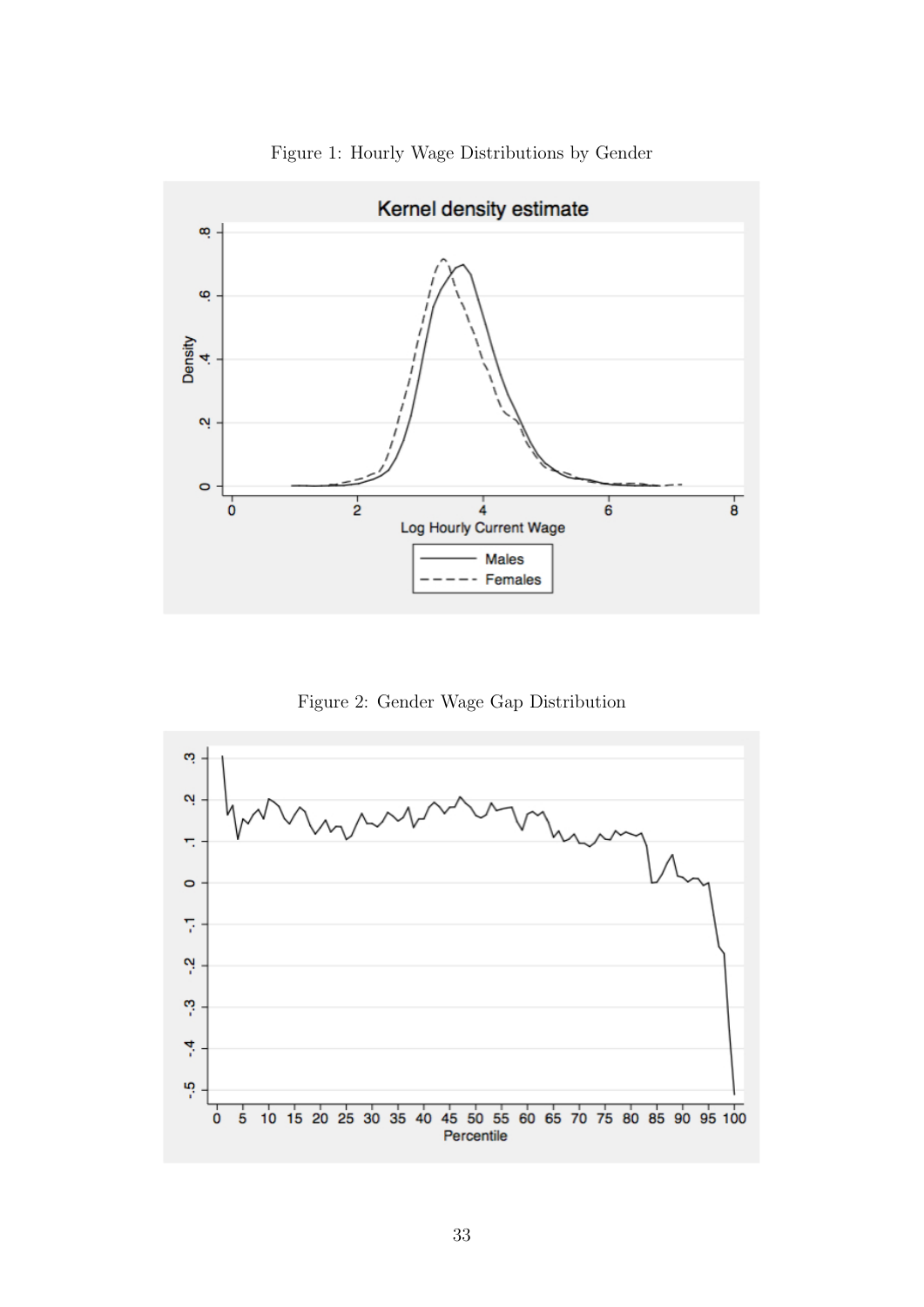

Figure 1: Hourly Wage Distributions by Gender

Figure 2: Gender Wage Gap Distribution